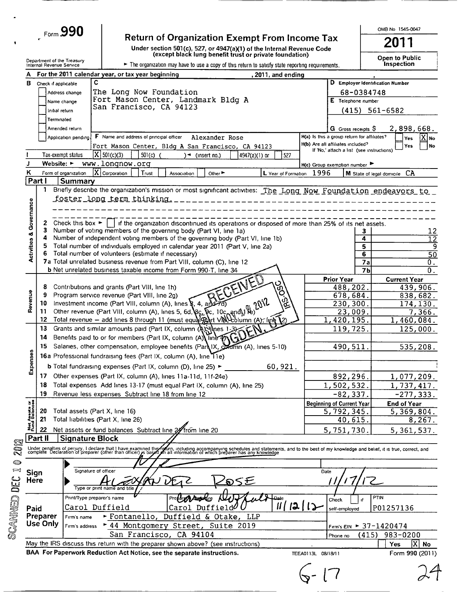| Form $990$ |  |
|------------|--|
|            |  |

 $\mathcal{L}$ 

Return of Organization Exempt From Income Tax<br>Under section 501(c), 527, or 4947(a)(1) of the Internal Revenue Code<br>(except black lung benefit trust or private foundation)

OMB No 1545-0047 2011

 $P<sub>th</sub>$  $\overline{a}$  $\mathbf{A}$ 

|                                | Department of the Treasury<br>Internal Revenue Service |                                        | The organization may have to use a copy of this return to satisfy state reporting requirements.                                                                                                                                                                                  |                                             | Open to Public<br>Inspection                |
|--------------------------------|--------------------------------------------------------|----------------------------------------|----------------------------------------------------------------------------------------------------------------------------------------------------------------------------------------------------------------------------------------------------------------------------------|---------------------------------------------|---------------------------------------------|
|                                |                                                        |                                        | For the 2011 calendar year, or tax year beginning<br>, 2011, and ending                                                                                                                                                                                                          |                                             |                                             |
|                                | <b>B</b> Check if applicable                           |                                        | C                                                                                                                                                                                                                                                                                |                                             | D Employer Identification Number            |
|                                |                                                        | Address change                         | The Long Now Foundation                                                                                                                                                                                                                                                          |                                             | 68-0384748                                  |
|                                |                                                        | Name change                            | Fort Mason Center, Landmark Bldg A                                                                                                                                                                                                                                               | E Telephone number                          |                                             |
|                                | Initial return                                         |                                        | San Francisco, CA 94123                                                                                                                                                                                                                                                          |                                             | $(415)$ 561-6582                            |
|                                | Terminated                                             |                                        |                                                                                                                                                                                                                                                                                  |                                             |                                             |
|                                |                                                        | Amended return                         |                                                                                                                                                                                                                                                                                  | G Gross receipts \$                         | 2,898,668.                                  |
|                                |                                                        | Application pending.                   | F Name and address of principal officer<br>Alexander Rose                                                                                                                                                                                                                        | H(a) Is this a group return for affiliates? | X No<br>Yes                                 |
|                                |                                                        |                                        | Fort Mason Center, Bldg A San Francisco, CA 94123                                                                                                                                                                                                                                | H(b) Are all affiliates included?           | No<br><b>Yes</b>                            |
|                                |                                                        | Tax-exempt status                      | $ X $ 501(c)(3)<br>$501(c)$ (<br>527<br>$\rightarrow$ (insert no.)<br>$4947(a)(1)$ or                                                                                                                                                                                            | If 'No,' attach a list (see instructions)   |                                             |
|                                | Website: $\blacktriangleright$                         |                                        | www.longnow.org                                                                                                                                                                                                                                                                  | $H(c)$ Group exemption number               |                                             |
| ĸ                              |                                                        | Form of organization                   | $\overline{X}$ Corporation<br>L Year of Formation 1996<br>Trust<br>Other $\blacktriangleright$<br>Association                                                                                                                                                                    |                                             | CA<br>M State of legal domicile             |
|                                | Part I                                                 | <b>Summary</b>                         |                                                                                                                                                                                                                                                                                  |                                             |                                             |
|                                | 1                                                      |                                        | Briefly describe the organization's mission or most significant activities: The Long Now Foundation endeavors to                                                                                                                                                                 |                                             |                                             |
|                                |                                                        |                                        | <u>foster long term thinking. L</u>                                                                                                                                                                                                                                              |                                             |                                             |
| Activities & Governance        |                                                        |                                        |                                                                                                                                                                                                                                                                                  |                                             |                                             |
|                                |                                                        | 2 Check this box $\blacktriangleright$ | if the organization discontinued its operations or disposed of more than 25% of its net assets.                                                                                                                                                                                  |                                             |                                             |
|                                | з.                                                     |                                        | Number of voting members of the governing body (Part VI, line 1a)                                                                                                                                                                                                                |                                             | 12<br>З.                                    |
|                                |                                                        |                                        | Number of independent voting members of the governing body (Part VI, line 1b)                                                                                                                                                                                                    |                                             | 4<br>$\overline{12}$                        |
|                                |                                                        |                                        | Total number of individuals employed in calendar year 2011 (Part V, line 2a)                                                                                                                                                                                                     |                                             | 5<br>9                                      |
|                                |                                                        |                                        | Total number of volunteers (estimate if necessary)                                                                                                                                                                                                                               |                                             | $6\overline{6}$<br>$\overline{50}$          |
|                                |                                                        |                                        | 7a Total unrelated business revenue from Part VIII, column (C), line 12                                                                                                                                                                                                          |                                             | 7a<br>0.                                    |
|                                |                                                        |                                        | <b>b</b> Net unrelated business taxable income from Form 990-T, line 34                                                                                                                                                                                                          |                                             | 7 <sub>b</sub><br>$\overline{\mathbf{0}}$ . |
|                                |                                                        |                                        | RECEIVED                                                                                                                                                                                                                                                                         | <b>Prior Year</b>                           | <b>Current Year</b>                         |
|                                | 8<br>9                                                 |                                        | Contributions and grants (Part VIII, line 1h)<br>Program service revenue (Part VIII, line 2g)                                                                                                                                                                                    | 488,202.                                    | 439,906.                                    |
|                                |                                                        |                                        | ರ<br>೧೯೨<br>Other revenue (Part VIII, column (A), lines \$, 4, and 70)<br>Other revenue (Part VIII, column (A), lines 5, 6d, 8c, 5c, 10c, and 18 )<br>Total revenue – add lines 8 through 11 (must equation)<br>10 Investment income (Part VIII, column (A), lines §, 4, and 7d) | 678,684.<br>230,300.                        | 838,682.<br>174, 130.                       |
| Revenue                        | 11.                                                    |                                        |                                                                                                                                                                                                                                                                                  | 23,009.                                     | 7,366.                                      |
|                                | 12                                                     |                                        | Total revenue - add lines 8 through 11 (must equal Part VIII) column (A), Ine 12)                                                                                                                                                                                                | 1,420,195.                                  | 1,460,084.                                  |
|                                | 13                                                     |                                        | Grants and similar amounts paid (Part IX, column (A); thes 1-3)                                                                                                                                                                                                                  | 119,725.                                    | 125,000.                                    |
|                                | 14                                                     |                                        | Benefits paid to or for members (Part IX, column (A) line $\mathcal{D}(\mathcal{A})$                                                                                                                                                                                             |                                             |                                             |
|                                | 15                                                     |                                        | Salaries, other compensation, employee benefits (Part IX, Comm (A), lines 5-10)                                                                                                                                                                                                  | 490,511                                     | 535,208.                                    |
|                                |                                                        |                                        | 16a Professional fundraising fees (Part IX, column (A), line 11e)                                                                                                                                                                                                                |                                             |                                             |
| Expenses                       |                                                        |                                        | <b>b</b> Total fundraising expenses (Part IX, column (D), line 25) $\blacktriangleright$<br>60,921.                                                                                                                                                                              |                                             |                                             |
|                                |                                                        |                                        | 17 Other expenses (Part IX, column (A), lines 11a-11d, 11f-24e)                                                                                                                                                                                                                  | 892,296.                                    | 1,077,209.                                  |
|                                |                                                        |                                        | 18 Total expenses Add lines 13-17 (must equal Part IX, column (A), line 25)                                                                                                                                                                                                      | 1,502,532.                                  | 1,737,417.                                  |
|                                | 19                                                     |                                        | Revenue less expenses Subtract line 18 from line 12                                                                                                                                                                                                                              | -82,337.                                    | -277, 333.                                  |
|                                |                                                        |                                        |                                                                                                                                                                                                                                                                                  | <b>Beginning of Current Year</b>            | <b>End of Year</b>                          |
|                                | 20                                                     |                                        | Total assets (Part X, line 16)                                                                                                                                                                                                                                                   | 5,792,345.                                  | 5,369,804.                                  |
| Net Assets or<br>Fund Balances | 21                                                     |                                        | Total liabilities (Part X, line 26)                                                                                                                                                                                                                                              | 40,615.                                     | 8,267.                                      |
|                                | 22                                                     |                                        | Net assets or fund balances Subtract line 27 from line 20                                                                                                                                                                                                                        | 5,751,730.                                  | 5, 361, 537.                                |
|                                | Part II                                                | <b>Signature Block</b>                 |                                                                                                                                                                                                                                                                                  |                                             |                                             |
|                                |                                                        |                                        | Under penalties of perjury, I declare that I have examined this folling in including accompanying schedules and statements, and to the best of my knowledge and belief, it is true, correct, and<br>complete Declaration of prepa                                                |                                             |                                             |
|                                |                                                        |                                        |                                                                                                                                                                                                                                                                                  |                                             |                                             |
|                                |                                                        |                                        |                                                                                                                                                                                                                                                                                  |                                             |                                             |
| Sign                           |                                                        |                                        | Signature of officer                                                                                                                                                                                                                                                             | Date                                        |                                             |
| <b>Here</b>                    |                                                        |                                        | SE<br>த<br>Type or print name and title                                                                                                                                                                                                                                          |                                             |                                             |
|                                |                                                        |                                        | Print/Type preparer's name<br>ويجتلبا                                                                                                                                                                                                                                            |                                             | PTIN                                        |
|                                |                                                        |                                        | 2 <br>11                                                                                                                                                                                                                                                                         | Check                                       |                                             |
| Paid                           |                                                        |                                        | Carol Duffield $\theta$<br>Carol Duffield                                                                                                                                                                                                                                        | self-employed                               | P01257136                                   |
|                                | Preparer<br>Use Only                                   | Firm's name                            | Fontanello, Duffield & Otake, LLP                                                                                                                                                                                                                                                |                                             |                                             |
|                                |                                                        | Firm's address                         | * 44 Montgomery Street, Suite 2019                                                                                                                                                                                                                                               |                                             | Firm's EIN $\blacktriangleright$ 37-1420474 |
|                                |                                                        |                                        | San Francisco, CA 94104                                                                                                                                                                                                                                                          | Phone no                                    | (415)<br>983-0200                           |
|                                |                                                        |                                        | May the IRS discuss this return with the preparer shown above? (see instructions)                                                                                                                                                                                                |                                             | $ {\boldsymbol{\mathrm{X}}} $<br>Yes<br>No  |
|                                |                                                        |                                        | BAA For Paperwork Reduction Act Notice, see the separate instructions.                                                                                                                                                                                                           | TEEA0113L 08/18/11                          | Form 990 (2011)                             |
|                                |                                                        |                                        |                                                                                                                                                                                                                                                                                  |                                             |                                             |
|                                |                                                        |                                        |                                                                                                                                                                                                                                                                                  |                                             |                                             |
|                                |                                                        |                                        |                                                                                                                                                                                                                                                                                  |                                             |                                             |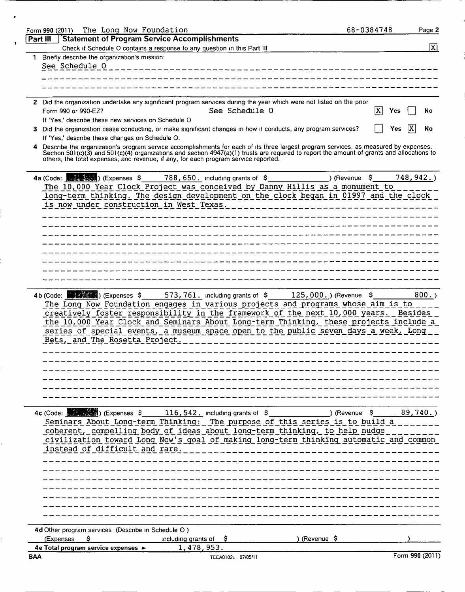| The Long Now Foundation<br>Form 990 (2011)                      |                                                                                                                                                                                                                                     | 68-0384748       | Page 2          |
|-----------------------------------------------------------------|-------------------------------------------------------------------------------------------------------------------------------------------------------------------------------------------------------------------------------------|------------------|-----------------|
| <b>Statement of Program Service Accomplishments</b><br>Part III |                                                                                                                                                                                                                                     |                  |                 |
|                                                                 | Check if Schedule O contains a response to any question in this Part III                                                                                                                                                            |                  | $\vert X \vert$ |
| 1 Briefly describe the organization's mission:                  |                                                                                                                                                                                                                                     |                  |                 |
| See Schedule 0                                                  |                                                                                                                                                                                                                                     |                  |                 |
|                                                                 |                                                                                                                                                                                                                                     |                  |                 |
|                                                                 |                                                                                                                                                                                                                                     |                  |                 |
|                                                                 |                                                                                                                                                                                                                                     |                  |                 |
|                                                                 | 2 Did the organization undertake any significant program services during the year which were not listed on the prior                                                                                                                |                  |                 |
| Form 990 or 990-EZ?                                             | See Schedule O                                                                                                                                                                                                                      | X                | No<br>Yes       |
| If 'Yes,' describe these new services on Schedule O             |                                                                                                                                                                                                                                     |                  |                 |
| З.                                                              | Did the organization cease conducting, or make significant changes in how it conducts, any program services?                                                                                                                        |                  | ΙX<br>No<br>Yes |
| If 'Yes,' describe these changes on Schedule O.                 |                                                                                                                                                                                                                                     |                  |                 |
|                                                                 | Describe the organization's program service accomplishments for each of its three largest program services, as measured by expenses.                                                                                                |                  |                 |
|                                                                 | Section 501(c)(3) and 501(c)(4) organizations and section $4947(a)(1)$ trusts are required to report the amount of grants and allocations to<br>others, the total expenses, and revenue, if any, for each program service reported. |                  |                 |
|                                                                 |                                                                                                                                                                                                                                     |                  |                 |
|                                                                 |                                                                                                                                                                                                                                     |                  |                 |
|                                                                 | 4a (Code: $\frac{1}{\sqrt{2}}$ , $\frac{1}{\sqrt{2}}$ ) (Expenses $\frac{1}{2}$ 788, 650. Including grants of $\frac{1}{2}$                                                                                                         | ) (Revenue<br>Ş. | 748, 942.       |
|                                                                 | The 10,000 Year Clock Project was conceived by Danny Hillis as a monument to                                                                                                                                                        |                  |                 |
|                                                                 | long-term thinking. The design development on the clock began in 01997 and the clock                                                                                                                                                |                  |                 |
| is now under construction in West Texas.                        |                                                                                                                                                                                                                                     |                  |                 |
|                                                                 |                                                                                                                                                                                                                                     |                  |                 |
|                                                                 |                                                                                                                                                                                                                                     |                  |                 |
|                                                                 |                                                                                                                                                                                                                                     |                  |                 |
|                                                                 |                                                                                                                                                                                                                                     |                  |                 |
|                                                                 |                                                                                                                                                                                                                                     |                  |                 |
|                                                                 |                                                                                                                                                                                                                                     |                  |                 |
|                                                                 |                                                                                                                                                                                                                                     |                  |                 |
|                                                                 |                                                                                                                                                                                                                                     |                  |                 |
|                                                                 |                                                                                                                                                                                                                                     |                  |                 |
|                                                                 | 4b (Code: (Expenses \$573, 761. including grants of \$125, 000.) (Revenue \$                                                                                                                                                        |                  | $800.$ )        |
|                                                                 | The Long Now Foundation engages in various projects and programs whose aim is to                                                                                                                                                    |                  |                 |
|                                                                 | creatively foster responsibility in the framework of the next 10,000 years. Besides                                                                                                                                                 |                  |                 |
|                                                                 | the 10,000 Year Clock and Seminars About Long-term Thinking, these projects include a                                                                                                                                               |                  |                 |
|                                                                 | series of special events, a museum space open to the public seven days a week, Long                                                                                                                                                 |                  |                 |
| Bets, and The Rosetta Project.                                  |                                                                                                                                                                                                                                     |                  |                 |
|                                                                 |                                                                                                                                                                                                                                     |                  |                 |
|                                                                 |                                                                                                                                                                                                                                     |                  |                 |
|                                                                 |                                                                                                                                                                                                                                     |                  |                 |
|                                                                 |                                                                                                                                                                                                                                     |                  |                 |
|                                                                 |                                                                                                                                                                                                                                     |                  |                 |
|                                                                 |                                                                                                                                                                                                                                     |                  |                 |
|                                                                 |                                                                                                                                                                                                                                     |                  |                 |
|                                                                 |                                                                                                                                                                                                                                     |                  |                 |
|                                                                 |                                                                                                                                                                                                                                     |                  |                 |
|                                                                 | <u> Seminars About Long-term Thinking: The purpose of this series is to build a </u>                                                                                                                                                |                  |                 |
|                                                                 | coherent, compelling body of ideas about long-term thinking, to help nudge                                                                                                                                                          |                  |                 |
|                                                                 | civilization toward Long Now's goal of making long-term thinking automatic and common                                                                                                                                               |                  |                 |
| instead of difficult and rare.                                  |                                                                                                                                                                                                                                     |                  |                 |
|                                                                 |                                                                                                                                                                                                                                     |                  |                 |
|                                                                 |                                                                                                                                                                                                                                     |                  |                 |
|                                                                 |                                                                                                                                                                                                                                     |                  |                 |
|                                                                 |                                                                                                                                                                                                                                     |                  |                 |
|                                                                 |                                                                                                                                                                                                                                     |                  |                 |
|                                                                 |                                                                                                                                                                                                                                     |                  |                 |
|                                                                 |                                                                                                                                                                                                                                     |                  |                 |
|                                                                 |                                                                                                                                                                                                                                     |                  |                 |
|                                                                 |                                                                                                                                                                                                                                     |                  |                 |
| 4d Other program services (Describe in Schedule O)              |                                                                                                                                                                                                                                     |                  |                 |
| (Expenses<br>S.                                                 | )(Revenue \$<br>including grants of $\frac{1}{2}$                                                                                                                                                                                   |                  |                 |
| 4e Total program service expenses ><br><b>BAA</b>               | 1,478,953.                                                                                                                                                                                                                          |                  | Form 990 (2011) |
|                                                                 | TEEA0102L 07/05/11                                                                                                                                                                                                                  |                  |                 |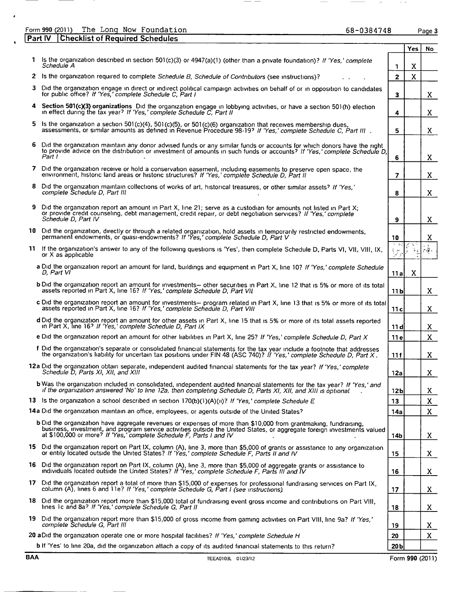#### Form 990 (2011) The Long Now Foundation entitled and the case of the Case of Page 3 **Part IV Checklist of Required Schedules**

 $\overline{\phantom{a}}$ 

 $\bar{\mathbf{r}}$ 

 $\ddot{\phantom{a}}$ 

| BAA | TEEA0103L 01/23/12                                                                                                                                                                                                                                                                                                |                                   | Form 990 (2011) |                                                      |
|-----|-------------------------------------------------------------------------------------------------------------------------------------------------------------------------------------------------------------------------------------------------------------------------------------------------------------------|-----------------------------------|-----------------|------------------------------------------------------|
|     | <b>b</b> If 'Yes' to line 20a, did the organization attach a copy of its audited financial statements to this return?                                                                                                                                                                                             | 20 <sub>b</sub>                   |                 |                                                      |
|     | 20 aDid the organization operate one or more hospital facilities? If 'Yes,' complete Schedule H                                                                                                                                                                                                                   | 20                                |                 | $\mathbf{x}$                                         |
|     | 19 Did the organization report more than \$15,000 of gross income from gaming activities on Part VIII, line 9a? If 'Yes,'<br>complete Schedule G. Part III                                                                                                                                                        | 19                                |                 | X.                                                   |
|     | 18 Did the organization report more than \$15,000 total of fundraising event gross income and contributions on Part VIII,<br>lines 1c and 8a? If 'Yes,' complete Schedule G, Part II                                                                                                                              | 18                                |                 | X.                                                   |
|     | 17 Did the organization report a total of more than \$15,000 of expenses for professional fundraising services on Part IX,<br>column (A), lines 6 and 11e? If 'Yes,' complete Schedule G, Part I (see instructions).                                                                                              | 17                                |                 | X.                                                   |
|     | 16 Did the organization report on Part IX, column (A), line 3, more than \$5,000 of aggregate grants or assistance to<br>individuals located outside the United States? If 'Yes,' complete Schedule F, Parts III and IV                                                                                           | 16                                |                 | X.                                                   |
|     | 15 Did the organization report on Part IX, column (A), line 3, more than \$5,000 of grants or assistance to any organization<br>or entity located outside the United States? If 'Yes,' complete Schedule F, Parts II and IV                                                                                       | 15                                |                 | X.                                                   |
|     | b Did the organization have aggregate revenues or expenses of more than \$10,000 from grantmaking, fundraising,<br>business, investment, and program service activities outside the United States, or aggregate foreign investments valued<br>at \$100,000 or more? If 'Yes,' complete Schedule F, Parts I and IV | 14b                               |                 | X.                                                   |
|     | 14a Did the organization maintain an office, employees, or agents outside of the United States?                                                                                                                                                                                                                   | 14a                               |                 | X.                                                   |
|     | 13 is the organization a school described in section $170(b)(1)(A)(u)$ ? If 'Yes,' complete Schedule E                                                                                                                                                                                                            | 13                                |                 | X                                                    |
|     | <b>b</b> Was the organization included in consolidated, independent audited financial statements for the tax year? If 'Yes,' and<br>if the organization answered 'No' to line 12a, then completing Schedule D, Parts XI, XII, and XIII is optional                                                                | 12 <sub>b</sub>                   |                 | X.                                                   |
|     | 12a Did the organization obtain separate, independent audited financial statements for the tax year? If 'Yes,' complete<br>Schedule D, Parts XI, XII, and XIII                                                                                                                                                    | 12a                               |                 | X                                                    |
|     | f Did the organization's separate or consolidated financial statements for the tax year include a footnote that addresses the organization's liability for uncertain tax positions under FIN 48 (ASC 740)? If 'Yes,' complete                                                                                     | 11f                               |                 | X                                                    |
|     | e Did the organization report an amount for other liabilities in Part X, line 25? If 'Yes,' complete Schedule D, Part X                                                                                                                                                                                           | 11 e                              |                 | $\mathbf{x}$                                         |
|     | d Did the organization report an amount for other assets in Part X, line 15 that is 5% or more of its total assets reported<br>in Part X, line 16? If 'Yes,' complete Schedule D, Part IX                                                                                                                         | 11 d                              |                 | X.                                                   |
|     | c Did the organization report an amount for investments— program related in Part X, line 13 that is 5% or more of its total<br>assets reported in Part X, line 16? If 'Yes,' complete Schedule D, Part VIII                                                                                                       | 11 c                              |                 | X.                                                   |
|     | <b>b</b> Did the organization report an amount for investments— other securities in Part X, line 12 that is 5% or more of its total<br>assets reported in Part X, line 16? If 'Yes,' complete Schedule D, Part VII                                                                                                | 11 b                              |                 | X.                                                   |
|     | a Did the organization report an amount for land, buildings and equipment in Part X, line 10? If 'Yes,' complete Schedule<br>D, Part VI                                                                                                                                                                           | 11 al                             | X               |                                                      |
|     | 11 If the organization's answer to any of the following questions is 'Yes', then complete Schedule D, Parts VI, VII, VIII, IX,<br>or X as applicable                                                                                                                                                              | トーレジ<br>$\mathcal{F}_\mathcal{E}$ | ÷.              | $\mathcal{L}^{\pm}$ .<br>$\frac{1}{2}+\frac{1}{2}$ . |
|     | 10 Did the organization, directly or through a related organization, hold assets in temporarily restricted endowments,<br>permanent endowments, or quasi-endowments? If 'Yes,' complete Schedule D, Part V                                                                                                        | 10                                |                 | X                                                    |
|     | 9 Did the organization report an amount in Part X, line 21; serve as a custodian for amounts not listed in Part X;<br>or provide credit counseling, debt management, credit repair, or debt negotiation services? If 'Yes,' complete<br>Schedule D, Part IV                                                       | 9                                 |                 | X.                                                   |
|     | 8 Did the organization maintain collections of works of art, historical treasures, or other similar assets? If 'Yes,'<br>complete Schedule D, Part III                                                                                                                                                            | 8                                 |                 | X.                                                   |
|     | 7 Did the organization receive or hold a conservation easement, including easements to preserve open space, the<br>environment, historic land areas or historic structures? If 'Yes,' complete Schedule D, Part II                                                                                                | 7                                 |                 | X.                                                   |
|     | 6 Did the organization maintain any donor advised funds or any similar funds or accounts for which donors have the right<br>to provide advice on the distribution or investment of amounts in such funds or accounts? If 'Yes,' complete Schedule D,<br>Part I                                                    | 6                                 |                 | X.                                                   |
|     | 5 Is the organization a section 501(c)(4), 501(c)(5), or 501(c)(6) organization that receives membership dues,<br>assessments, or similar amounts as defined in Revenue Procedure 98-197 If 'Yes,' complete Schedule C, Part III                                                                                  | 5                                 |                 | X.                                                   |
|     | 4 Section 501(c)(3) organizations Did the organization engage in lobbying activities, or have a section 501(h) election<br>in effect during the tax year? If 'Yes,' complete Schedule C, Part II                                                                                                                  | 4                                 |                 | X.                                                   |
|     | 3 Did the organization engage in direct or indirect political campaign activities on behalf of or in opposition to candidates<br>for public office? If 'Yes,' complete Schedule C. Part I                                                                                                                         | $\overline{\mathbf{3}}$           |                 | X.                                                   |
|     | 2 Is the organization required to complete Schedule B, Schedule of Contributors (see instructions)?                                                                                                                                                                                                               | $\mathbf{z}$                      | X               |                                                      |
|     | 1 Is the organization described in section 501(c)(3) or 4947(a)(1) (other than a private foundation)? If 'Yes,' complete<br>Schedule A                                                                                                                                                                            | 1                                 | X               |                                                      |
|     |                                                                                                                                                                                                                                                                                                                   |                                   | <b>Yes</b>      | No.                                                  |

 $- -$ 

 $\frac{1}{2}$  and  $\frac{1}{2}$  and  $\frac{1}{2}$ 

 $\alpha$  ,  $\alpha$  ,  $\alpha$ 

 $\sim$ 

 $\overline{\phantom{a}}$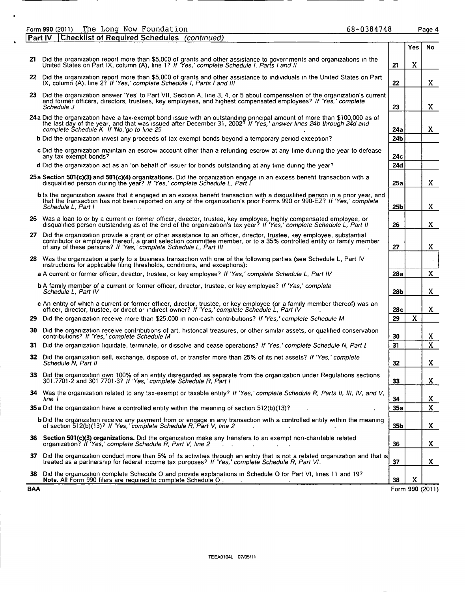|             | The Long Now Foundation<br>68-0384748<br>Form 990 (2011)                                                                                                                                                                                                                                                           |                 |             | Page 4          |
|-------------|--------------------------------------------------------------------------------------------------------------------------------------------------------------------------------------------------------------------------------------------------------------------------------------------------------------------|-----------------|-------------|-----------------|
| $ $ Part IV | <b>Checklist of Required Schedules</b> (continued)                                                                                                                                                                                                                                                                 |                 |             |                 |
|             |                                                                                                                                                                                                                                                                                                                    |                 | <b>Yes</b>  | <b>No</b>       |
|             | 21 Did the organization report more than \$5,000 of grants and other assistance to governments and organizations in the<br>United States on Part IX, column (A), line 1? If 'Yes,' complete Schedule I, Parts I and II                                                                                             | 21              | X           |                 |
|             | 22 Did the organization report more than \$5,000 of grants and other assistance to individuals in the United States on Part<br>IX, column (A), line 2? If 'Yes,' complete Schedule I, Parts I and III                                                                                                              | 22              |             | X.              |
|             | 23 Did the organization answer 'Yes' to Part VII, Section A, line 3, 4, or 5 about compensation of the organization's current<br>and former officers, directors, trustees, key employees, and highest compensated employees? If 'Yes,' complete<br>Schedule J                                                      | 23              |             | X.              |
|             | 24a Did the organization have a tax-exempt bond issue with an outstanding principal amount of more than \$100,000 as of<br>the last day of the year, and that was issued after December 31, 2002 <sup>3</sup> If 'Yes,' answer lines 24b through 24d and<br>complete Schedule K If 'No, go to line 25              | 24a             |             | X.              |
|             | <b>b</b> Did the organization invest any proceeds of tax-exempt bonds beyond a temporary period exception?                                                                                                                                                                                                         | 24b             |             |                 |
|             | c Did the organization maintain an escrow account other than a refunding escrow at any time during the year to defease<br>any tax-exempt bonds?                                                                                                                                                                    | 24с             |             |                 |
|             | d Did the organization act as an 'on behalf of' issuer for bonds outstanding at any time during the year?                                                                                                                                                                                                          | 24d             |             |                 |
|             | 25a Section 501(c)(3) and 501(c)(4) organizations. Did the organization engage in an excess benefit transaction with a<br>disqualified person during the year? If 'Yes,' complete Schedule L, Part I                                                                                                               | 25a             |             | X.              |
|             | b is the organization aware that it engaged in an excess benefit transaction with a disqualified person in a prior year, and<br>that the transaction has not been reported on any of the organization's prior Forms 990 or 990-EZ? If 'Yes,' complete<br>Schedule L, Part I                                        | 25 <sub>b</sub> |             | X.              |
|             | 26 Was a loan to or by a current or former officer, director, trustee, key employee, highly compensated employee, or<br>disqualified person outstanding as of the end of the organization's tax year? If 'Yes,' complete Schedule L, Part II                                                                       | 26              |             | X.              |
|             | 27 Did the organization provide a grant or other assistance to an officer, director, trustee, key employee, substantial<br>contributor or employee thereof, a grant selection committee member, or to a 35% controlled entity or family member<br>of any of these persons? If 'Yes,' complete Schedule L, Part III | 27              |             | X               |
|             | 28 Was the organization a party to a business transaction with one of the following parties (see Schedule L, Part IV<br>instructions for applicable filing thresholds, conditions, and exceptions):                                                                                                                |                 |             | $\alpha$        |
|             | a A current or former officer, director, trustee, or key employee? If 'Yes,' complete Schedule L, Part IV                                                                                                                                                                                                          | 28a             |             | $\mathbf{X}$    |
|             | <b>b</b> A family member of a current or former officer, director, trustee, or key employee? If 'Yes,' complete<br>Schedule L, Part IV                                                                                                                                                                             | 28 <sub>b</sub> |             | X.              |
|             | c An entity of which a current or former officer, director, trustee, or key employee (or a family member thereof) was an<br>officer, director, trustee, or direct or indirect owner? If 'Yes,' complete Schedule L, Part IV'                                                                                       | 28c             |             | X.              |
|             | 29 Did the organization receive more than \$25,000 in non-cash contributions? If 'Yes,' complete Schedule M                                                                                                                                                                                                        | 29              | $\mathbf x$ |                 |
| 30          | Did the organization receive contributions of art, historical treasures, or other similar assets, or qualified conservation<br>contributions? If 'Yes,' complete Schedule M                                                                                                                                        | 30              |             | X.              |
| 31.         | Did the organization liquidate, terminate, or dissolve and cease operations? If 'Yes,' complete Schedule N, Part I                                                                                                                                                                                                 | 31              |             | $\mathbf{X}$    |
| 32          | Did the organization sell, exchange, dispose of, or transfer more than 25% of its net assets? If 'Yes,' complete<br>Schedule N, Part II                                                                                                                                                                            | 32              |             | X.              |
| 33.         | Did the organization own 100% of an entity disregarded as separate from the organization under Regulations sections<br>301.7701-2 and 301 7701-3? If 'Yes,' complete Schedule R, Part I                                                                                                                            | 33              |             | X.              |
|             | 34 Was the organization related to any tax-exempt or taxable entity? If 'Yes,' complete Schedule R, Parts II, III, IV, and V,<br>lıne 1                                                                                                                                                                            | 34              |             | X               |
|             | 35a Did the organization have a controlled entity within the meaning of section 512(b)(13)?                                                                                                                                                                                                                        | 35a             |             | X               |
|             | <b>b</b> Did the organization receive any payment from or engage in any transaction with a controlled entity within the meaning<br>of section 512(b)(13)? If 'Yes,' complete Schedule R, Part V, line 2                                                                                                            | 35b             |             | X.              |
|             | 36 Section 501(c)(3) organizations. Did the organization make any transfers to an exempt non-charitable related<br>organization? If 'Yes,' complete Schedule R, Part V, line 2                                                                                                                                     | 36              |             | X               |
| 37          | Did the organization conduct more than 5% of its activities through an entity that is not a related organization and that is<br>treated as a partnership for federal income tax purposes? If 'Yes,' complete Schedule R, Part VI.                                                                                  | 37              |             | X.              |
| 38.         | Did the organization complete Schedule O and provide explanations in Schedule O for Part VI, lines 11 and 19?<br>Note. All Form 990 filers are required to complete Schedule O.                                                                                                                                    | 38              | x           |                 |
| <b>BAA</b>  |                                                                                                                                                                                                                                                                                                                    |                 |             | Form 990 (2011) |

 $\bullet$ 

Form 990 (2011)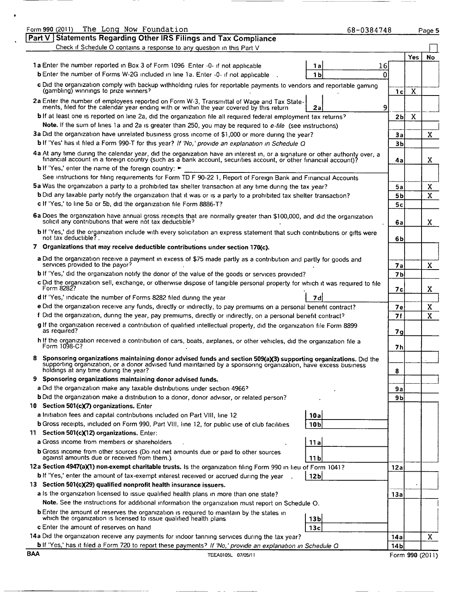| The Long Now Foundation<br>Form 990 (2011)                                                                                                                                                                                                       | 68-0384748     |                 | Page 5 |
|--------------------------------------------------------------------------------------------------------------------------------------------------------------------------------------------------------------------------------------------------|----------------|-----------------|--------|
| $\sqrt{PartV}$<br><b>Statements Regarding Other IRS Filings and Tax Compliance</b>                                                                                                                                                               |                |                 |        |
| Check if Schedule O contains a response to any question in this Part V                                                                                                                                                                           |                |                 |        |
|                                                                                                                                                                                                                                                  |                | Yes             | No     |
| 1a Enter the number reported in Box 3 of Form 1096 Enter -0- if not applicable                                                                                                                                                                   | 16<br>1a       |                 |        |
| b Enter the number of Forms W-2G included in line 1a. Enter -0- if not applicable                                                                                                                                                                | 1b<br>n        |                 |        |
| c Did the organization comply with backup withholding rules for reportable payments to vendors and reportable gaming<br>(gambling) winnings to prize winners?                                                                                    | 1 <sub>c</sub> | X               |        |
| 2a Enter the number of employees reported on Form W-3, Transmittal of Wage and Tax State-                                                                                                                                                        |                |                 |        |
| ments, filed for the calendar year ending with or within the year covered by this return                                                                                                                                                         | 9<br>2a        |                 |        |
| b If at least one is reported on line 2a, did the organization file all required federal employment tax returns?                                                                                                                                 | 2b             | $\mathbf X$     |        |
| Note. If the sum of lines 1a and 2a is greater than 250, you may be required to e-file (see instructions)                                                                                                                                        |                |                 |        |
| 3a Did the organization have unrelated business gross income of \$1,000 or more during the year?                                                                                                                                                 | 3a             |                 | X      |
| <b>b</b> If 'Yes' has it filed a Form 990-T for this year? If 'No,' provide an explanation in Schedule Q                                                                                                                                         | 3 <sub>b</sub> |                 |        |
| 4a At any time during the calendar year, did the organization have an interest in, or a signature or other authority over, a<br>financial account in a foreign country (such as a bank account, securities account, or other financial account)? | 4a             |                 | X.     |
| <b>b</b> If 'Yes,' enter the name of the foreign country:                                                                                                                                                                                        |                |                 |        |
| See instructions for filing requirements for Form TD F 90-22 1, Report of Foreign Bank and Financial Accounts                                                                                                                                    |                |                 |        |
| 5a Was the organization a party to a prohibited tax shelter transaction at any time during the tax year?                                                                                                                                         | 5а             |                 | X      |
| b Did any taxable party notify the organization that it was or is a party to a prohibited tax shelter transaction?                                                                                                                               | <b>5b</b>      |                 | X      |
| c If 'Yes,' to line 5a or 5b, did the organization file Form 8886-T?                                                                                                                                                                             | 5c             |                 |        |
| 6a Does the organization have annual gross receipts that are normally greater than \$100,000, and did the organization solicit any contributions that were not tax deductible?                                                                   | 6a             |                 | X      |
| b If 'Yes,' did the organization include with every solicitation an express statement that such contributions or gifts were<br>not tax deductible?.                                                                                              | 6b             |                 |        |
| 7 Organizations that may receive deductible contributions under section 170(c).                                                                                                                                                                  |                |                 |        |
| a Did the organization receive a payment in excess of \$75 made partly as a contribution and partly for goods and<br>services provided to the payor?                                                                                             |                |                 |        |
| b if 'Yes,' did the organization notify the donor of the value of the goods or services provided?                                                                                                                                                | 7a             |                 | X      |
|                                                                                                                                                                                                                                                  | 7 <sub>b</sub> |                 |        |
| c Did the organization sell, exchange, or otherwise dispose of tangible personal property for which it was required to file<br>Form 8282?                                                                                                        | 7c             |                 | X      |
| d If 'Yes,' indicate the number of Forms 8282 filed during the year                                                                                                                                                                              | 7d             |                 |        |
| e Did the organization receive any funds, directly or indirectly, to pay premiums on a personal benefit contract?                                                                                                                                | 7е             |                 | X      |
| f Did the organization, during the year, pay premiums, directly or indirectly, on a personal benefit contract?                                                                                                                                   | <b>7f</b>      |                 | X      |
| g If the organization received a contribution of qualified intellectual property, did the organization file Form 8899<br>as required?                                                                                                            | 7q             |                 |        |
| h If the organization received a contribution of cars, boats, airplanes, or other vehicles, did the organization file a<br>Form 1098-C?                                                                                                          | 7h             |                 |        |
| Sponsoring organizations maintaining donor advised funds and section 509(a)(3) supporting organizations. Did the                                                                                                                                 |                |                 |        |
| supporting organization, or a donor advised fund maintained by a sponsoring organization, have excess business<br>holdings at any time during the year?                                                                                          | 8              |                 |        |
| 9 Sponsoring organizations maintaining donor advised funds.                                                                                                                                                                                      |                |                 |        |
| a Did the organization make any taxable distributions under section 4966?                                                                                                                                                                        | 9a             |                 |        |
| <b>b</b> Did the organization make a distribution to a donor, donor advisor, or related person?                                                                                                                                                  | 9b             |                 |        |
| 10 Section 501(c)(7) organizations. Enter                                                                                                                                                                                                        |                |                 |        |
| a Initiation fees and capital contributions included on Part VIII, line 12<br>10a                                                                                                                                                                |                |                 |        |
| b Gross receipts, included on Form 990, Part VIII, line 12, for public use of club facilities<br>10 <sub>b</sub>                                                                                                                                 |                |                 |        |
| 11 Section 501(c)(12) organizations. Enter:                                                                                                                                                                                                      |                |                 |        |
| a Gross income from members or shareholders<br>11 a                                                                                                                                                                                              |                |                 |        |
| <b>b</b> Gross income from other sources (Do not net amounts due or paid to other sources<br>against amounts due or received from them.)<br>11 <sub>b</sub>                                                                                      |                |                 |        |
| 12a Section 4947(a)(1) non-exempt charitable trusts. Is the organization filing Form 990 in lieu of Form 1041?                                                                                                                                   | 12a            |                 |        |
| b If 'Yes,' enter the amount of tax-exempt interest received or accrued during the year<br>12 <sub>b</sub>                                                                                                                                       |                |                 |        |
| 13 Section 501(c)(29) qualified nonprofit health insurance issuers.                                                                                                                                                                              |                |                 |        |
| a Is the organization licensed to issue qualified health plans in more than one state?                                                                                                                                                           | 13a            |                 |        |
| Note. See the instructions for additional information the organization must report on Schedule O.                                                                                                                                                |                |                 |        |
| b Enter the amount of reserves the organization is required to maintain by the states in                                                                                                                                                         |                |                 |        |
| which the organization is licensed to issue qualified health plans<br>13 <sub>b</sub>                                                                                                                                                            |                |                 |        |
| c Enter the amount of reserves on hand<br>13c                                                                                                                                                                                                    |                |                 |        |
| 14a Did the organization receive any payments for indoor tanning services during the tax year?                                                                                                                                                   | 14a            |                 | X      |
| b If 'Yes,' has it filed a Form 720 to report these payments? If 'No,' provide an explanation in Schedule Q<br><b>BAA</b>                                                                                                                        | 14b            |                 |        |
| TEEA0105L 07/05/11                                                                                                                                                                                                                               |                | Form 990 (2011) |        |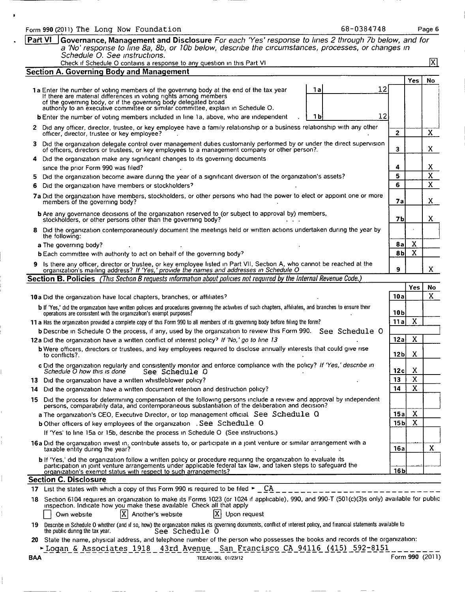| 68-0384748<br>Form 990 (2011) The Long Now Foundation                                                                                                                                                                                                                                                                      |                 |              | Page 6                        |
|----------------------------------------------------------------------------------------------------------------------------------------------------------------------------------------------------------------------------------------------------------------------------------------------------------------------------|-----------------|--------------|-------------------------------|
| Part VI<br>Governance, Management and Disclosure For each 'Yes' response to lines 2 through 7b below, and for<br>a 'No' response to line 8a, 8b, or 10b below, describe the circumstances, processes, or changes in<br>Schedule O. See instructions.                                                                       |                 |              |                               |
| Check if Schedule O contains a response to any question in this Part VI                                                                                                                                                                                                                                                    |                 |              | 冈                             |
| <b>Section A. Governing Body and Management</b>                                                                                                                                                                                                                                                                            |                 |              |                               |
|                                                                                                                                                                                                                                                                                                                            |                 | <b>Yes</b>   | <b>No</b>                     |
| 1a<br>12<br>1a Enter the number of voting members of the governing body at the end of the tax year<br>If there are material differences in voting rights among members<br>of the governing body, or if the governing body delegated broad authority to an executive committee or similar committee, explain in Schedule O. |                 |              |                               |
| 12<br><b>b</b> Enter the number of voting members included in line 1a, above, who are independent<br>1 b                                                                                                                                                                                                                   |                 |              |                               |
| 2 Did any officer, director, trustee, or key employee have a family relationship or a business relationship with any other<br>officer, director, trustee or key employee?                                                                                                                                                  | $\overline{2}$  |              | X                             |
| 3 Did the organization delegate control over management duties customarily performed by or under the direct supervision<br>of officers, directors or trustees, or key employees to a management company or other person?.                                                                                                  | 3               |              | X.                            |
| Did the organization make any significant changes to its governing documents<br>4                                                                                                                                                                                                                                          |                 |              |                               |
| since the prior Form 990 was filed?                                                                                                                                                                                                                                                                                        | 4<br>5          |              | X.<br>$\overline{\mathbf{x}}$ |
| Did the organization become aware during the year of a significant diversion of the organization's assets?<br>5.<br>Did the organization have members or stockholders?                                                                                                                                                     | 6               |              | $\mathbf{X}$                  |
| 6<br>7a Did the organization have members, stockholders, or other persons who had the power to elect or appoint one or more                                                                                                                                                                                                |                 |              |                               |
| members of the governing body?                                                                                                                                                                                                                                                                                             | 7а              |              | X.                            |
| b Are any governance decisions of the organization reserved to (or subject to approval by) members,<br>stockholders, or other persons other than the governing body?                                                                                                                                                       | 7 <sub>b</sub>  |              | x                             |
| Did the organization contemporaneously document the meetings held or written actions undertaken during the year by<br>8.<br>the following:                                                                                                                                                                                 |                 |              |                               |
| a The governing body?                                                                                                                                                                                                                                                                                                      | 8al             | X            |                               |
| <b>b</b> Each committee with authority to act on behalf of the governing body?                                                                                                                                                                                                                                             | 8bl             | $\mathbf{X}$ |                               |
| 9 Is there any officer, director or trustee, or key employee listed in Part VII, Section A, who cannot be reached at the organization's mailing address? If 'Yes,' provide the names and addresses in Schedule O                                                                                                           | 9               |              | X.                            |
| Section B. Policies (This Section B requests information about policies not required by the Internal Revenue Code.)                                                                                                                                                                                                        |                 |              |                               |
|                                                                                                                                                                                                                                                                                                                            | 10a             | Yes          | No<br>X                       |
| 10a Did the organization have local chapters, branches, or affiliates?                                                                                                                                                                                                                                                     |                 |              |                               |
| b If 'Yes,' did the organization have written policies and procedures governing the activities of such chapters, affiliates, and branches to ensure their operations are consistent with the organization's exempt purposes?                                                                                               | 10 b            |              |                               |
| 11 a Has the organization provided a complete copy of this Form 990 to all members of its governing body before filing the form?                                                                                                                                                                                           | 11a             | $\mathbf X$  |                               |
| b Describe in Schedule O the process, if any, used by the organization to review this Form 990. See Schedule O                                                                                                                                                                                                             |                 |              |                               |
| 12a Did the organization have a written conflict of interest policy? If 'No,' go to line 13                                                                                                                                                                                                                                | 12a             | X            |                               |
| <b>b</b> Were officers, directors or trustees, and key employees required to disclose annually interests that could give rise<br>to conflicts?.                                                                                                                                                                            | 12 <sub>b</sub> | X            |                               |
| c Did the organization regularly and consistently monitor and enforce compliance with the policy? If 'Yes,' describe in<br>Schedule O how this is done<br>See Schedule O                                                                                                                                                   | 12c             | X            |                               |
| 13 Did the organization have a written whistleblower policy?                                                                                                                                                                                                                                                               | 13              | X            |                               |
| Did the organization have a written document retention and destruction policy?<br>14.                                                                                                                                                                                                                                      | 14              | X            |                               |
| 15 Did the process for determining compensation of the following persons include a review and approval by independent<br>persons, comparability data, and contemporaneous substantiation of the deliberation and decision?                                                                                                 |                 |              |                               |
| a The organization's CEO, Executive Director, or top management official See Schedule Q                                                                                                                                                                                                                                    | 15a             | X            |                               |
| <b>b</b> Other officers of key employees of the organization . See Schedule O                                                                                                                                                                                                                                              | 15 <sub>b</sub> | X            |                               |
| If 'Yes' to line 15a or 15b, describe the process in Schedule O (See instructions.)                                                                                                                                                                                                                                        |                 |              |                               |
| 16a Did the organization invest in, contribute assets to, or participate in a joint venture or similar arrangement with a<br>taxable entity during the year?                                                                                                                                                               | 16a             |              | X                             |
| b If 'Yes,' did the organization follow a written policy or procedure requiring the organization to evaluate its<br>participation in joint venture arrangements under applicable federal tax law, and taken steps to safeguard the<br>organization's exempt status with respect to such arrangements?                      | 16 <sub>b</sub> |              |                               |
| <b>Section C. Disclosure</b>                                                                                                                                                                                                                                                                                               |                 |              |                               |
| 17 List the states with which a copy of this Form 990 is required to be filed $\blacktriangleright$ CA                                                                                                                                                                                                                     |                 |              |                               |
| 18 Section 6104 requires an organization to make its Forms 1023 (or 1024 if applicable), 990, and 990-T (501(c)(3)s only) available for public<br>inspection. Indicate how you make these available Check all that apply                                                                                                   |                 |              |                               |
| X <br>IXI<br>Upon request<br>Another's website<br>Own website                                                                                                                                                                                                                                                              |                 |              |                               |
|                                                                                                                                                                                                                                                                                                                            |                 |              |                               |
| the public during the tax year.<br>See Schedule O                                                                                                                                                                                                                                                                          |                 |              |                               |
| 19 Describe in Schedule O whether (and if so, how) the organization makes its governing documents, conflict of interest policy, and financial statements available to<br>20 State the name, physical address, and telephone number of the person who possesses the books and records of the organization:                  |                 |              |                               |
| Logan & Associates 1918 43rd Avenue San Francisco CA 94116 (415) 592-8151<br>BAA<br>TEEA0106L 01/23/12                                                                                                                                                                                                                     | Form 990 (2011) |              |                               |

 $\bullet$ 

l<br>|

 $\mathbb{L}$ 

Î.

 $\mathord{\vdash}$ 

 $\begin{array}{c} \rule{0pt}{2ex} \rule{0pt}{2ex} \rule{0pt}{2ex} \rule{0pt}{2ex} \rule{0pt}{2ex} \rule{0pt}{2ex} \rule{0pt}{2ex} \rule{0pt}{2ex} \rule{0pt}{2ex} \rule{0pt}{2ex} \rule{0pt}{2ex} \rule{0pt}{2ex} \rule{0pt}{2ex} \rule{0pt}{2ex} \rule{0pt}{2ex} \rule{0pt}{2ex} \rule{0pt}{2ex} \rule{0pt}{2ex} \rule{0pt}{2ex} \rule{0pt}{2ex} \rule{0pt}{2ex} \rule{0pt}{2ex} \rule{0pt}{2ex} \rule{0pt}{$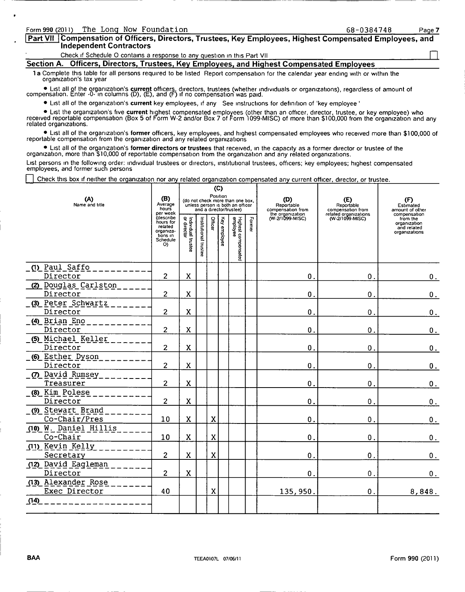| <b>Part VII Compensation of Officers, Directors, Trustees, Key Employees, Highest Compensated Employees, and</b><br>Independent Contractors |  |
|---------------------------------------------------------------------------------------------------------------------------------------------|--|
| Check if Schedule O contains a response to any question in this Part VII                                                                    |  |
| Section A. Officers, Directors, Trustees, Key Employees, and Highest Compensated Employees                                                  |  |

Form 990 (2011) The Long Now Foundation 68-0384748 Page 7

1a Complete this table for all persons required to be listed Report compensation for the calendar year ending with or within the organization's tax year

● List all of the organization's **current** officers, directors, trustees (whether individuals or organizations), regardless of amount of<br>compensation. Enter -0- in columns (D), (E), and (F) if no compensation was paid.

0 List all of the organization's current key employees, if any See instructions for definition of 'key employee '

List the organization's five **current** highest compensated employees (other than an officer, director, trustee, or key employee) who ● List the organization's five **current** highest compensated employees (other than \$100, related organizations.

0 List all of the organization's former officers, key employees, and highest compensated employees who received more than \$100,000 of reportable compensation from the organization and any related organizations

● List all of the organization's f**ormer directors or trustees** that received, in the capacity as a former director or trustee of the<br>organization, more than \$10,000 of reportable compensation from the organization and an

List persons in the followmg order: indIVidual trustees or directors, institutional trustees, officers; key employees; highest compensated employees, and former such persons

Check this box if neither the organization nor any related organization compensated any current officer, director, or trustee.

| (A)<br>Name and title                | (B)<br>Average<br>hours<br>per week<br>describe                 |                                     |                       |             | (C)<br>Position | (do not check more than one box,<br>unless person is both an officer<br>and a director/trustee) |        | (D)<br>Reportable<br>compensation from<br>the organization<br>(W-2/1099-MISC) | (E)<br>Reportable<br>compensation from<br>related organizations<br>(W-2/1099-MISC) | (F)<br>Estimated<br>amount of other<br>compensation      |
|--------------------------------------|-----------------------------------------------------------------|-------------------------------------|-----------------------|-------------|-----------------|-------------------------------------------------------------------------------------------------|--------|-------------------------------------------------------------------------------|------------------------------------------------------------------------------------|----------------------------------------------------------|
|                                      | hours for<br>related<br>organiza-<br>tions in<br>Schedule<br>O) | Individual trustee<br>  or director | Institutional trustee | Office      | Key employee    | Highest compensated<br>employee                                                                 | Former |                                                                               |                                                                                    | from the<br>organization<br>and related<br>organizations |
| (1) Paul Saffo<br>Director           | 2                                                               | X                                   |                       |             |                 |                                                                                                 |        | $\mathbf 0$ .                                                                 | 0.                                                                                 | 0.                                                       |
| (2) Douglas Carlston<br>Director     | $\overline{c}$                                                  | $\mathbf x$                         |                       |             |                 |                                                                                                 |        | $\mathbf 0$ .                                                                 | $\mathbf 0$ .                                                                      | О.                                                       |
| (3) Peter Schwartz<br>Director       | $\overline{2}$                                                  | X                                   |                       |             |                 |                                                                                                 |        | $\mathbf{0}$                                                                  | $\mathbf 0$ .                                                                      | 0.                                                       |
| (4) Brian Eno<br>Director            | $\overline{c}$                                                  | $\mathbf x$                         |                       |             |                 |                                                                                                 |        | $\mathbf 0$ .                                                                 | $\mathbf 0$ .                                                                      | 0.                                                       |
| (5) Michael Keller<br>Director       | $\overline{c}$                                                  | X                                   |                       |             |                 |                                                                                                 |        | $\mathbf 0$ .                                                                 | 0.                                                                                 | 0.                                                       |
| (6) Esther Dyson<br>Director         | $\overline{c}$                                                  | X                                   |                       |             |                 |                                                                                                 |        | 0.                                                                            | 0.                                                                                 | 0.                                                       |
| (7) David Rumsey<br>Treasurer        | $\overline{2}$                                                  | $\mathbf x$                         |                       |             |                 |                                                                                                 |        | $\mathbf{0}$ .                                                                | $\mathbf 0$ .                                                                      | 0.                                                       |
| (8) Kim Polese<br>Director           | $\overline{c}$                                                  | $\mathbf X$                         |                       |             |                 |                                                                                                 |        | $\mathbf{0}$ .                                                                | $\mathbf 0$ .                                                                      | 0.                                                       |
| (9) Stewart Brand<br>Co-Chair/Pres   | 10                                                              | $\mathbf x$                         |                       | X           |                 |                                                                                                 |        | 0.                                                                            | $\mathbf 0$ .                                                                      | $0$ .                                                    |
| (10) W. Daniel Hillis<br>Co-Chair    | 10                                                              | X                                   |                       | $\mathbf x$ |                 |                                                                                                 |        | $\mathbf{0}$ .                                                                | $\mathbf 0$ .                                                                      | 0.                                                       |
| (11) Kevin Kelly<br>Secretary        | $\overline{c}$                                                  | X                                   |                       | X           |                 |                                                                                                 |        | $\mathbf{0}$ .                                                                | $\mathbf 0$ .                                                                      | 0.                                                       |
| (12) David Eagleman<br>Director      | 2                                                               | X                                   |                       |             |                 |                                                                                                 |        | $\mathbf{0}$ .                                                                | $\mathbf 0$ .                                                                      | 0.                                                       |
| (13) Alexander Rose<br>Exec Director | 40                                                              |                                     |                       | X           |                 |                                                                                                 |        | 135,950.                                                                      | $\mathbf 0$ .                                                                      | 8,848.                                                   |
| (14)                                 |                                                                 |                                     |                       |             |                 |                                                                                                 |        |                                                                               |                                                                                    |                                                          |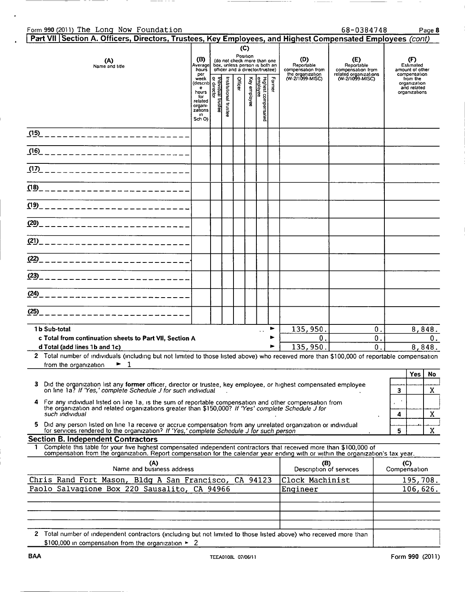| Form 990 (2011) The Long Now Foundation<br>Part VII Section A. Officers, Directors, Trustees, Key Employees, and Highest Compensated Employees (cont)                                                                                                        |                                                                                                                                                                                                                                                                             |  |         |                                 |                                                                                                                                           |        |                                                                               | 68-0384748                                                                         |   |                                                                                                                 | Page 8       |
|--------------------------------------------------------------------------------------------------------------------------------------------------------------------------------------------------------------------------------------------------------------|-----------------------------------------------------------------------------------------------------------------------------------------------------------------------------------------------------------------------------------------------------------------------------|--|---------|---------------------------------|-------------------------------------------------------------------------------------------------------------------------------------------|--------|-------------------------------------------------------------------------------|------------------------------------------------------------------------------------|---|-----------------------------------------------------------------------------------------------------------------|--------------|
| (A)<br>Name and title                                                                                                                                                                                                                                        | (B)<br>Averagel<br>hours<br>per<br>net and the set of the set of the set of the set of the set of the set of the set of the set of the set of the set of the set of the set of the set of the set of the set of the set of the set of the set of the set of the s<br>Sch O) |  | Officer | (C)<br>Position<br>Key employee | (do not check more than one<br>box, unless person is both an<br>officer and a director/trustee)<br>Highest compensated<br><u>employee</u> | Former | (D)<br>Reportable<br>compensation from<br>the organization<br>(W-2/1099-MISC) | (E)<br>Reportable<br>compensation from<br>related organizations<br>(W-2/1099-MISC) |   | (F)<br>Estimated<br>amount of other<br>compensation<br>from the<br>organization<br>and related<br>organizations |              |
| (15)<br>-------------------------                                                                                                                                                                                                                            |                                                                                                                                                                                                                                                                             |  |         |                                 |                                                                                                                                           |        |                                                                               |                                                                                    |   |                                                                                                                 |              |
| (16)<br>------------------------                                                                                                                                                                                                                             |                                                                                                                                                                                                                                                                             |  |         |                                 |                                                                                                                                           |        |                                                                               |                                                                                    |   |                                                                                                                 |              |
| (17)<br>------------------------                                                                                                                                                                                                                             |                                                                                                                                                                                                                                                                             |  |         |                                 |                                                                                                                                           |        |                                                                               |                                                                                    |   |                                                                                                                 |              |
| (18)____________________________                                                                                                                                                                                                                             |                                                                                                                                                                                                                                                                             |  |         |                                 |                                                                                                                                           |        |                                                                               |                                                                                    |   |                                                                                                                 |              |
| (19)_____________________________                                                                                                                                                                                                                            |                                                                                                                                                                                                                                                                             |  |         |                                 |                                                                                                                                           |        |                                                                               |                                                                                    |   |                                                                                                                 |              |
|                                                                                                                                                                                                                                                              |                                                                                                                                                                                                                                                                             |  |         |                                 |                                                                                                                                           |        |                                                                               |                                                                                    |   |                                                                                                                 |              |
|                                                                                                                                                                                                                                                              |                                                                                                                                                                                                                                                                             |  |         |                                 |                                                                                                                                           |        |                                                                               |                                                                                    |   |                                                                                                                 |              |
|                                                                                                                                                                                                                                                              |                                                                                                                                                                                                                                                                             |  |         |                                 |                                                                                                                                           |        |                                                                               |                                                                                    |   |                                                                                                                 |              |
| (23)____________________________                                                                                                                                                                                                                             |                                                                                                                                                                                                                                                                             |  |         |                                 |                                                                                                                                           |        |                                                                               |                                                                                    |   |                                                                                                                 |              |
| (24)_____________________________                                                                                                                                                                                                                            |                                                                                                                                                                                                                                                                             |  |         |                                 |                                                                                                                                           |        |                                                                               |                                                                                    |   |                                                                                                                 |              |
| (25)                                                                                                                                                                                                                                                         |                                                                                                                                                                                                                                                                             |  |         |                                 |                                                                                                                                           |        |                                                                               |                                                                                    |   |                                                                                                                 |              |
| 1b Sub-total                                                                                                                                                                                                                                                 |                                                                                                                                                                                                                                                                             |  |         |                                 | $\ddot{\phantom{0}}$                                                                                                                      | ►      | 135,950.                                                                      | 0.                                                                                 |   |                                                                                                                 | 8,848.       |
| c Total from continuation sheets to Part VII, Section A<br>d Total (add lines 1b and 1c)<br>2 Total number of individuals (including but not limited to those listed above) who received more than \$100,000 of reportable compensation                      |                                                                                                                                                                                                                                                                             |  |         |                                 |                                                                                                                                           |        | 0.<br>135,950.                                                                | 0.<br>$\overline{0}$ .                                                             |   |                                                                                                                 | 0.<br>8,848. |
| ▶<br>- 1<br>from the organization                                                                                                                                                                                                                            |                                                                                                                                                                                                                                                                             |  |         |                                 |                                                                                                                                           |        |                                                                               |                                                                                    |   |                                                                                                                 |              |
| з<br>Did the organization list any former officer, director or trustee, key employee, or highest compensated employee<br>on line 1a? If 'Yes,' complete Schedule J for such individual                                                                       |                                                                                                                                                                                                                                                                             |  |         |                                 |                                                                                                                                           |        |                                                                               |                                                                                    | 3 | Yes                                                                                                             | No<br>X      |
| For any individual listed on line 1a, is the sum of reportable compensation and other compensation from<br>4<br>the organization and related organizations greater than \$150,000? If 'Yes' complete Schedule J for                                          |                                                                                                                                                                                                                                                                             |  |         |                                 |                                                                                                                                           |        |                                                                               |                                                                                    |   |                                                                                                                 |              |
| such individual<br>Did any person listed on line 1a receive or accrue compensation from any unrelated organization or individual<br>for services rendered to the organization? If 'Yes,' complete Schedule J for such person<br>5.                           |                                                                                                                                                                                                                                                                             |  |         |                                 |                                                                                                                                           |        |                                                                               |                                                                                    | 4 |                                                                                                                 | X            |
| <b>Section B. Independent Contractors</b>                                                                                                                                                                                                                    |                                                                                                                                                                                                                                                                             |  |         |                                 |                                                                                                                                           |        |                                                                               |                                                                                    | 5 |                                                                                                                 | X            |
| Complete this table for your five highest compensated independent contractors that received more than \$100,000 of<br>1.<br>compensation from the organization. Report compensation for the calendar year ending with or within the organization's tax year. |                                                                                                                                                                                                                                                                             |  |         |                                 |                                                                                                                                           |        |                                                                               |                                                                                    |   |                                                                                                                 |              |
| (A)<br>Name and business address                                                                                                                                                                                                                             |                                                                                                                                                                                                                                                                             |  |         |                                 |                                                                                                                                           |        | (B)<br>Description of services                                                |                                                                                    |   | (C)<br>Compensation                                                                                             |              |
| Chris Rand Fort Mason, Bldg A San Francisco, CA 94123                                                                                                                                                                                                        |                                                                                                                                                                                                                                                                             |  |         |                                 |                                                                                                                                           |        | Clock Machinist                                                               |                                                                                    |   | 195,708.                                                                                                        |              |
| Paolo Salvagione Box 220 Sausalito, CA 94966                                                                                                                                                                                                                 |                                                                                                                                                                                                                                                                             |  |         |                                 |                                                                                                                                           |        | Engineer                                                                      |                                                                                    |   | 106,626.                                                                                                        |              |
|                                                                                                                                                                                                                                                              |                                                                                                                                                                                                                                                                             |  |         |                                 |                                                                                                                                           |        |                                                                               |                                                                                    |   |                                                                                                                 |              |
| 2 Total number of independent contractors (including but not limited to those listed above) who received more than                                                                                                                                           |                                                                                                                                                                                                                                                                             |  |         |                                 |                                                                                                                                           |        |                                                                               |                                                                                    |   |                                                                                                                 |              |
| \$100,000 in compensation from the organization $\geq 2$                                                                                                                                                                                                     |                                                                                                                                                                                                                                                                             |  |         |                                 |                                                                                                                                           |        |                                                                               |                                                                                    |   |                                                                                                                 |              |

-- - - -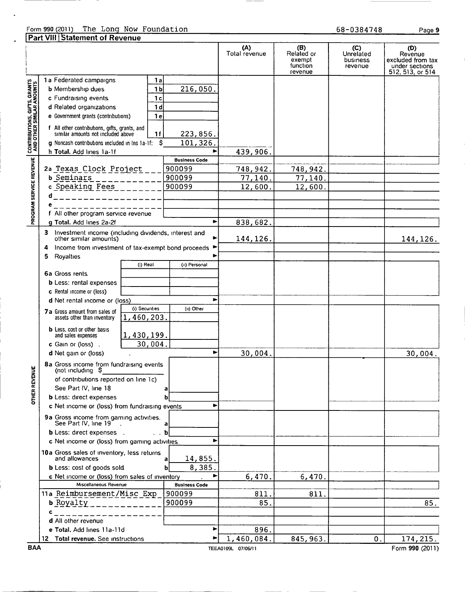# Form 990 (2011) The Long Now Foundation<br>Part VIII Statement of Revenue

Page 9

|                                                          | Tan The Platentent of Revenue                                                                                                                                                                                                                                                                                                                                                                                         | (A)<br>Total revenue | (B)<br>Related or<br>exempt<br>function<br>revenue | (C)<br>Unrelated<br>business<br>revenue | (D)<br>Revenue<br>excluded from tax<br>under sections<br>512, 513, or 514 |
|----------------------------------------------------------|-----------------------------------------------------------------------------------------------------------------------------------------------------------------------------------------------------------------------------------------------------------------------------------------------------------------------------------------------------------------------------------------------------------------------|----------------------|----------------------------------------------------|-----------------------------------------|---------------------------------------------------------------------------|
| <b>PROGRAM SERVICE REVENUE AND OTHER SIMILAR AMOUNTS</b> | 1a Federated campaigns<br>1al<br><b>b</b> Membership dues<br>1 <sub>b</sub><br>216,050.<br>c Fundraising events.<br>1 <sub>c</sub><br>d Related organizations<br>1 <sub>d</sub><br>e Government grants (contributions)<br>1 <sub>e</sub><br>f All other contributions, gifts, grants, and<br>similar amounts not included above<br>1f<br>223,856.<br>101,326.<br>\$<br>q Noncash contributions included in Ins 1a-1f: |                      |                                                    |                                         |                                                                           |
|                                                          | h Total. Add lines 1a-1f                                                                                                                                                                                                                                                                                                                                                                                              | 439,906.             |                                                    |                                         |                                                                           |
|                                                          | <b>Business Code</b>                                                                                                                                                                                                                                                                                                                                                                                                  |                      |                                                    |                                         |                                                                           |
|                                                          | 2a Texas Clock Project<br>900099                                                                                                                                                                                                                                                                                                                                                                                      | 748,942.             | 748,942.                                           |                                         |                                                                           |
|                                                          | <b>b</b> Seminars<br>900099                                                                                                                                                                                                                                                                                                                                                                                           | 77,140               | 77,140.                                            |                                         |                                                                           |
|                                                          | c Speaking Fees<br>900099                                                                                                                                                                                                                                                                                                                                                                                             | 12,600               | 12,600.                                            |                                         |                                                                           |
|                                                          | d                                                                                                                                                                                                                                                                                                                                                                                                                     |                      |                                                    |                                         |                                                                           |
|                                                          | All other program service revenue                                                                                                                                                                                                                                                                                                                                                                                     |                      |                                                    |                                         |                                                                           |
|                                                          | ►<br>g Total. Add lines 2a-2f                                                                                                                                                                                                                                                                                                                                                                                         | 838,682.             |                                                    |                                         |                                                                           |
|                                                          | 3<br>Investment income (including dividends, interest and<br>other similar amounts)<br>Income from investment of tax-exempt bond proceeds 1<br>4                                                                                                                                                                                                                                                                      | 144, 126.            |                                                    |                                         | 144, 126.                                                                 |
|                                                          | Royalties<br>5                                                                                                                                                                                                                                                                                                                                                                                                        |                      |                                                    |                                         |                                                                           |
|                                                          | (i) Real<br>(ii) Personal                                                                                                                                                                                                                                                                                                                                                                                             |                      |                                                    |                                         |                                                                           |
|                                                          | 6a Gross rents                                                                                                                                                                                                                                                                                                                                                                                                        |                      |                                                    |                                         |                                                                           |
|                                                          | <b>b</b> Less: rental expenses                                                                                                                                                                                                                                                                                                                                                                                        |                      |                                                    |                                         |                                                                           |
|                                                          | c Rental income or (loss)                                                                                                                                                                                                                                                                                                                                                                                             |                      |                                                    |                                         |                                                                           |
|                                                          | d Net rental income or (loss)                                                                                                                                                                                                                                                                                                                                                                                         |                      |                                                    |                                         |                                                                           |
|                                                          | (i) Securities<br>(ii) Other<br><b>7a</b> Gross amount from sales of<br>1,460,203.<br>assets other than inventory                                                                                                                                                                                                                                                                                                     |                      |                                                    |                                         |                                                                           |
|                                                          | <b>b</b> Less, cost or other basis<br>1,430,199.<br>and sales expenses<br>30,004.<br>c Gain or (loss).                                                                                                                                                                                                                                                                                                                |                      |                                                    |                                         |                                                                           |
|                                                          | ь<br>d Net gain or (loss)                                                                                                                                                                                                                                                                                                                                                                                             | 30,004.              |                                                    |                                         | 30,004.                                                                   |
| ¥                                                        | 8a Gross income from fundraising events<br>(not including $$$                                                                                                                                                                                                                                                                                                                                                         |                      |                                                    |                                         |                                                                           |
| <b>OTHER REVE</b>                                        | of contributions reported on line 1c)<br>See Part IV, line 18                                                                                                                                                                                                                                                                                                                                                         |                      |                                                    |                                         |                                                                           |
|                                                          | <b>b</b> Less: direct expenses                                                                                                                                                                                                                                                                                                                                                                                        |                      |                                                    |                                         |                                                                           |
|                                                          | c Net income or (loss) from fundraising events<br>9a Gross income from gaming activities.<br>See Part IV, line 19<br>а                                                                                                                                                                                                                                                                                                |                      |                                                    |                                         |                                                                           |
|                                                          | <b>b</b> Less: direct expenses .                                                                                                                                                                                                                                                                                                                                                                                      |                      |                                                    |                                         |                                                                           |
|                                                          | c Net income or (loss) from gaming activities.                                                                                                                                                                                                                                                                                                                                                                        |                      |                                                    |                                         |                                                                           |
|                                                          | 10a Gross sales of inventory, less returns<br>and allowances<br>14,855.                                                                                                                                                                                                                                                                                                                                               |                      |                                                    |                                         |                                                                           |
|                                                          | 8,385<br><b>b</b> Less: cost of goods sold                                                                                                                                                                                                                                                                                                                                                                            |                      |                                                    |                                         |                                                                           |
|                                                          | c Net income or (loss) from sales of inventory                                                                                                                                                                                                                                                                                                                                                                        | 6,470.               | 6,470.                                             |                                         |                                                                           |
|                                                          | Miscellaneous Revenue<br><b>Business Code</b><br>11a Reimbursement/Misc Exp<br>900099                                                                                                                                                                                                                                                                                                                                 |                      |                                                    |                                         |                                                                           |
|                                                          | b Royalty<br>900099                                                                                                                                                                                                                                                                                                                                                                                                   | 811<br>85.           | 811                                                |                                         | 85.                                                                       |
|                                                          | c                                                                                                                                                                                                                                                                                                                                                                                                                     |                      |                                                    |                                         |                                                                           |
|                                                          | d All other revenue                                                                                                                                                                                                                                                                                                                                                                                                   |                      |                                                    |                                         |                                                                           |
|                                                          | e Total. Add lines 11a-11d<br>▶                                                                                                                                                                                                                                                                                                                                                                                       | 896.                 |                                                    |                                         |                                                                           |
|                                                          | 12 Total revenue. See instructions<br>▶                                                                                                                                                                                                                                                                                                                                                                               | 1,460,084.           | 845, 963.                                          | 0.                                      | 174, 215.                                                                 |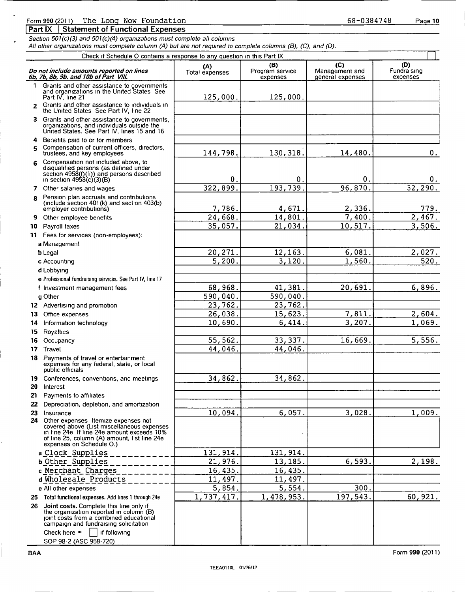### Form 990 (2011) The Long Now Foundation

Section 501(c)(3) and 501(c)(4) organizations must complete all columns All other organizations must complete column (A) but are not required to complete columns (B), (C), and (D).

|              | Check if Schedule O contains a response to any question in this Part IX                                                                                                                                                     |                        |                                    |                                           |                                |
|--------------|-----------------------------------------------------------------------------------------------------------------------------------------------------------------------------------------------------------------------------|------------------------|------------------------------------|-------------------------------------------|--------------------------------|
|              | Do not include amounts reported on lines<br>6b, 7b, 8b, 9b, and 10b of Part VIII.                                                                                                                                           | (A)<br>Total expenses  | (B)<br>Program service<br>expenses | (C)<br>Management and<br>general expenses | (D)<br>Fundraising<br>expenses |
| $\mathbf{1}$ | Grants and other assistance to governments<br>and organizations in the United States See<br>Part IV, line 21                                                                                                                | 125,000.               | 125,000.                           |                                           |                                |
| $\mathbf{z}$ | Grants and other assistance to individuals in<br>the United States See Part IV, line 22                                                                                                                                     |                        |                                    |                                           |                                |
| 3.           | Grants and other assistance to governments,<br>organizations, and individuals outside the<br>United States. See Part IV, lines 15 and 16                                                                                    |                        |                                    |                                           |                                |
| 4<br>5       | Benefits paid to or for members<br>Compensation of current officers, directors,<br>trustees, and key employees                                                                                                              | 144,798.               | 130, 318.                          | 14,480.                                   | О.                             |
| 6            | Compensation not included above, to<br>disqualified persons (as defined under<br>section $4958(f)(1)$ ) and persons described<br>in section $4958(c)(3)(B)$                                                                 | $\mathbf 0$ .          | $\mathbf 0$ .                      | О.                                        | 0.                             |
|              | 7 Other salaries and wages                                                                                                                                                                                                  | 322,899.               | 193,739.                           | 96,870.                                   | 32, 290.                       |
| R            | Pension plan accruals and contributions<br>(include section 401(k) and section 403(b)<br>employer contributions)                                                                                                            | 7,786.                 | 4,671.                             | 2,336.                                    | 779.                           |
| 9            | Other employee benefits.                                                                                                                                                                                                    | 24,668.                | 14,801.                            | 7,400.                                    | 2,467.                         |
| 10           | Payroll taxes                                                                                                                                                                                                               | 35,057.                | 21,034.                            | 10,517.                                   | 3,506.                         |
|              | 11 Fees for services (non-employees):                                                                                                                                                                                       |                        |                                    |                                           |                                |
|              | a Management                                                                                                                                                                                                                |                        |                                    |                                           |                                |
|              | <b>b</b> Legal                                                                                                                                                                                                              | 20,271.                | 12,163.                            | 6,081.                                    | 2,027.                         |
|              | c Accounting                                                                                                                                                                                                                | 5,200                  | 3,120                              | 1,560.                                    | 520.                           |
|              | d Lobbying                                                                                                                                                                                                                  |                        |                                    |                                           |                                |
|              | e Professional fundraising services. See Part IV, line 17                                                                                                                                                                   |                        |                                    |                                           |                                |
|              | f Investment management fees                                                                                                                                                                                                | 68,968.                | 41,381                             | 20,691                                    | 6,896.                         |
|              | q Other                                                                                                                                                                                                                     | 590,040.               | 590,040.                           |                                           |                                |
|              | 12 Advertising and promotion                                                                                                                                                                                                | 23,762.                | 23,762.                            |                                           |                                |
| 13           | Office expenses                                                                                                                                                                                                             | 26,038.                | 15,623.                            | 7,811                                     | 2,604.                         |
| 14           | Information technology                                                                                                                                                                                                      | 10,690.                | 6,414.                             | 3,207                                     | 1,069.                         |
| 15           | Royalties                                                                                                                                                                                                                   |                        |                                    |                                           |                                |
| 16           | Occupancy                                                                                                                                                                                                                   | 55,562.                | 33, 337.                           | 16,669.                                   | 5,556.                         |
|              | 17 Travel                                                                                                                                                                                                                   | 44,046.                | 44,046.                            |                                           |                                |
|              | 18 Payments of travel or entertainment<br>expenses for any federal, state, or local<br>public officials                                                                                                                     |                        |                                    |                                           |                                |
|              | 19 Conferences, conventions, and meetings                                                                                                                                                                                   | 34,862.                | 34,862.                            |                                           |                                |
|              | 20 Interest                                                                                                                                                                                                                 |                        |                                    |                                           |                                |
| 21           | Payments to affiliates                                                                                                                                                                                                      |                        |                                    |                                           |                                |
|              | 22 Depreciation, depletion, and amortization                                                                                                                                                                                |                        |                                    |                                           |                                |
| 23           | Insurance<br>24 Other expenses Itemize expenses not<br>covered above (List miscellaneous expenses<br>in line 24e If line 24e amount exceeds 10%<br>of line 25, column (A) amount, list line 24e<br>expenses on Schedule O.) | 10,094.                | 6,057.                             | 3,028.                                    | 1,009.                         |
|              | a Clock Supplies                                                                                                                                                                                                            | 131, 914.              | 131, 914                           |                                           |                                |
|              | <b>b</b> Other Supplies                                                                                                                                                                                                     | 21,976.                | 13,185.                            | 6,593.                                    | 2,198.                         |
|              | c Merchant Charges                                                                                                                                                                                                          | $\overline{16}$ , 435. | 16,435.                            |                                           |                                |
|              | d Wholesale Products                                                                                                                                                                                                        | 11,497.                | 11,497.                            |                                           |                                |
|              | e All other expenses                                                                                                                                                                                                        | 5,854.                 | 5,554.                             | 300.                                      |                                |
|              | 25 Total functional expenses. Add lines 1 through 24e                                                                                                                                                                       | 1,737,417.             | 1,478,953.                         | 197,543.                                  | 60,921.                        |
|              | 26 Joint costs. Complete this line only if<br>the organization reported in column (B)<br>joint costs from a combined educational<br>campaign and fundraising solicitation                                                   |                        |                                    |                                           |                                |
|              | Check here $\blacktriangleright$<br>if following<br>SOP 98-2 (ASC 958-720)                                                                                                                                                  |                        |                                    |                                           |                                |

Page 10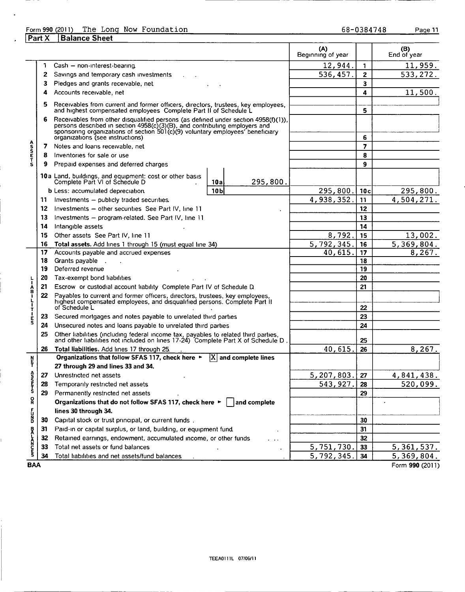## Form 990 (2011) The Long Now Foundation<br>
Part X Balance Sheet 68-0384748 Page 11

| <b>Part X</b> | <b>Balance Sheet</b> |  |
|---------------|----------------------|--|
|               |                      |  |

l.

| Cash - non-interest-bearing<br>1<br>Savings and temporary cash investments<br>2<br>Pledges and grants receivable, net<br>3<br>Accounts receivable, net<br>4<br>Receivables from current and former officers, directors, trustees, key employees,<br>5<br>and highest compensated employees Complete Part II of Schedule L<br>Receivables from other disqualified persons (as defined under section 4958(f)(1)),<br>6<br>persons described in section 4958(c)(3)(B), and contributing employers and<br>sponsoring organizations of section 501(c)(9) voluntary employees' beneficiary<br>organizations (see instructions)<br>Notes and loans receivable, net<br>7<br>Inventories for sale or use<br>8<br>Prepaid expenses and deferred charges<br>9<br>10a Land, buildings, and equipment: cost or other basis<br>Complete Part VI of Schedule D<br>295,800.<br>10a<br>10 <sub>b</sub><br><b>b</b> Less: accumulated depreciation.<br>Investments - publicly traded securities.<br>11 | 12,944.<br>536, 457.                                                                                                                                                                                                                                                                                                                                                                                                                                                                                                                                                                                                                                                                                                                                                                                                                                                                                                                      | $\mathbf{1}$<br>$\overline{2}$<br>3<br>4<br>5<br>6<br>$\overline{z}$<br>8<br>9                                                                                                                                                                                             | 11,959.<br>533, 272.<br>11,500.                                                        |
|--------------------------------------------------------------------------------------------------------------------------------------------------------------------------------------------------------------------------------------------------------------------------------------------------------------------------------------------------------------------------------------------------------------------------------------------------------------------------------------------------------------------------------------------------------------------------------------------------------------------------------------------------------------------------------------------------------------------------------------------------------------------------------------------------------------------------------------------------------------------------------------------------------------------------------------------------------------------------------------|-------------------------------------------------------------------------------------------------------------------------------------------------------------------------------------------------------------------------------------------------------------------------------------------------------------------------------------------------------------------------------------------------------------------------------------------------------------------------------------------------------------------------------------------------------------------------------------------------------------------------------------------------------------------------------------------------------------------------------------------------------------------------------------------------------------------------------------------------------------------------------------------------------------------------------------------|----------------------------------------------------------------------------------------------------------------------------------------------------------------------------------------------------------------------------------------------------------------------------|----------------------------------------------------------------------------------------|
|                                                                                                                                                                                                                                                                                                                                                                                                                                                                                                                                                                                                                                                                                                                                                                                                                                                                                                                                                                                      |                                                                                                                                                                                                                                                                                                                                                                                                                                                                                                                                                                                                                                                                                                                                                                                                                                                                                                                                           |                                                                                                                                                                                                                                                                            |                                                                                        |
|                                                                                                                                                                                                                                                                                                                                                                                                                                                                                                                                                                                                                                                                                                                                                                                                                                                                                                                                                                                      |                                                                                                                                                                                                                                                                                                                                                                                                                                                                                                                                                                                                                                                                                                                                                                                                                                                                                                                                           |                                                                                                                                                                                                                                                                            |                                                                                        |
|                                                                                                                                                                                                                                                                                                                                                                                                                                                                                                                                                                                                                                                                                                                                                                                                                                                                                                                                                                                      |                                                                                                                                                                                                                                                                                                                                                                                                                                                                                                                                                                                                                                                                                                                                                                                                                                                                                                                                           |                                                                                                                                                                                                                                                                            |                                                                                        |
|                                                                                                                                                                                                                                                                                                                                                                                                                                                                                                                                                                                                                                                                                                                                                                                                                                                                                                                                                                                      |                                                                                                                                                                                                                                                                                                                                                                                                                                                                                                                                                                                                                                                                                                                                                                                                                                                                                                                                           |                                                                                                                                                                                                                                                                            |                                                                                        |
|                                                                                                                                                                                                                                                                                                                                                                                                                                                                                                                                                                                                                                                                                                                                                                                                                                                                                                                                                                                      |                                                                                                                                                                                                                                                                                                                                                                                                                                                                                                                                                                                                                                                                                                                                                                                                                                                                                                                                           |                                                                                                                                                                                                                                                                            |                                                                                        |
|                                                                                                                                                                                                                                                                                                                                                                                                                                                                                                                                                                                                                                                                                                                                                                                                                                                                                                                                                                                      |                                                                                                                                                                                                                                                                                                                                                                                                                                                                                                                                                                                                                                                                                                                                                                                                                                                                                                                                           |                                                                                                                                                                                                                                                                            |                                                                                        |
|                                                                                                                                                                                                                                                                                                                                                                                                                                                                                                                                                                                                                                                                                                                                                                                                                                                                                                                                                                                      |                                                                                                                                                                                                                                                                                                                                                                                                                                                                                                                                                                                                                                                                                                                                                                                                                                                                                                                                           |                                                                                                                                                                                                                                                                            |                                                                                        |
|                                                                                                                                                                                                                                                                                                                                                                                                                                                                                                                                                                                                                                                                                                                                                                                                                                                                                                                                                                                      |                                                                                                                                                                                                                                                                                                                                                                                                                                                                                                                                                                                                                                                                                                                                                                                                                                                                                                                                           |                                                                                                                                                                                                                                                                            |                                                                                        |
|                                                                                                                                                                                                                                                                                                                                                                                                                                                                                                                                                                                                                                                                                                                                                                                                                                                                                                                                                                                      |                                                                                                                                                                                                                                                                                                                                                                                                                                                                                                                                                                                                                                                                                                                                                                                                                                                                                                                                           |                                                                                                                                                                                                                                                                            |                                                                                        |
|                                                                                                                                                                                                                                                                                                                                                                                                                                                                                                                                                                                                                                                                                                                                                                                                                                                                                                                                                                                      |                                                                                                                                                                                                                                                                                                                                                                                                                                                                                                                                                                                                                                                                                                                                                                                                                                                                                                                                           |                                                                                                                                                                                                                                                                            |                                                                                        |
|                                                                                                                                                                                                                                                                                                                                                                                                                                                                                                                                                                                                                                                                                                                                                                                                                                                                                                                                                                                      | 295,800.                                                                                                                                                                                                                                                                                                                                                                                                                                                                                                                                                                                                                                                                                                                                                                                                                                                                                                                                  | 10c                                                                                                                                                                                                                                                                        | 295,800.                                                                               |
|                                                                                                                                                                                                                                                                                                                                                                                                                                                                                                                                                                                                                                                                                                                                                                                                                                                                                                                                                                                      | 4,938,352.                                                                                                                                                                                                                                                                                                                                                                                                                                                                                                                                                                                                                                                                                                                                                                                                                                                                                                                                | 11                                                                                                                                                                                                                                                                         | 4,504,271.                                                                             |
| Investments - other securities See Part IV, line 11<br>12                                                                                                                                                                                                                                                                                                                                                                                                                                                                                                                                                                                                                                                                                                                                                                                                                                                                                                                            |                                                                                                                                                                                                                                                                                                                                                                                                                                                                                                                                                                                                                                                                                                                                                                                                                                                                                                                                           | 12                                                                                                                                                                                                                                                                         |                                                                                        |
| 13<br>Investments - program-related. See Part IV, line 11                                                                                                                                                                                                                                                                                                                                                                                                                                                                                                                                                                                                                                                                                                                                                                                                                                                                                                                            |                                                                                                                                                                                                                                                                                                                                                                                                                                                                                                                                                                                                                                                                                                                                                                                                                                                                                                                                           | 13                                                                                                                                                                                                                                                                         |                                                                                        |
| Intangible assets<br>14                                                                                                                                                                                                                                                                                                                                                                                                                                                                                                                                                                                                                                                                                                                                                                                                                                                                                                                                                              |                                                                                                                                                                                                                                                                                                                                                                                                                                                                                                                                                                                                                                                                                                                                                                                                                                                                                                                                           | 14                                                                                                                                                                                                                                                                         |                                                                                        |
| Other assets See Part IV, line 11<br>15                                                                                                                                                                                                                                                                                                                                                                                                                                                                                                                                                                                                                                                                                                                                                                                                                                                                                                                                              | 8,792.                                                                                                                                                                                                                                                                                                                                                                                                                                                                                                                                                                                                                                                                                                                                                                                                                                                                                                                                    | 15                                                                                                                                                                                                                                                                         | 13,002.                                                                                |
| Total assets. Add lines 1 through 15 (must equal line 34)<br>16                                                                                                                                                                                                                                                                                                                                                                                                                                                                                                                                                                                                                                                                                                                                                                                                                                                                                                                      | 5,792,345.                                                                                                                                                                                                                                                                                                                                                                                                                                                                                                                                                                                                                                                                                                                                                                                                                                                                                                                                | 16                                                                                                                                                                                                                                                                         | 5,369,804.                                                                             |
|                                                                                                                                                                                                                                                                                                                                                                                                                                                                                                                                                                                                                                                                                                                                                                                                                                                                                                                                                                                      |                                                                                                                                                                                                                                                                                                                                                                                                                                                                                                                                                                                                                                                                                                                                                                                                                                                                                                                                           |                                                                                                                                                                                                                                                                            | 8,267.                                                                                 |
|                                                                                                                                                                                                                                                                                                                                                                                                                                                                                                                                                                                                                                                                                                                                                                                                                                                                                                                                                                                      |                                                                                                                                                                                                                                                                                                                                                                                                                                                                                                                                                                                                                                                                                                                                                                                                                                                                                                                                           |                                                                                                                                                                                                                                                                            |                                                                                        |
|                                                                                                                                                                                                                                                                                                                                                                                                                                                                                                                                                                                                                                                                                                                                                                                                                                                                                                                                                                                      |                                                                                                                                                                                                                                                                                                                                                                                                                                                                                                                                                                                                                                                                                                                                                                                                                                                                                                                                           |                                                                                                                                                                                                                                                                            |                                                                                        |
|                                                                                                                                                                                                                                                                                                                                                                                                                                                                                                                                                                                                                                                                                                                                                                                                                                                                                                                                                                                      |                                                                                                                                                                                                                                                                                                                                                                                                                                                                                                                                                                                                                                                                                                                                                                                                                                                                                                                                           |                                                                                                                                                                                                                                                                            |                                                                                        |
|                                                                                                                                                                                                                                                                                                                                                                                                                                                                                                                                                                                                                                                                                                                                                                                                                                                                                                                                                                                      |                                                                                                                                                                                                                                                                                                                                                                                                                                                                                                                                                                                                                                                                                                                                                                                                                                                                                                                                           |                                                                                                                                                                                                                                                                            |                                                                                        |
| Payables to current and former officers, directors, trustees, key employees,<br>22<br>highest compensated employees, and disqualified persons. Complete Part II                                                                                                                                                                                                                                                                                                                                                                                                                                                                                                                                                                                                                                                                                                                                                                                                                      |                                                                                                                                                                                                                                                                                                                                                                                                                                                                                                                                                                                                                                                                                                                                                                                                                                                                                                                                           |                                                                                                                                                                                                                                                                            |                                                                                        |
|                                                                                                                                                                                                                                                                                                                                                                                                                                                                                                                                                                                                                                                                                                                                                                                                                                                                                                                                                                                      |                                                                                                                                                                                                                                                                                                                                                                                                                                                                                                                                                                                                                                                                                                                                                                                                                                                                                                                                           |                                                                                                                                                                                                                                                                            |                                                                                        |
|                                                                                                                                                                                                                                                                                                                                                                                                                                                                                                                                                                                                                                                                                                                                                                                                                                                                                                                                                                                      |                                                                                                                                                                                                                                                                                                                                                                                                                                                                                                                                                                                                                                                                                                                                                                                                                                                                                                                                           |                                                                                                                                                                                                                                                                            |                                                                                        |
|                                                                                                                                                                                                                                                                                                                                                                                                                                                                                                                                                                                                                                                                                                                                                                                                                                                                                                                                                                                      |                                                                                                                                                                                                                                                                                                                                                                                                                                                                                                                                                                                                                                                                                                                                                                                                                                                                                                                                           |                                                                                                                                                                                                                                                                            |                                                                                        |
|                                                                                                                                                                                                                                                                                                                                                                                                                                                                                                                                                                                                                                                                                                                                                                                                                                                                                                                                                                                      |                                                                                                                                                                                                                                                                                                                                                                                                                                                                                                                                                                                                                                                                                                                                                                                                                                                                                                                                           | 25                                                                                                                                                                                                                                                                         |                                                                                        |
| 26                                                                                                                                                                                                                                                                                                                                                                                                                                                                                                                                                                                                                                                                                                                                                                                                                                                                                                                                                                                   |                                                                                                                                                                                                                                                                                                                                                                                                                                                                                                                                                                                                                                                                                                                                                                                                                                                                                                                                           |                                                                                                                                                                                                                                                                            | 8,267.                                                                                 |
|                                                                                                                                                                                                                                                                                                                                                                                                                                                                                                                                                                                                                                                                                                                                                                                                                                                                                                                                                                                      |                                                                                                                                                                                                                                                                                                                                                                                                                                                                                                                                                                                                                                                                                                                                                                                                                                                                                                                                           |                                                                                                                                                                                                                                                                            |                                                                                        |
|                                                                                                                                                                                                                                                                                                                                                                                                                                                                                                                                                                                                                                                                                                                                                                                                                                                                                                                                                                                      |                                                                                                                                                                                                                                                                                                                                                                                                                                                                                                                                                                                                                                                                                                                                                                                                                                                                                                                                           |                                                                                                                                                                                                                                                                            |                                                                                        |
|                                                                                                                                                                                                                                                                                                                                                                                                                                                                                                                                                                                                                                                                                                                                                                                                                                                                                                                                                                                      |                                                                                                                                                                                                                                                                                                                                                                                                                                                                                                                                                                                                                                                                                                                                                                                                                                                                                                                                           |                                                                                                                                                                                                                                                                            | 4,841,438.                                                                             |
|                                                                                                                                                                                                                                                                                                                                                                                                                                                                                                                                                                                                                                                                                                                                                                                                                                                                                                                                                                                      |                                                                                                                                                                                                                                                                                                                                                                                                                                                                                                                                                                                                                                                                                                                                                                                                                                                                                                                                           |                                                                                                                                                                                                                                                                            | 520,099.                                                                               |
|                                                                                                                                                                                                                                                                                                                                                                                                                                                                                                                                                                                                                                                                                                                                                                                                                                                                                                                                                                                      |                                                                                                                                                                                                                                                                                                                                                                                                                                                                                                                                                                                                                                                                                                                                                                                                                                                                                                                                           |                                                                                                                                                                                                                                                                            |                                                                                        |
|                                                                                                                                                                                                                                                                                                                                                                                                                                                                                                                                                                                                                                                                                                                                                                                                                                                                                                                                                                                      |                                                                                                                                                                                                                                                                                                                                                                                                                                                                                                                                                                                                                                                                                                                                                                                                                                                                                                                                           |                                                                                                                                                                                                                                                                            |                                                                                        |
|                                                                                                                                                                                                                                                                                                                                                                                                                                                                                                                                                                                                                                                                                                                                                                                                                                                                                                                                                                                      |                                                                                                                                                                                                                                                                                                                                                                                                                                                                                                                                                                                                                                                                                                                                                                                                                                                                                                                                           |                                                                                                                                                                                                                                                                            |                                                                                        |
| 30                                                                                                                                                                                                                                                                                                                                                                                                                                                                                                                                                                                                                                                                                                                                                                                                                                                                                                                                                                                   |                                                                                                                                                                                                                                                                                                                                                                                                                                                                                                                                                                                                                                                                                                                                                                                                                                                                                                                                           |                                                                                                                                                                                                                                                                            |                                                                                        |
| 31                                                                                                                                                                                                                                                                                                                                                                                                                                                                                                                                                                                                                                                                                                                                                                                                                                                                                                                                                                                   |                                                                                                                                                                                                                                                                                                                                                                                                                                                                                                                                                                                                                                                                                                                                                                                                                                                                                                                                           |                                                                                                                                                                                                                                                                            |                                                                                        |
| 32                                                                                                                                                                                                                                                                                                                                                                                                                                                                                                                                                                                                                                                                                                                                                                                                                                                                                                                                                                                   |                                                                                                                                                                                                                                                                                                                                                                                                                                                                                                                                                                                                                                                                                                                                                                                                                                                                                                                                           |                                                                                                                                                                                                                                                                            |                                                                                        |
|                                                                                                                                                                                                                                                                                                                                                                                                                                                                                                                                                                                                                                                                                                                                                                                                                                                                                                                                                                                      |                                                                                                                                                                                                                                                                                                                                                                                                                                                                                                                                                                                                                                                                                                                                                                                                                                                                                                                                           | 33                                                                                                                                                                                                                                                                         |                                                                                        |
| 33<br>34<br>Total liabilities and net assets/fund balances                                                                                                                                                                                                                                                                                                                                                                                                                                                                                                                                                                                                                                                                                                                                                                                                                                                                                                                           | 5,792,345.                                                                                                                                                                                                                                                                                                                                                                                                                                                                                                                                                                                                                                                                                                                                                                                                                                                                                                                                | 34                                                                                                                                                                                                                                                                         | 5, 361, 537.<br>5,369,804.                                                             |
| 17<br>18<br>19<br>20<br>21<br>23<br>24<br>25<br>28<br>29                                                                                                                                                                                                                                                                                                                                                                                                                                                                                                                                                                                                                                                                                                                                                                                                                                                                                                                             | Accounts payable and accrued expenses<br>Grants payable<br>Deferred revenue<br>Tax-exempt bond liabilities<br>Escrow or custodial account liability Complete Part IV of Schedule D.<br>of Schedule L<br>Secured mortgages and notes payable to unrelated third parties<br>Unsecured notes and loans payable to unrelated third parties<br>Total liabilities. Add lines 17 through 25.<br>Organizations that follow SFAS 117, check here ►<br>$ X $ and complete lines<br>27 through 29 and lines 33 and 34.<br>27 Unrestricted net assets<br>Temporarily restricted net assets<br>Permanently restricted net assets<br>Organizations that do not follow SFAS 117, check here $\blacktriangleright$   and complete<br>lines 30 through 34.<br>Capital stock or trust principal, or current funds.<br>Paid-in or capital surplus, or land, building, or equipment fund.<br>Retained earnings, endowment, accumulated income, or other funds | 40,615.<br>Other liabilities (including federal income tax, payables to related third parties, and other liabilities not included on lines 17-24) Complete Part X of Schedule D.<br>40,615<br>5, 207, 803.<br>543, 927.<br>5,751,730.<br>Total net assets or fund balances | 17<br>18<br>19<br>20<br>21<br>22<br>23<br>24<br>26<br>27<br>28<br>29<br>30<br>31<br>32 |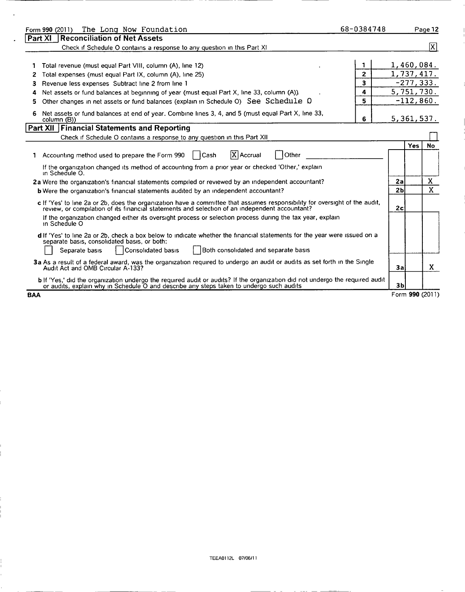| The Long Now Foundation<br>Form 990 (2011)                                                                                                                                                                                    | 68-0384748   |                 |              | Page 12        |
|-------------------------------------------------------------------------------------------------------------------------------------------------------------------------------------------------------------------------------|--------------|-----------------|--------------|----------------|
| <b>Reconciliation of Net Assets</b><br>Part XI                                                                                                                                                                                |              |                 |              |                |
| Check if Schedule O contains a response to any question in this Part XI                                                                                                                                                       |              |                 |              | [X]            |
|                                                                                                                                                                                                                               |              |                 |              |                |
| Total revenue (must equal Part VIII, column (A), line 12)                                                                                                                                                                     |              | 1,460,084.      |              |                |
| Total expenses (must equal Part IX, column (A), line 25)                                                                                                                                                                      | $\mathbf{z}$ | 1,737,417.      |              |                |
| Revenue less expenses Subtract line 2 from line 1<br>3                                                                                                                                                                        | 3            |                 | $-277, 333.$ |                |
| Net assets or fund balances at beginning of year (must equal Part X, line 33, column (A)).                                                                                                                                    | 4            | 5,751,730.      |              |                |
| Other changes in net assets or fund balances (explain in Schedule O) See Schedule O<br>5                                                                                                                                      | 5            |                 | $-112,860.$  |                |
| Net assets or fund balances at end of year. Combine lines 3, 4, and 5 (must equal Part X, line 33,<br>6<br>column (B))                                                                                                        | 6            | 5,361,537.      |              |                |
| Part XII   Financial Statements and Reporting                                                                                                                                                                                 |              |                 |              |                |
| Check if Schedule O contains a response to any question in this Part XII                                                                                                                                                      |              |                 |              |                |
|                                                                                                                                                                                                                               |              |                 | <b>Yes</b>   | No             |
| X Accrual<br>Other<br>1 Accounting method used to prepare the Form 990<br>l Cash                                                                                                                                              |              |                 |              |                |
| If the organization changed its method of accounting from a prior year or checked 'Other,' explain<br>in Schedule O.                                                                                                          |              |                 |              |                |
| 2a Were the organization's financial statements compiled or reviewed by an independent accountant?                                                                                                                            |              | 2a              |              | $\mathbf{X}$   |
| <b>b</b> Were the organization's financial statements audited by an independent accountant?                                                                                                                                   |              | 2 <sub>b</sub>  |              | $\overline{X}$ |
| c If 'Yes' to line 2a or 2b, does the organization have a committee that assumes responsibility for oversight of the audit,<br>review, or compilation of its financial statements and selection of an independent accountant? |              | 2c              |              |                |
| If the organization changed either its oversight process or selection process during the tax year, explain<br>in Schedule O                                                                                                   |              |                 |              |                |
| d If 'Yes' to line 2a or 2b, check a box below to indicate whether the financial statements for the year were issued on a<br>separate basis, consolidated basis, or both:                                                     |              |                 |              |                |
| Consolidated basis<br>Both consolidated and separate basis<br>Separate basis                                                                                                                                                  |              |                 |              |                |
| 3a As a result of a federal award, was the organization required to undergo an audit or audits as set forth in the Single<br>Audit Act and OMB Circular A-133?                                                                |              | 3a              |              | X              |
| b If 'Yes,' did the organization undergo the required audit or audits? If the organization did not undergo the required audit<br>or audits, explain why in Schedule O and describe any steps taken to undergo such audits     |              | 3 <sub>b</sub>  |              |                |
| <b>BAA</b>                                                                                                                                                                                                                    |              | Form 990 (2011) |              |                |

 $\ddot{\phantom{a}}$ 

 $\ddot{\phantom{1}}$ 

ţ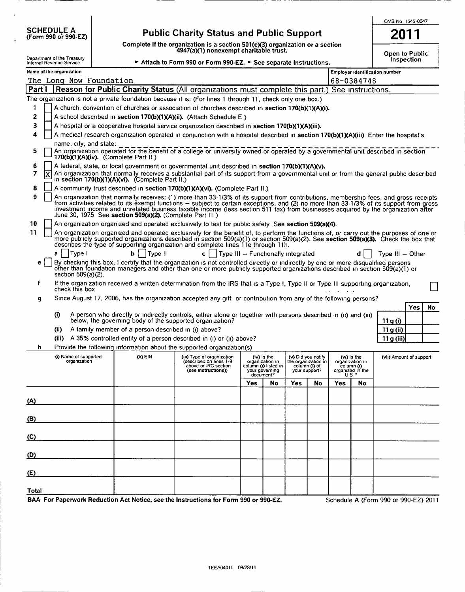| <b>SCHEDULE A</b>    |  |  |  |
|----------------------|--|--|--|
| (Form 990 or 990-EZ) |  |  |  |

## Public Charity Status and Public Support

Complete if the organization is a section 501 (cX3) organization or a section 4947(a)(1) nonexempt charitable trust.

OMB No 1545-0047 2011

| Open to Public |  |
|----------------|--|
| Inspection     |  |

| Attach to Form 990 or Form 990-EZ. > See separate instructions |  |
|----------------------------------------------------------------|--|
|----------------------------------------------------------------|--|

|              | Department of the Treasury<br>Internal Revenue Service                                                                                                                                                                                                                                                                                                                                                                                                                            |  |                                                     | Attach to Form 990 or Form 990-EZ. $\triangleright$ See separate instructions.                                                                                                                                                                                                                                                                                       |                                    |                                                                          |                                                      |                     |                        |                                                                  | ODCH ID FUDIIL                 | Inspection |    |
|--------------|-----------------------------------------------------------------------------------------------------------------------------------------------------------------------------------------------------------------------------------------------------------------------------------------------------------------------------------------------------------------------------------------------------------------------------------------------------------------------------------|--|-----------------------------------------------------|----------------------------------------------------------------------------------------------------------------------------------------------------------------------------------------------------------------------------------------------------------------------------------------------------------------------------------------------------------------------|------------------------------------|--------------------------------------------------------------------------|------------------------------------------------------|---------------------|------------------------|------------------------------------------------------------------|--------------------------------|------------|----|
|              | Name of the organization                                                                                                                                                                                                                                                                                                                                                                                                                                                          |  |                                                     |                                                                                                                                                                                                                                                                                                                                                                      |                                    |                                                                          |                                                      |                     |                        |                                                                  | Employer identification number |            |    |
|              | The Long Now Foundation                                                                                                                                                                                                                                                                                                                                                                                                                                                           |  |                                                     |                                                                                                                                                                                                                                                                                                                                                                      |                                    |                                                                          |                                                      |                     |                        | 68-0384748                                                       |                                |            |    |
|              |                                                                                                                                                                                                                                                                                                                                                                                                                                                                                   |  |                                                     | Part I Reason for Public Charity Status (All organizations must complete this part.) See instructions.                                                                                                                                                                                                                                                               |                                    |                                                                          |                                                      |                     |                        |                                                                  |                                |            |    |
|              |                                                                                                                                                                                                                                                                                                                                                                                                                                                                                   |  |                                                     | The organization is not a private foundation because it is: (For lines 1 through 11, check only one box.)                                                                                                                                                                                                                                                            |                                    |                                                                          |                                                      |                     |                        |                                                                  |                                |            |    |
| 1.           |                                                                                                                                                                                                                                                                                                                                                                                                                                                                                   |  |                                                     | A church, convention of churches or association of churches described in section 170(b)(1)(A)(i).                                                                                                                                                                                                                                                                    |                                    |                                                                          |                                                      |                     |                        |                                                                  |                                |            |    |
| 2            |                                                                                                                                                                                                                                                                                                                                                                                                                                                                                   |  |                                                     | A school described in section 170(b)(1)(A)(ii). (Attach Schedule E)                                                                                                                                                                                                                                                                                                  |                                    |                                                                          |                                                      |                     |                        |                                                                  |                                |            |    |
| З            |                                                                                                                                                                                                                                                                                                                                                                                                                                                                                   |  |                                                     | A hospital or a cooperative hospital service organization described in section 170(b)(1)(A)(iii).                                                                                                                                                                                                                                                                    |                                    |                                                                          |                                                      |                     |                        |                                                                  |                                |            |    |
| 4            | name, city, and state:                                                                                                                                                                                                                                                                                                                                                                                                                                                            |  |                                                     | A medical research organization operated in conjunction with a hospital described in section 170(b)(1)(A)(iii) Enter the hospital's                                                                                                                                                                                                                                  |                                    |                                                                          |                                                      |                     |                        |                                                                  |                                |            |    |
| 5            |                                                                                                                                                                                                                                                                                                                                                                                                                                                                                   |  | 170(b)(1)(A)(iv). (Complete Part II)                | An organization operated for the benefit of a college or university owned or operated by a governmental unit described in section                                                                                                                                                                                                                                    |                                    |                                                                          |                                                      |                     |                        |                                                                  |                                |            |    |
| 6            |                                                                                                                                                                                                                                                                                                                                                                                                                                                                                   |  |                                                     | A federal, state, or local government or governmental unit described in section 170(b)(1)(A)(v).                                                                                                                                                                                                                                                                     |                                    |                                                                          |                                                      |                     |                        |                                                                  |                                |            |    |
| 7            | ĺΧ                                                                                                                                                                                                                                                                                                                                                                                                                                                                                |  | in section 170(b)(1)(A)(vi). (Complete Part II.)    | An organization that normally receives a substantial part of its support from a governmental unit or from the general public described                                                                                                                                                                                                                               |                                    |                                                                          |                                                      |                     |                        |                                                                  |                                |            |    |
| 8            |                                                                                                                                                                                                                                                                                                                                                                                                                                                                                   |  |                                                     | A community trust described in section 170(b)(1)(A)(vi). (Complete Part II.)                                                                                                                                                                                                                                                                                         |                                    |                                                                          |                                                      |                     |                        |                                                                  |                                |            |    |
| 9            | An organization that normally receives: (1) more than 33-1/3% of its support from contributions, membership fees, and gross receipts<br>from activities related to its exempt functions – subject to certain exceptions, and (2) no more than 33-1/3% of its support from gross<br>investment income and unrelated business taxable income (less section 511 tax) from businesses acquired by the organization after<br>June 30, 1975 See section 509(a)(2). (Complete Part III ) |  |                                                     |                                                                                                                                                                                                                                                                                                                                                                      |                                    |                                                                          |                                                      |                     |                        |                                                                  |                                |            |    |
| 10           |                                                                                                                                                                                                                                                                                                                                                                                                                                                                                   |  |                                                     | An organization organized and operated exclusively to test for public safety. See section 509(a)(4).                                                                                                                                                                                                                                                                 |                                    |                                                                          |                                                      |                     |                        |                                                                  |                                |            |    |
| 11           |                                                                                                                                                                                                                                                                                                                                                                                                                                                                                   |  |                                                     | An organization organized and operated exclusively for the benefit of, to perform the functions of, or carry out the purposes of one or<br>more publicly supported organizations described in section 509(a)(1) or section 509(a)(2). See section 509(a)(3). Check the box that<br>describes the type of supporting organization and complete lines 11e through 11h. |                                    |                                                                          |                                                      |                     |                        |                                                                  |                                |            |    |
|              | Type I<br>a                                                                                                                                                                                                                                                                                                                                                                                                                                                                       |  | Type II<br>b.                                       | $c \mid$ $\mid$                                                                                                                                                                                                                                                                                                                                                      | Type III - Functionally integrated |                                                                          |                                                      |                     |                        |                                                                  | Type $III - Other$             |            |    |
| е            | section 509(a)(2).                                                                                                                                                                                                                                                                                                                                                                                                                                                                |  |                                                     | By checking this box, I certify that the organization is not controlled directly or indirectly by one or more disqualified persons<br>other than foundation managers and other than one or more publicly supported organizations described in section 509(a)(1) or                                                                                                   |                                    |                                                                          |                                                      |                     |                        |                                                                  |                                |            |    |
| f            | check this box                                                                                                                                                                                                                                                                                                                                                                                                                                                                    |  |                                                     | If the organization received a written determination from the IRS that is a Type I, Type II or Type III supporting organization,                                                                                                                                                                                                                                     |                                    |                                                                          |                                                      |                     |                        |                                                                  |                                |            |    |
| g            |                                                                                                                                                                                                                                                                                                                                                                                                                                                                                   |  |                                                     | Since August 17, 2006, has the organization accepted any gift or contribution from any of the following persons?                                                                                                                                                                                                                                                     |                                    |                                                                          |                                                      |                     |                        |                                                                  |                                |            |    |
|              | (i)                                                                                                                                                                                                                                                                                                                                                                                                                                                                               |  |                                                     | A person who directly or indirectly controls, either alone or together with persons described in (ii) and (iii)<br>below, the governing body of the supported organization?                                                                                                                                                                                          |                                    |                                                                          |                                                      |                     |                        |                                                                  | 11 g (i)                       | Yes        | No |
|              | (i)                                                                                                                                                                                                                                                                                                                                                                                                                                                                               |  | A family member of a person described in (i) above? |                                                                                                                                                                                                                                                                                                                                                                      |                                    |                                                                          |                                                      |                     |                        |                                                                  | 11 g (ii)                      |            |    |
|              |                                                                                                                                                                                                                                                                                                                                                                                                                                                                                   |  |                                                     | (iii) A 35% controlled entity of a person described in (i) or (ii) above?                                                                                                                                                                                                                                                                                            |                                    |                                                                          |                                                      |                     |                        |                                                                  | 11g (iii)                      |            |    |
| h            |                                                                                                                                                                                                                                                                                                                                                                                                                                                                                   |  |                                                     | Provide the following information about the supported organization(s)                                                                                                                                                                                                                                                                                                |                                    |                                                                          |                                                      |                     |                        |                                                                  |                                |            |    |
|              | (i) Name of supported<br>organization                                                                                                                                                                                                                                                                                                                                                                                                                                             |  | $(ii)$ EIN                                          | (III) Type of organization<br>(described on lines 1-9<br>above or IRC section<br>(see instructions))                                                                                                                                                                                                                                                                 |                                    | (iv) is the<br>organization in<br>column (i) listed in<br>your governing | (v) Did you notify<br>column (i) of<br>your support? | the organization in |                        | (vi) is the<br>organization in<br>column (I)<br>organized in the | (vii) Amount of support        |            |    |
|              |                                                                                                                                                                                                                                                                                                                                                                                                                                                                                   |  |                                                     |                                                                                                                                                                                                                                                                                                                                                                      | Yes                                | document?<br>No.                                                         | Yes                                                  | No                  | US <sub>2</sub><br>Yes | No                                                               |                                |            |    |
|              |                                                                                                                                                                                                                                                                                                                                                                                                                                                                                   |  |                                                     |                                                                                                                                                                                                                                                                                                                                                                      |                                    |                                                                          |                                                      |                     |                        |                                                                  |                                |            |    |
| (A)          |                                                                                                                                                                                                                                                                                                                                                                                                                                                                                   |  |                                                     |                                                                                                                                                                                                                                                                                                                                                                      |                                    |                                                                          |                                                      |                     |                        |                                                                  |                                |            |    |
|              |                                                                                                                                                                                                                                                                                                                                                                                                                                                                                   |  |                                                     |                                                                                                                                                                                                                                                                                                                                                                      |                                    |                                                                          |                                                      |                     |                        |                                                                  |                                |            |    |
| (B)          |                                                                                                                                                                                                                                                                                                                                                                                                                                                                                   |  |                                                     |                                                                                                                                                                                                                                                                                                                                                                      |                                    |                                                                          |                                                      |                     |                        |                                                                  |                                |            |    |
| (C)          |                                                                                                                                                                                                                                                                                                                                                                                                                                                                                   |  |                                                     |                                                                                                                                                                                                                                                                                                                                                                      |                                    |                                                                          |                                                      |                     |                        |                                                                  |                                |            |    |
| (D)          |                                                                                                                                                                                                                                                                                                                                                                                                                                                                                   |  |                                                     |                                                                                                                                                                                                                                                                                                                                                                      |                                    |                                                                          |                                                      |                     |                        |                                                                  |                                |            |    |
| (E)          |                                                                                                                                                                                                                                                                                                                                                                                                                                                                                   |  |                                                     |                                                                                                                                                                                                                                                                                                                                                                      |                                    |                                                                          |                                                      |                     |                        |                                                                  |                                |            |    |
| <b>Total</b> |                                                                                                                                                                                                                                                                                                                                                                                                                                                                                   |  |                                                     |                                                                                                                                                                                                                                                                                                                                                                      |                                    |                                                                          |                                                      |                     |                        |                                                                  |                                |            |    |

BAA For Paperwork Reduction Act Notice, see the Instructions for Form 990 or 990-EZ. Schedule A (Form 990 or 990-EZ) 2011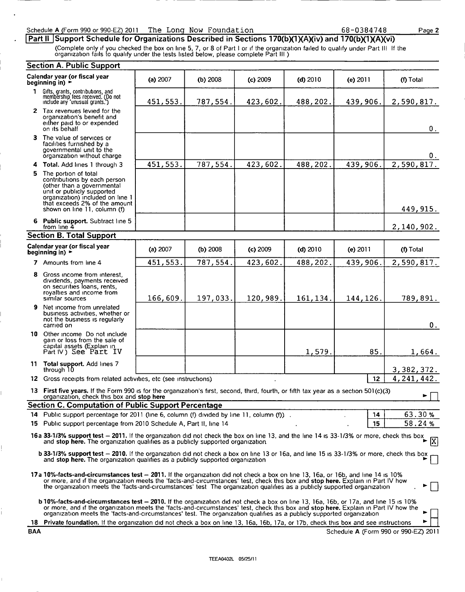#### Schedule A (Form 990 or 990-EZ) 2011 The Long Now Foundation 68-0384748

|Part ll ISupport Schedule for Organizations Described in Sections 170(b)(1)(A)(iv) and 170(b)(1)(A)(vi)

(Complete only if you checked the box on line 5, 7, or 8 of Part <sup>I</sup> or if the organization failed to qualify under Part III If the organization fails to qualify under the tests listed below, please complete Part Ill )

#### Section A. Public Support

|             | Secuon A. Fublic Support                                                                                                                                                                                                                                                                                                                                                                                    |            |          |            |            |            |                                      |
|-------------|-------------------------------------------------------------------------------------------------------------------------------------------------------------------------------------------------------------------------------------------------------------------------------------------------------------------------------------------------------------------------------------------------------------|------------|----------|------------|------------|------------|--------------------------------------|
|             | Calendar year (or fiscal year<br>beginning in) $\rightarrow$                                                                                                                                                                                                                                                                                                                                                | (a) 2007   | (b) 2008 | $(c)$ 2009 | (d) $2010$ | (e) $2011$ | (f) Total                            |
| $\mathbf 1$ | Gifts, grants, contributions, and<br>membership fees received. (Do not<br>include any 'unusual grants.')                                                                                                                                                                                                                                                                                                    | 451,553.   | 787,554. | 423,602.   | 488,202.   | 439,906.   | 2,590,817.                           |
|             | 2 Tax revenues levied for the<br>organization's benefit and<br>either paid to or expended<br>on its behalf                                                                                                                                                                                                                                                                                                  |            |          |            |            |            | 0.                                   |
|             | 3 The value of services or<br>facilities furnished by a<br>governmental unit to the<br>organization without charge                                                                                                                                                                                                                                                                                          |            |          |            |            |            | 0.                                   |
|             | 4 Total. Add lines 1 through 3                                                                                                                                                                                                                                                                                                                                                                              | 451,553.   | 787,554. | 423,602.   | 488,202.   | 439,906.   | 2,590,817.                           |
|             | 5 The portion of total<br>contributions by each person<br>(other than a governmental<br>unit or publicly supported<br>organization) included on line 1<br>that exceeds 2% of the amount<br>shown on line 11, column (f)                                                                                                                                                                                     |            |          |            |            |            | 449,915.                             |
|             | 6 Public support. Subtract line 5<br>from line 4                                                                                                                                                                                                                                                                                                                                                            |            |          |            |            |            | 2,140,902.                           |
|             | <b>Section B. Total Support</b>                                                                                                                                                                                                                                                                                                                                                                             |            |          |            |            |            |                                      |
|             | Calendar year (or fiscal year<br>beginning in) $\blacktriangleright$                                                                                                                                                                                                                                                                                                                                        | (a) $2007$ | (b) 2008 | $(c)$ 2009 | $(d)$ 2010 | (e) $2011$ | (f) Total                            |
|             | 7 Amounts from line 4                                                                                                                                                                                                                                                                                                                                                                                       | 451,553.   | 787,554. | 423,602.   | 488,202.   | 439,906.   | 2,590,817.                           |
| 8           | Gross income from interest,<br>dividends, payments received<br>on securities loans, rents,<br>royalties and income from<br>similar sources                                                                                                                                                                                                                                                                  | 166,609.   | 197,033. | 120,989.   | 161, 134.  | 144,126.   | 789,891.                             |
| 9           | Net income from unrelated<br>business activities, whether or<br>not the business is regularly<br>carried on                                                                                                                                                                                                                                                                                                 |            |          |            |            |            | 0.                                   |
|             | 10 Other income Do not include<br>gain or loss from the sale of<br>capital assets (Explain in<br>Part IV) See Part IV                                                                                                                                                                                                                                                                                       |            |          |            | 1,579.     | 85.        | 1,664.                               |
|             | 11 Total support. Add lines 7<br>through 10                                                                                                                                                                                                                                                                                                                                                                 |            |          |            |            |            | 3, 382, 372.                         |
|             | 12 Gross receipts from related activities, etc (see instructions).                                                                                                                                                                                                                                                                                                                                          |            |          |            |            | 12         | 4, 241, 442.                         |
|             | 13 First five years. If the Form 990 is for the organization's first, second, third, fourth, or fifth tax year as a section 501(c)(3)<br>organization, check this box and stop here                                                                                                                                                                                                                         |            |          |            |            |            | ►                                    |
|             | <b>Section C. Computation of Public Support Percentage</b>                                                                                                                                                                                                                                                                                                                                                  |            |          |            |            |            |                                      |
|             | 14 Public support percentage for 2011 (line 6, column (f) divided by line 11, column (f)).                                                                                                                                                                                                                                                                                                                  |            |          |            |            | 14         | 63.30%                               |
|             | 15 Public support percentage from 2010 Schedule A, Part II, line 14                                                                                                                                                                                                                                                                                                                                         |            |          |            |            | 15         | 58.24%                               |
|             | 16a 33-1/3% support test - 2011. If the organization did not check the box on line 13, and the line 14 is 33-1/3% or more, check this box<br>and stop here. The organization qualifies as a publicly supported organization                                                                                                                                                                                 |            |          |            |            |            | 冈                                    |
|             | <b>b 33-1/3% support test – 2010.</b> If the organization did not check a box on line 13 or 16a, and line 15 is 33-1/3% or more, check this box<br>and stop here. The organization qualifies as a publicly supported organization                                                                                                                                                                           |            |          |            |            |            |                                      |
|             | 17a 10%-facts-and-circumstances test - 2011. If the organization did not check a box on line 13, 16a, or 16b, and line 14 is 10%<br>or more, and if the organization meets the 'facts-and-circumstances' test, check this box and stop here. Explain in Part IV how<br>the organization meets the 'facts-and-circumstances' test. The organization qualifies as a publicly supported organization           |            |          |            |            |            |                                      |
|             | <b>b</b> 10%-facts-and-circumstances test – 2010. If the organization did not check a box on line 13, 16a, 16b, or 17a, and line 15 is 10%<br>or more, and if the organization meets the 'facts-and-circumstances' test, check this box and stop here. Explain in Part IV how the<br>organization meets the 'facts-and-circumstances' test. The organization qualifies as a publicly supported organization |            |          |            |            |            |                                      |
|             | 18 Private foundation. If the organization did not check a box on line 13, 16a, 16b, 17a, or 17b, check this box and see instructions                                                                                                                                                                                                                                                                       |            |          |            |            |            |                                      |
| BAA         |                                                                                                                                                                                                                                                                                                                                                                                                             |            |          |            |            |            | Schedule A (Form 990 or 990-EZ) 2011 |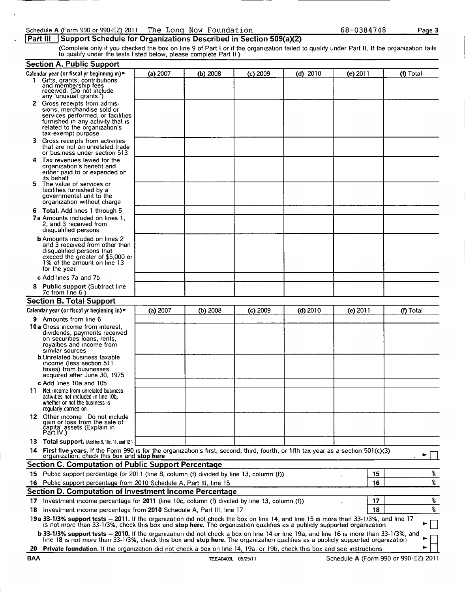#### Schedule A (Form <sup>990</sup> or 990-EZ) <sup>2011</sup> The Long Now Foundation

#### **Part III Support Schedule for Organizations Described in Section 509(a)(2)**

(Complete only if you checked the box on line 9 of Part <sup>I</sup> or if the organization failed to qualify under Part II. If the organization fails to qualify under the tests listed below, please complete Part II )

|     | <b>Section A. Public Support</b>                                                                                                                                                                                                                                        |          |            |            |            |            |    |           |
|-----|-------------------------------------------------------------------------------------------------------------------------------------------------------------------------------------------------------------------------------------------------------------------------|----------|------------|------------|------------|------------|----|-----------|
|     | Calendar year (or fiscal yr beginning in)                                                                                                                                                                                                                               | (a) 2007 | $(b)$ 2008 | $(c)$ 2009 | $(d)$ 2010 | (e) 2011   |    | (f) Total |
|     | 1 Gifts, grants, contributions<br>and membership fees<br>received. (Do not include                                                                                                                                                                                      |          |            |            |            |            |    |           |
|     | any 'unusual grants.')                                                                                                                                                                                                                                                  |          |            |            |            |            |    |           |
|     | 2 Gross receipts from admis-                                                                                                                                                                                                                                            |          |            |            |            |            |    |           |
|     | sions, merchandise sold or<br>services performed, or facilities                                                                                                                                                                                                         |          |            |            |            |            |    |           |
|     | furnished in any activity that is                                                                                                                                                                                                                                       |          |            |            |            |            |    |           |
|     | related to the organization's                                                                                                                                                                                                                                           |          |            |            |            |            |    |           |
|     | tax-exempt purpose                                                                                                                                                                                                                                                      |          |            |            |            |            |    |           |
| з.  | Gross receipts from activities                                                                                                                                                                                                                                          |          |            |            |            |            |    |           |
|     | that are not an unrelated trade                                                                                                                                                                                                                                         |          |            |            |            |            |    |           |
|     | or business under section 513                                                                                                                                                                                                                                           |          |            |            |            |            |    |           |
| 4   | Tax revenues levied for the<br>organization's benefit and                                                                                                                                                                                                               |          |            |            |            |            |    |           |
|     | either paid to or expended on                                                                                                                                                                                                                                           |          |            |            |            |            |    |           |
|     | its behalf                                                                                                                                                                                                                                                              |          |            |            |            |            |    |           |
|     | 5 The value of services or                                                                                                                                                                                                                                              |          |            |            |            |            |    |           |
|     | facilities furnished by a<br>governmental unit to the                                                                                                                                                                                                                   |          |            |            |            |            |    |           |
|     | organization without charge                                                                                                                                                                                                                                             |          |            |            |            |            |    |           |
|     | 6 Total. Add lines 1 through 5                                                                                                                                                                                                                                          |          |            |            |            |            |    |           |
|     | 7a Amounts included on lines 1.                                                                                                                                                                                                                                         |          |            |            |            |            |    |           |
|     | 2, and 3 received from                                                                                                                                                                                                                                                  |          |            |            |            |            |    |           |
|     | disqualified persons                                                                                                                                                                                                                                                    |          |            |            |            |            |    |           |
|     | <b>b</b> Amounts included on lines 2                                                                                                                                                                                                                                    |          |            |            |            |            |    |           |
|     | and 3 received from other than                                                                                                                                                                                                                                          |          |            |            |            |            |    |           |
|     | disqualified persons that<br>exceed the greater of \$5,000 or                                                                                                                                                                                                           |          |            |            |            |            |    |           |
|     | 1% of the amount on line 13                                                                                                                                                                                                                                             |          |            |            |            |            |    |           |
|     | for the year                                                                                                                                                                                                                                                            |          |            |            |            |            |    |           |
|     | c Add lines 7a and 7b                                                                                                                                                                                                                                                   |          |            |            |            |            |    |           |
| 8   | <b>Public support (Subtract line</b>                                                                                                                                                                                                                                    |          |            |            |            |            |    |           |
|     | 7c from line 6)                                                                                                                                                                                                                                                         |          |            |            |            |            |    |           |
|     | <b>Section B. Total Support</b>                                                                                                                                                                                                                                         |          |            |            |            |            |    |           |
|     | Calendar year (or fiscal yr beginning in) $\blacktriangleright$                                                                                                                                                                                                         | (a) 2007 | (b) 2008   | $(c)$ 2009 | $(d)$ 2010 | (e) $2011$ |    | (f) Total |
|     | <b>9</b> Amounts from line 6                                                                                                                                                                                                                                            |          |            |            |            |            |    |           |
|     | 10a Gross income from interest,                                                                                                                                                                                                                                         |          |            |            |            |            |    |           |
|     | dividends, payments received                                                                                                                                                                                                                                            |          |            |            |            |            |    |           |
|     | on securities loans, rents,                                                                                                                                                                                                                                             |          |            |            |            |            |    |           |
|     | royalties and income from<br>similar sources                                                                                                                                                                                                                            |          |            |            |            |            |    |           |
|     | <b>b</b> Unrelated business taxable                                                                                                                                                                                                                                     |          |            |            |            |            |    |           |
|     | income (less section 511)                                                                                                                                                                                                                                               |          |            |            |            |            |    |           |
|     | taxes) from businesses                                                                                                                                                                                                                                                  |          |            |            |            |            |    |           |
|     | acquired after June 30, 1975                                                                                                                                                                                                                                            |          |            |            |            |            |    |           |
|     | c Add lines 10a and 10b                                                                                                                                                                                                                                                 |          |            |            |            |            |    |           |
| 11. | Net income from unrelated business                                                                                                                                                                                                                                      |          |            |            |            |            |    |           |
|     | activities not included in line 10b,<br>whether or not the business is                                                                                                                                                                                                  |          |            |            |            |            |    |           |
|     | regularly carried on                                                                                                                                                                                                                                                    |          |            |            |            |            |    |           |
|     | 12 Other income Do not include                                                                                                                                                                                                                                          |          |            |            |            |            |    |           |
|     | gain or loss from the sale of                                                                                                                                                                                                                                           |          |            |            |            |            |    |           |
|     | čapital assets (Explain in<br>Part IV.)                                                                                                                                                                                                                                 |          |            |            |            |            |    |           |
|     | 13 Total support. (Add Ins 9, 10c, 11, and 12)                                                                                                                                                                                                                          |          |            |            |            |            |    |           |
|     |                                                                                                                                                                                                                                                                         |          |            |            |            |            |    |           |
| 14. | First five years. If the Form 990 is for the organization's first, second, third, fourth, or fifth tax year as a section 501(c)(3)<br>organization, check this box and stop here                                                                                        |          |            |            |            |            |    |           |
|     | <b>Section C. Computation of Public Support Percentage</b>                                                                                                                                                                                                              |          |            |            |            |            |    |           |
|     | 15 Public support percentage for 2011 (line 8, column (f) divided by line 13, column (f)).                                                                                                                                                                              |          |            |            |            |            | 15 | s,        |
|     |                                                                                                                                                                                                                                                                         |          |            |            |            |            |    |           |
|     | 16 Public support percentage from 2010 Schedule A, Part III, line 15                                                                                                                                                                                                    |          |            |            |            |            | 16 | ş         |
|     | Section D. Computation of Investment Income Percentage                                                                                                                                                                                                                  |          |            |            |            |            |    |           |
|     | 17 Investment income percentage for 2011 (line 10c, column (f) divided by line 13, column (f))                                                                                                                                                                          |          |            |            |            |            | 17 | န္        |
| 18  | Investment income percentage from 2010 Schedule A, Part III, line 17                                                                                                                                                                                                    |          |            |            |            |            | 18 | g         |
|     | 19a 33-1/3% support tests - 2011. If the organization did not check the box on line 14, and line 15 is more than 33-1/3%, and line 17                                                                                                                                   |          |            |            |            |            |    |           |
|     | is not more than 33-1/3%, check this box and stop here. The organization qualifies as a publicly supported organization<br><b>b 33-1/3% support tests - 2010.</b> If the organization did not check a box on line 14 or line 19a, and line 16 is more than 33-1/3%, and |          |            |            |            |            |    |           |
|     | line 18 is not more than 33-1/3%, check this box and stop here. The organization qualifies as a publicly supported organization                                                                                                                                         |          |            |            |            |            |    |           |
| 20  | Private foundation. If the organization did not check a box on line 14, 19a, or 19b, check this box and see instructions                                                                                                                                                |          |            |            |            |            |    |           |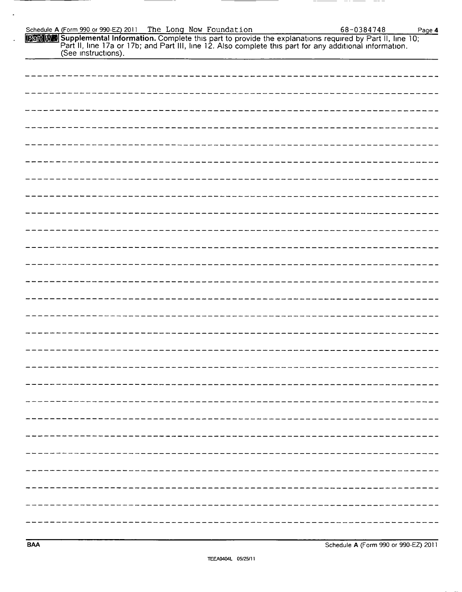| Schedule A (Form 990 or 990-EZ) 2011                                                                                                                                                                                                                    |                                      |
|---------------------------------------------------------------------------------------------------------------------------------------------------------------------------------------------------------------------------------------------------------|--------------------------------------|
| The Long Now Foundation<br>[Part IV] Supplemental Information. Complete this part to provide the explanations required by Part II, line 10;<br>Part II, line 17a or 17b; and Part III, line 12. Also complete this part for any additional information. | 68-0384748<br>Page 4                 |
| (See instructions).                                                                                                                                                                                                                                     |                                      |
|                                                                                                                                                                                                                                                         |                                      |
|                                                                                                                                                                                                                                                         |                                      |
|                                                                                                                                                                                                                                                         |                                      |
|                                                                                                                                                                                                                                                         |                                      |
|                                                                                                                                                                                                                                                         |                                      |
|                                                                                                                                                                                                                                                         |                                      |
|                                                                                                                                                                                                                                                         |                                      |
|                                                                                                                                                                                                                                                         |                                      |
|                                                                                                                                                                                                                                                         |                                      |
|                                                                                                                                                                                                                                                         |                                      |
|                                                                                                                                                                                                                                                         |                                      |
|                                                                                                                                                                                                                                                         |                                      |
|                                                                                                                                                                                                                                                         |                                      |
|                                                                                                                                                                                                                                                         |                                      |
|                                                                                                                                                                                                                                                         |                                      |
|                                                                                                                                                                                                                                                         |                                      |
|                                                                                                                                                                                                                                                         |                                      |
|                                                                                                                                                                                                                                                         |                                      |
|                                                                                                                                                                                                                                                         |                                      |
|                                                                                                                                                                                                                                                         |                                      |
|                                                                                                                                                                                                                                                         |                                      |
|                                                                                                                                                                                                                                                         |                                      |
|                                                                                                                                                                                                                                                         |                                      |
|                                                                                                                                                                                                                                                         |                                      |
| <b>BAA</b>                                                                                                                                                                                                                                              | Schedule A (Form 990 or 990-EZ) 2011 |
| TEEA0404L 05/25/11                                                                                                                                                                                                                                      |                                      |
|                                                                                                                                                                                                                                                         |                                      |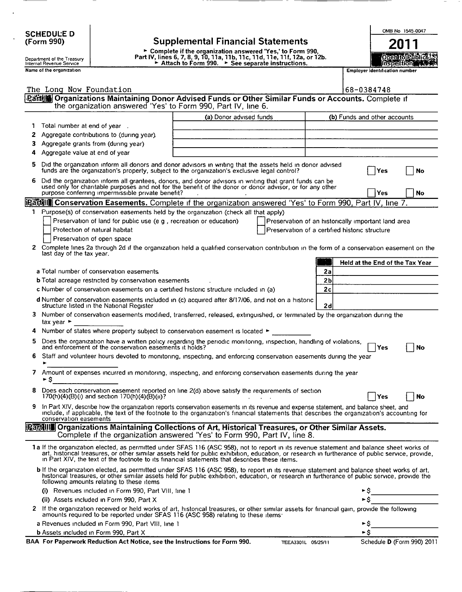| <b>SCHEDULE D</b>                                                                                                                                                                                                                                                                                                                                                                             | OMB No 1545-0047                                                                                                                                                                                                                                                                       |  |  |  |  |  |  |
|-----------------------------------------------------------------------------------------------------------------------------------------------------------------------------------------------------------------------------------------------------------------------------------------------------------------------------------------------------------------------------------------------|----------------------------------------------------------------------------------------------------------------------------------------------------------------------------------------------------------------------------------------------------------------------------------------|--|--|--|--|--|--|
| <b>Supplemental Financial Statements</b><br>(Form 990)                                                                                                                                                                                                                                                                                                                                        | 20 L I                                                                                                                                                                                                                                                                                 |  |  |  |  |  |  |
| ► Complete if the organization answered 'Yes,' to Form 990,<br>Part IV, lines 6, 7, 8, 9, 10, 11a, 11b, 11c, 11d, 11e, 11f, 12a, or 12b.<br>Department of the Treasury<br>Attach to Form 990. > See separate instructions.<br>Internal Revenue Service                                                                                                                                        | Open fol Public AS<br>msocalion 1999.                                                                                                                                                                                                                                                  |  |  |  |  |  |  |
| Name of the organization                                                                                                                                                                                                                                                                                                                                                                      | <b>Employer identification number</b>                                                                                                                                                                                                                                                  |  |  |  |  |  |  |
|                                                                                                                                                                                                                                                                                                                                                                                               |                                                                                                                                                                                                                                                                                        |  |  |  |  |  |  |
| The Long Now Foundation                                                                                                                                                                                                                                                                                                                                                                       | 68-0384748                                                                                                                                                                                                                                                                             |  |  |  |  |  |  |
| ·Parte in Creanizations Maintaining Donor Advised Funds or Other Similar Funds or Accounts. Complete if<br>the organization answered 'Yes' to Form 990, Part IV, line 6.                                                                                                                                                                                                                      |                                                                                                                                                                                                                                                                                        |  |  |  |  |  |  |
| (a) Donor advised funds                                                                                                                                                                                                                                                                                                                                                                       | (b) Funds and other accounts                                                                                                                                                                                                                                                           |  |  |  |  |  |  |
| Total number at end of year.                                                                                                                                                                                                                                                                                                                                                                  |                                                                                                                                                                                                                                                                                        |  |  |  |  |  |  |
| Aggregate contributions to (during year).<br>2                                                                                                                                                                                                                                                                                                                                                |                                                                                                                                                                                                                                                                                        |  |  |  |  |  |  |
| Aggregate grants from (during year)                                                                                                                                                                                                                                                                                                                                                           |                                                                                                                                                                                                                                                                                        |  |  |  |  |  |  |
| Aggregate value at end of year                                                                                                                                                                                                                                                                                                                                                                |                                                                                                                                                                                                                                                                                        |  |  |  |  |  |  |
| 5<br>Did the organization inform all donors and donor advisors in writing that the assets held in donor advised<br>funds are the organization's property, subject to the organization's exclusive legal control?<br>Yes<br>No                                                                                                                                                                 |                                                                                                                                                                                                                                                                                        |  |  |  |  |  |  |
| Did the organization inform all grantees, donors, and donor advisors in writing that grant funds can be<br>6<br>used only for charitable purposes and not for the benefit of the donor or donor advisor, or for any other<br>purpose conferring impermissible private benefit?<br>Yes<br>No                                                                                                   |                                                                                                                                                                                                                                                                                        |  |  |  |  |  |  |
| icantill Conservation Easements. Complete if the organization answered 'Yes' to Form 990, Part IV, line 7.                                                                                                                                                                                                                                                                                    |                                                                                                                                                                                                                                                                                        |  |  |  |  |  |  |
| 1 Purpose(s) of conservation easements held by the organization (check all that apply)                                                                                                                                                                                                                                                                                                        |                                                                                                                                                                                                                                                                                        |  |  |  |  |  |  |
| Preservation of land for public use (e g, recreation or education)<br>Preservation of an historically important land area                                                                                                                                                                                                                                                                     |                                                                                                                                                                                                                                                                                        |  |  |  |  |  |  |
| Protection of natural habitat<br>Preservation of a certified historic structure                                                                                                                                                                                                                                                                                                               |                                                                                                                                                                                                                                                                                        |  |  |  |  |  |  |
| Preservation of open space<br>Complete lines 2a through 2d if the organization held a qualified conservation contribution in the form of a conservation easement on the<br>2                                                                                                                                                                                                                  |                                                                                                                                                                                                                                                                                        |  |  |  |  |  |  |
| last day of the tax year.<br>Held at the End of the Tax Year                                                                                                                                                                                                                                                                                                                                  |                                                                                                                                                                                                                                                                                        |  |  |  |  |  |  |
| 2a<br>a Total number of conservation easements.                                                                                                                                                                                                                                                                                                                                               |                                                                                                                                                                                                                                                                                        |  |  |  |  |  |  |
| 2 <sub>b</sub><br><b>b</b> Total acreage restricted by conservation easements                                                                                                                                                                                                                                                                                                                 |                                                                                                                                                                                                                                                                                        |  |  |  |  |  |  |
| 2c<br>c Number of conservation easements on a certified historic structure included in (a)                                                                                                                                                                                                                                                                                                    |                                                                                                                                                                                                                                                                                        |  |  |  |  |  |  |
| d Number of conservation easements included in (c) acquired after 8/17/06, and not on a historic<br>structure listed in the National Register<br>2d                                                                                                                                                                                                                                           |                                                                                                                                                                                                                                                                                        |  |  |  |  |  |  |
| з<br>tax year $\blacktriangleright$                                                                                                                                                                                                                                                                                                                                                           | Number of conservation easements modified, transferred, released, extinguished, or terminated by the organization during the                                                                                                                                                           |  |  |  |  |  |  |
| Number of states where property subject to conservation easement is located ▶                                                                                                                                                                                                                                                                                                                 |                                                                                                                                                                                                                                                                                        |  |  |  |  |  |  |
| Does the organization have a written policy regarding the periodic monitoring, inspection, handling of violations,<br>and enforcement of the conservation easements it holds?                                                                                                                                                                                                                 | Yes<br>No                                                                                                                                                                                                                                                                              |  |  |  |  |  |  |
| Staff and volunteer hours devoted to monitoring, inspecting, and enforcing conservation easements during the year                                                                                                                                                                                                                                                                             |                                                                                                                                                                                                                                                                                        |  |  |  |  |  |  |
| Amount of expenses incurred in monitoring, inspecting, and enforcing conservation easements during the year<br>7<br>►S                                                                                                                                                                                                                                                                        |                                                                                                                                                                                                                                                                                        |  |  |  |  |  |  |
| 8<br>Does each conservation easement reported on line 2(d) above satisfy the requirements of section<br>170(h)(4)(B)(i) and section 170(h)(4)(B)(ii)?                                                                                                                                                                                                                                         | No<br>Yes                                                                                                                                                                                                                                                                              |  |  |  |  |  |  |
| 9<br>conservation easements                                                                                                                                                                                                                                                                                                                                                                   | In Part XIV, describe how the organization reports conservation easements in its revenue and expense statement, and balance sheet, and<br>include, if applicable, the text of the footnote to the organization's financial statements that describes the organization's accounting for |  |  |  |  |  |  |
| [Part]]] Organizations Maintaining Collections of Art, Historical Treasures, or Other Similar Assets.<br>Complete if the organization answered 'Yes' to Form 990, Part IV, line 8.                                                                                                                                                                                                            |                                                                                                                                                                                                                                                                                        |  |  |  |  |  |  |
| 1a If the organization elected, as permitted under SFAS 116 (ASC 958), not to report in its revenue statement and balance sheet works of<br>art, historical treasures, or other similar assets held for public exhibition, education, or research in furtherance of public service, provide,<br>in Part XIV, the text of the footnote to its financial statements that describes these items. |                                                                                                                                                                                                                                                                                        |  |  |  |  |  |  |
| <b>b</b> If the organization elected, as permitted under SFAS 116 (ASC 958), to report in its revenue statement and balance sheet works of art,<br>historical treasures, or other similar assets held for public exhibition, education, or research in furtherance of public service, provide the<br>following amounts relating to these items                                                |                                                                                                                                                                                                                                                                                        |  |  |  |  |  |  |
| (i) Revenues included in Form 990, Part VIII, line 1                                                                                                                                                                                                                                                                                                                                          |                                                                                                                                                                                                                                                                                        |  |  |  |  |  |  |
| (ii) Assets included in Form 990, Part X                                                                                                                                                                                                                                                                                                                                                      |                                                                                                                                                                                                                                                                                        |  |  |  |  |  |  |
| 2 If the organization received or held works of art, historical treasures, or other similar assets for financial gain, provide the following<br>amounts required to be reported under SFAS 116 (ASC 958) relating to these items:                                                                                                                                                             |                                                                                                                                                                                                                                                                                        |  |  |  |  |  |  |
| a Revenues included in Form 990, Part VIII, line 1                                                                                                                                                                                                                                                                                                                                            | ►\$                                                                                                                                                                                                                                                                                    |  |  |  |  |  |  |
| <b>b</b> Assets included in Form 990, Part X<br>BAA For Paperwork Reduction Act Notice, see the Instructions for Form 990.<br>TEEA3301L 05/25/11                                                                                                                                                                                                                                              | ►s<br>Schedule D (Form 990) 2011                                                                                                                                                                                                                                                       |  |  |  |  |  |  |

 $\ddot{\phantom{0}}$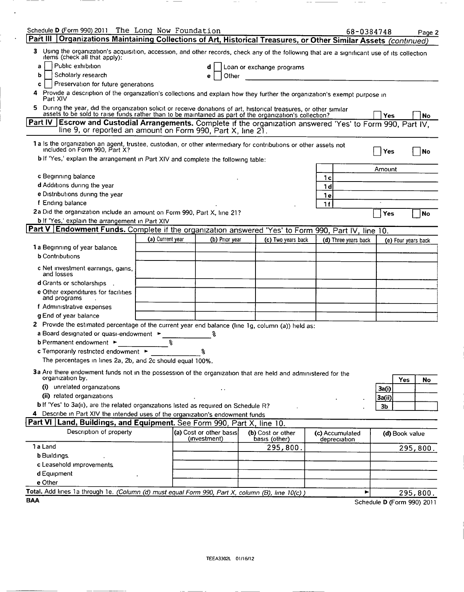| Schedule D (Form 990) 2011 The Long Now Foundation<br>Part III<br>Organizations Maintaining Collections of Art, Historical Treasures, or Other Similar Assets (continued)                                                          |                                                              |                                         |                                    | 68-0384748                      |                            |                     | Page 2   |
|------------------------------------------------------------------------------------------------------------------------------------------------------------------------------------------------------------------------------------|--------------------------------------------------------------|-----------------------------------------|------------------------------------|---------------------------------|----------------------------|---------------------|----------|
| 3<br>Using the organization's acquisition, accession, and other records, check any of the following that are a significant use of its collection<br>items (check all that apply):                                                  |                                                              |                                         |                                    |                                 |                            |                     |          |
| Public exhibition<br>a                                                                                                                                                                                                             |                                                              | d                                       | Loan or exchange programs          |                                 |                            |                     |          |
| Scholarly research<br>b                                                                                                                                                                                                            |                                                              | Other<br>е                              |                                    |                                 |                            |                     |          |
| Preservation for future generations<br>c                                                                                                                                                                                           |                                                              |                                         |                                    |                                 |                            |                     |          |
| Provide a description of the organization's collections and explain how they further the organization's exempt purpose in<br>4<br>Part XIV                                                                                         |                                                              |                                         |                                    |                                 |                            |                     |          |
| During the year, did the organization solicit or receive donations of art, historical treasures, or other similar<br>5.<br>assets to be sold to raise funds rather than to be maintained as part of the organization's collection? |                                                              |                                         |                                    |                                 | Yes                        |                     | No       |
| Part IV   Escrow and Custodial Arrangements. Complete if the organization answered 'Yes' to Form 990, Part IV,<br>line 9, or reported an amount on Form 990, Part X, line 21.                                                      |                                                              |                                         |                                    |                                 |                            |                     |          |
| 1 a is the organization an agent, trustee, custodian, or other intermediary for contributions or other assets not<br>included on Form 990, Part X?                                                                                 |                                                              |                                         |                                    |                                 | Yes                        |                     | No       |
| b if 'Yes,' explain the arrangement in Part XIV and complete the following table:                                                                                                                                                  |                                                              |                                         |                                    |                                 |                            |                     |          |
|                                                                                                                                                                                                                                    |                                                              |                                         |                                    |                                 | Amount                     |                     |          |
| c Beginning balance                                                                                                                                                                                                                |                                                              |                                         |                                    | 1с                              |                            |                     |          |
| d Additions during the year                                                                                                                                                                                                        |                                                              |                                         |                                    | 1 d                             |                            |                     |          |
| e Distributions during the year                                                                                                                                                                                                    |                                                              |                                         |                                    | 1e                              |                            |                     |          |
| f Ending balance<br>1f                                                                                                                                                                                                             |                                                              |                                         |                                    |                                 |                            |                     |          |
| 2a Did the organization include an amount on Form 990, Part X, line 21?<br>Yes<br>No                                                                                                                                               |                                                              |                                         |                                    |                                 |                            |                     |          |
| bif 'Yes,' explain the arrangement in Part XIV                                                                                                                                                                                     |                                                              |                                         |                                    |                                 |                            |                     |          |
| <b>Part V Endowment Funds.</b> Complete if the organization answered 'Yes' to Form 990, Part IV, line 10.                                                                                                                          |                                                              |                                         |                                    |                                 |                            |                     |          |
|                                                                                                                                                                                                                                    | (a) Current year                                             | (b) Prior year                          | (c) Two years back                 | (d) Three years back            |                            | (e) Four years back |          |
| 1 a Beginning of year balance.                                                                                                                                                                                                     |                                                              |                                         |                                    |                                 |                            |                     |          |
| <b>b</b> Contributions                                                                                                                                                                                                             |                                                              |                                         |                                    |                                 |                            |                     |          |
| c Net investment earnings, gains,<br>and losses                                                                                                                                                                                    |                                                              |                                         |                                    |                                 |                            |                     |          |
| d Grants or scholarships                                                                                                                                                                                                           |                                                              |                                         |                                    |                                 |                            |                     |          |
| e Other expenditures for facilities<br>and programs                                                                                                                                                                                |                                                              |                                         |                                    |                                 |                            |                     |          |
| f Administrative expenses                                                                                                                                                                                                          |                                                              |                                         |                                    |                                 |                            |                     |          |
| g End of year balance                                                                                                                                                                                                              |                                                              |                                         |                                    |                                 |                            |                     |          |
| 2 Provide the estimated percentage of the current year end balance (line 1g, column (a)) held as:                                                                                                                                  |                                                              |                                         |                                    |                                 |                            |                     |          |
| a Board designated or quasi-endowment ><br>န္                                                                                                                                                                                      |                                                              |                                         |                                    |                                 |                            |                     |          |
| နွ<br><b>b</b> Permanent endowment $\blacktriangleright$                                                                                                                                                                           |                                                              |                                         |                                    |                                 |                            |                     |          |
| c Temporarily restricted endowment ►<br>႙                                                                                                                                                                                          |                                                              |                                         |                                    |                                 |                            |                     |          |
| The percentages in lines 2a, 2b, and 2c should equal 100%.                                                                                                                                                                         |                                                              |                                         |                                    |                                 |                            |                     |          |
| 3a Are there endowment funds not in the possession of the organization that are held and administered for the<br>organization by.<br>Yes<br><b>No</b>                                                                              |                                                              |                                         |                                    |                                 |                            |                     |          |
|                                                                                                                                                                                                                                    | (i) unrelated organizations<br>3a(i)<br>$\ddot{\phantom{1}}$ |                                         |                                    |                                 |                            |                     |          |
| (ii) related organizations                                                                                                                                                                                                         |                                                              |                                         |                                    |                                 | 3a(ii)                     |                     |          |
| b If 'Yes' to 3a(ii), are the related organizations listed as required on Schedule R?                                                                                                                                              |                                                              |                                         |                                    |                                 | Зb                         |                     |          |
| 4 Describe in Part XIV the intended uses of the organization's endowment funds                                                                                                                                                     |                                                              |                                         |                                    |                                 |                            |                     |          |
| Part VI Land, Buildings, and Equipment. See Form 990, Part X, line 10.                                                                                                                                                             |                                                              |                                         |                                    |                                 |                            |                     |          |
| Description of property                                                                                                                                                                                                            |                                                              | (a) Cost or other basis<br>(investment) | (b) Cost or other<br>basis (other) | (c) Accumulated<br>depreciation |                            | (d) Book value      |          |
| 1 a Land                                                                                                                                                                                                                           |                                                              |                                         | 295,800.                           |                                 |                            |                     | 295,800. |
| <b>b</b> Buildings.                                                                                                                                                                                                                |                                                              |                                         |                                    |                                 |                            |                     |          |
| c Leasehold improvements.                                                                                                                                                                                                          |                                                              |                                         |                                    |                                 |                            |                     |          |
| d Equipment                                                                                                                                                                                                                        |                                                              |                                         |                                    |                                 |                            |                     |          |
| e Other                                                                                                                                                                                                                            |                                                              |                                         |                                    |                                 |                            |                     |          |
| Total. Add lines 1a through 1e. (Column (d) must equal Form 990, Part X, column (B), line 10(c))                                                                                                                                   |                                                              |                                         |                                    | ▶                               |                            |                     | 295,800. |
| <b>BAA</b>                                                                                                                                                                                                                         |                                                              |                                         |                                    |                                 | Schedule D (Form 990) 2011 |                     |          |

 $\gamma \rightarrow \gamma$ 

 $\sim$ 

 $- \overline{\phantom{a}}$   $\sim$   $\sim$   $\sim$   $\sim$ 

 $\sim$   $\sim$ 

 $\sim$   $\sim$ 

 $-- -$ 

 $\mathcal{A}$ 

. . <del>. . . . . .</del> . . .

 $\sim$   $\sim$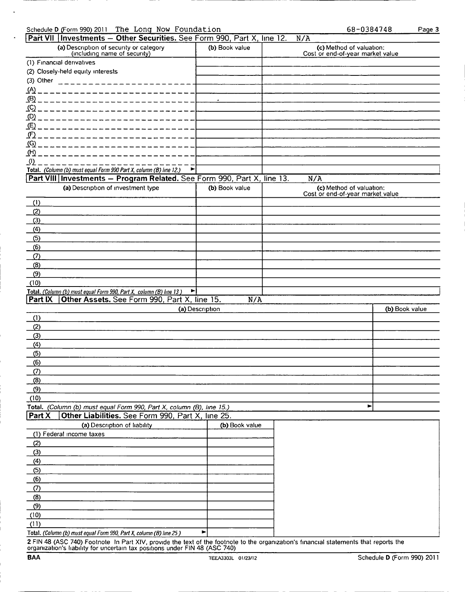|  | Schedule D (Form 990) 2011 The Long Now Foundation | 68-0384748 |
|--|----------------------------------------------------|------------|
|  |                                                    |            |

| 58-0384748 | Page 3 |
|------------|--------|
|            |        |

|                        | Part VII   Investments -- Other Securities. See Form 990, Part X, line 12.                                          |                 | N/A                                                          |                |
|------------------------|---------------------------------------------------------------------------------------------------------------------|-----------------|--------------------------------------------------------------|----------------|
|                        | (a) Description of security or category<br>(including name of security)                                             | (b) Book value  | (c) Method of valuation:<br>Cost or end-of-year market value |                |
|                        | (1) Financial derivatives                                                                                           |                 |                                                              |                |
|                        | (2) Closely-held equity interests                                                                                   |                 |                                                              |                |
| (3) Other              | and the contract of the contract of the contract of the contract of the contract of the contract of the contract of |                 |                                                              |                |
| <u>(A)</u>             |                                                                                                                     |                 |                                                              |                |
| <u>(β) _</u>           |                                                                                                                     |                 |                                                              |                |
| $\mathcal{L}$ $\Omega$ |                                                                                                                     |                 |                                                              |                |
| (D)                    |                                                                                                                     |                 |                                                              |                |
| (E) _ _ _              |                                                                                                                     |                 |                                                              |                |
| <u>(F) _</u>           |                                                                                                                     |                 |                                                              |                |
| <u>(G)</u>             |                                                                                                                     |                 |                                                              |                |
| <u>(H)</u>             |                                                                                                                     |                 |                                                              |                |
| _(I)                   |                                                                                                                     |                 |                                                              |                |
|                        | Total. (Column (b) must equal Form 990 Part X, column (B) line 12.)<br>►                                            |                 |                                                              |                |
|                        | Part VIII Investments - Program Related. See Form 990, Part X, line 13.                                             |                 | N/A                                                          |                |
|                        | (a) Description of investment type                                                                                  | (b) Book value  | (c) Method of valuation:<br>Cost or end-of-year market value |                |
| (1)                    |                                                                                                                     |                 |                                                              |                |
| (2)                    |                                                                                                                     |                 |                                                              |                |
| (3)                    |                                                                                                                     |                 |                                                              |                |
| (4)                    |                                                                                                                     |                 |                                                              |                |
| (5)                    |                                                                                                                     |                 |                                                              |                |
| (6)                    |                                                                                                                     |                 |                                                              |                |
| (7)                    |                                                                                                                     |                 |                                                              |                |
| (8)                    |                                                                                                                     |                 |                                                              |                |
| (9)                    |                                                                                                                     |                 |                                                              |                |
| (10)                   |                                                                                                                     |                 |                                                              |                |
|                        | Total. (Column (b) must equal Form 990, Part X, column (B) line 13)<br>►∣                                           |                 |                                                              |                |
|                        |                                                                                                                     |                 |                                                              |                |
| <b>Part IX</b>         | Other Assets. See Form 990, Part X, line 15.                                                                        | N/A             |                                                              |                |
|                        |                                                                                                                     | (a) Description |                                                              | (b) Book value |
| (1)                    |                                                                                                                     |                 |                                                              |                |
| (2)                    |                                                                                                                     |                 |                                                              |                |
| (3)                    |                                                                                                                     |                 |                                                              |                |
| (4)                    |                                                                                                                     |                 |                                                              |                |
| (5)                    |                                                                                                                     |                 |                                                              |                |
| (6)                    |                                                                                                                     |                 |                                                              |                |
| $\Omega$               |                                                                                                                     |                 |                                                              |                |
| (8)                    |                                                                                                                     |                 |                                                              |                |
| (9)                    |                                                                                                                     |                 |                                                              |                |
| (10)                   |                                                                                                                     |                 |                                                              |                |
|                        | Total. (Column (b) must equal Form 990, Part X, column (B), line 15.)                                               |                 | ►                                                            |                |
| Part X                 | Other Liabilities. See Form 990, Part X, line 25.                                                                   |                 |                                                              |                |
|                        | (a) Description of liability                                                                                        | (b) Book value  |                                                              |                |
|                        | (1) Federal income taxes                                                                                            |                 |                                                              |                |
| (2)                    |                                                                                                                     |                 |                                                              |                |
| (3)                    |                                                                                                                     |                 |                                                              |                |
| (4)                    |                                                                                                                     |                 |                                                              |                |
| (5)                    |                                                                                                                     |                 |                                                              |                |
| (6)                    |                                                                                                                     |                 |                                                              |                |
| (7)                    |                                                                                                                     |                 |                                                              |                |
| (8)                    |                                                                                                                     |                 |                                                              |                |
| (9)                    |                                                                                                                     |                 |                                                              |                |
| (10)                   |                                                                                                                     |                 |                                                              |                |
| (11)                   |                                                                                                                     |                 |                                                              |                |

**2** FIN 48 (ASC 740) Footnote In Part XIV, provide the text of the footnote to the organization's financial statements that reports the<br>organization's liability for uncertain tax positions under FIN 48 (ASC 740)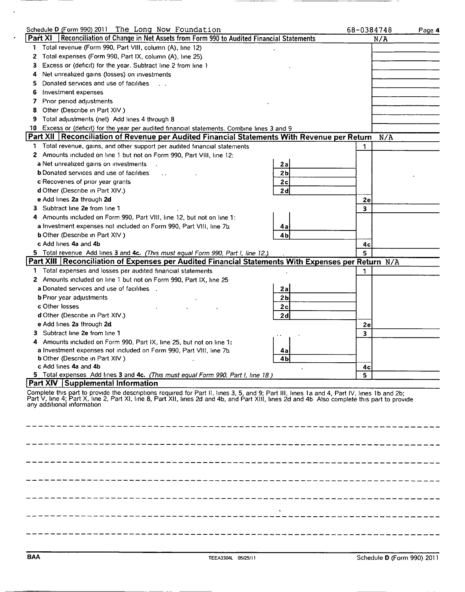| Schedule D (Form 990) 2011 The Long Now Foundation                                  |                                                                                                                                                                                                                                                                                              |                | 68-0384748 | Page 4 |
|-------------------------------------------------------------------------------------|----------------------------------------------------------------------------------------------------------------------------------------------------------------------------------------------------------------------------------------------------------------------------------------------|----------------|------------|--------|
| <b>Part XI</b>                                                                      | Reconciliation of Change in Net Assets from Form 990 to Audited Financial Statements                                                                                                                                                                                                         |                | N/A        |        |
| Total revenue (Form 990, Part VIII, column (A), line 12)<br>1                       |                                                                                                                                                                                                                                                                                              |                |            |        |
| Total expenses (Form 990, Part IX, column (A), line 25).<br>$\mathbf{z}$            |                                                                                                                                                                                                                                                                                              |                |            |        |
| Excess or (deficit) for the year. Subtract line 2 from line 1<br>з                  |                                                                                                                                                                                                                                                                                              |                |            |        |
| Net unrealized gains (losses) on investments<br>4                                   |                                                                                                                                                                                                                                                                                              |                |            |        |
| Donated services and use of facilities<br>5                                         |                                                                                                                                                                                                                                                                                              |                |            |        |
| Investment expenses<br>6                                                            |                                                                                                                                                                                                                                                                                              |                |            |        |
| Prior period adjustments<br>7                                                       |                                                                                                                                                                                                                                                                                              |                |            |        |
| Other (Describe in Part XIV)<br>8                                                   |                                                                                                                                                                                                                                                                                              |                |            |        |
| Total adjustments (net) Add lines 4 through 8<br>9                                  |                                                                                                                                                                                                                                                                                              |                |            |        |
| 10                                                                                  | Excess or (deficit) for the year per audited financial statements. Combine lines 3 and 9                                                                                                                                                                                                     |                |            |        |
|                                                                                     | Part XII   Reconciliation of Revenue per Audited Financial Statements With Revenue per Return                                                                                                                                                                                                |                | N/A        |        |
| Т.                                                                                  | Total revenue, gains, and other support per audited financial statements                                                                                                                                                                                                                     |                | 1.         |        |
| Amounts included on line 1 but not on Form 990, Part VIII, line 12:<br>$\mathbf{z}$ |                                                                                                                                                                                                                                                                                              |                |            |        |
| a Net unrealized gains on investments                                               |                                                                                                                                                                                                                                                                                              | 2a             |            |        |
| <b>b</b> Donated services and use of facilities                                     |                                                                                                                                                                                                                                                                                              | 2 <sub>b</sub> |            |        |
| c Recoveries of prior year grants                                                   |                                                                                                                                                                                                                                                                                              | 2c             |            |        |
| d Other (Describe in Part XIV.)                                                     |                                                                                                                                                                                                                                                                                              | 2d             |            |        |
| e Add lines 2a through 2d                                                           |                                                                                                                                                                                                                                                                                              |                | 2e         |        |
| Subtract line 2e from line 1<br>3.                                                  |                                                                                                                                                                                                                                                                                              |                | 3          |        |
| Amounts included on Form 990, Part VIII, line 12, but not on line 1:<br>4           |                                                                                                                                                                                                                                                                                              |                |            |        |
| a Investment expenses not included on Form 990, Part VIII, line 7b.                 |                                                                                                                                                                                                                                                                                              | 4a             |            |        |
| <b>b</b> Other (Describe in Part XIV)                                               |                                                                                                                                                                                                                                                                                              | 4 <sub>b</sub> |            |        |
| c Add lines 4a and 4b                                                               |                                                                                                                                                                                                                                                                                              |                | 4с         |        |
|                                                                                     | 5 Total revenue Add lines 3 and 4c. (This must equal Form 990, Part I, line 12.)                                                                                                                                                                                                             |                | 5.         |        |
|                                                                                     | Part XIII   Reconciliation of Expenses per Audited Financial Statements With Expenses per Return N/A                                                                                                                                                                                         |                |            |        |
| Total expenses and losses per audited financial statements<br>1.                    |                                                                                                                                                                                                                                                                                              |                | 1.         |        |
| 2 Amounts included on line 1 but not on Form 990, Part IX, line 25                  |                                                                                                                                                                                                                                                                                              |                |            |        |
| a Donated services and use of facilities.                                           |                                                                                                                                                                                                                                                                                              | 2a             |            |        |
| <b>b</b> Prior year adjustments                                                     |                                                                                                                                                                                                                                                                                              | 2 <sub>b</sub> |            |        |
| c Other losses                                                                      |                                                                                                                                                                                                                                                                                              | 2c             |            |        |
| d Other (Describe in Part XIV.)                                                     |                                                                                                                                                                                                                                                                                              | 2d             |            |        |
| e Add lines 2a through 2d.                                                          |                                                                                                                                                                                                                                                                                              |                | 2е         |        |
| Subtract line 2e from line 1<br>з.                                                  |                                                                                                                                                                                                                                                                                              |                | 3          |        |
| Amounts included on Form 990, Part IX, line 25, but not on line 1:                  |                                                                                                                                                                                                                                                                                              |                |            |        |
| a Investment expenses not included on Form 990, Part VIII, line 7b.                 |                                                                                                                                                                                                                                                                                              | 4a             |            |        |
| <b>b</b> Other (Describe in Part XIV)                                               |                                                                                                                                                                                                                                                                                              | 4Ы             |            |        |
| c Add lines 4a and 4b                                                               |                                                                                                                                                                                                                                                                                              |                | 4с         |        |
|                                                                                     | 5 Total expenses Add lines 3 and 4c. (This must equal Form 990, Part I, line 18)                                                                                                                                                                                                             |                | 5          |        |
| Part XIV Supplemental Information                                                   |                                                                                                                                                                                                                                                                                              |                |            |        |
| any additional information                                                          | Complete this part to provide the descriptions required for Part II, lines 3, 5, and 9; Part III, lines 1a and 4, Part IV, lines 1b and 2b;<br>Part V, line 4; Part X, line 2, Part XI, line 8, Part XII, lines 2d and 4b, and Part XIII, lines 2d and 4b Also complete this part to provide |                |            |        |
|                                                                                     |                                                                                                                                                                                                                                                                                              |                |            |        |
|                                                                                     |                                                                                                                                                                                                                                                                                              |                |            |        |
|                                                                                     |                                                                                                                                                                                                                                                                                              |                |            |        |
|                                                                                     |                                                                                                                                                                                                                                                                                              |                |            |        |
|                                                                                     |                                                                                                                                                                                                                                                                                              |                |            |        |
|                                                                                     |                                                                                                                                                                                                                                                                                              |                |            |        |
|                                                                                     |                                                                                                                                                                                                                                                                                              |                |            |        |
|                                                                                     |                                                                                                                                                                                                                                                                                              |                |            |        |
|                                                                                     |                                                                                                                                                                                                                                                                                              |                |            |        |
|                                                                                     |                                                                                                                                                                                                                                                                                              |                |            |        |
|                                                                                     |                                                                                                                                                                                                                                                                                              |                |            |        |
|                                                                                     |                                                                                                                                                                                                                                                                                              |                |            |        |
|                                                                                     |                                                                                                                                                                                                                                                                                              |                |            |        |

 $\ddot{\phantom{a}}$ 

 $\overline{a}$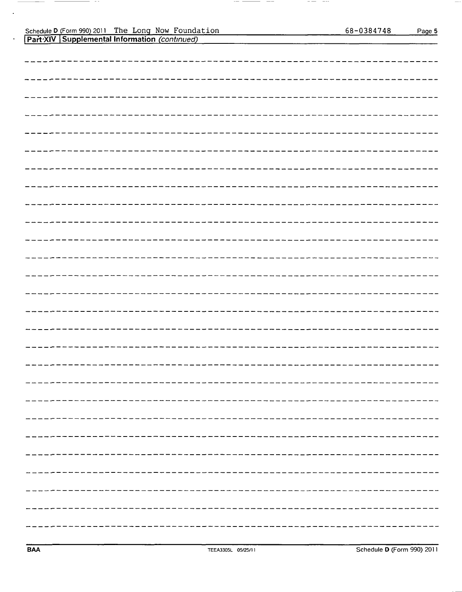|  | Part XIV   Supplemental Information <i>(continued)</i> |  |
|--|--------------------------------------------------------|--|
|  |                                                        |  |

 $\sim$ 

 $\cdot$ 

.

— —

 $\hspace{1.0cm} \cdots \hspace{1.0cm} \cdots$ 

— ——

 $- - -$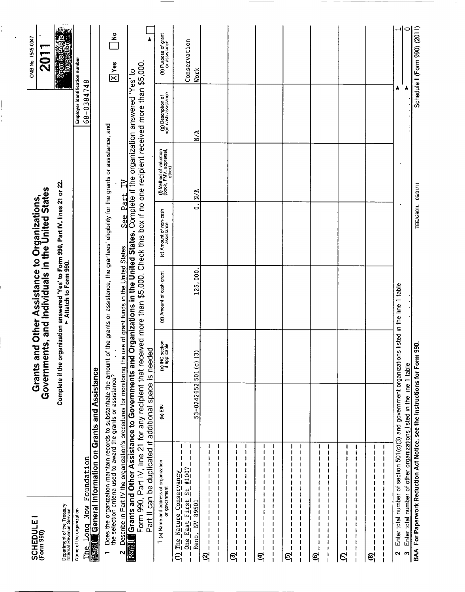| SCHEDULE I<br>(Form 990)                                                                                                        |                                                          |                                                                                                                                             |                                  | <b>Grants and Other Assistance to Organizations,<br/>Governments, and Individuals in the United States</b>                                                                                                                                                                                                                                                                                       |                                      |                                                             |                                              | OMB No 1545-0047<br><b>201</b>                                                     |
|---------------------------------------------------------------------------------------------------------------------------------|----------------------------------------------------------|---------------------------------------------------------------------------------------------------------------------------------------------|----------------------------------|--------------------------------------------------------------------------------------------------------------------------------------------------------------------------------------------------------------------------------------------------------------------------------------------------------------------------------------------------------------------------------------------------|--------------------------------------|-------------------------------------------------------------|----------------------------------------------|------------------------------------------------------------------------------------|
| Department of the Treasury<br>Internal Revenue Service                                                                          |                                                          |                                                                                                                                             |                                  | Complete if the organization answered 'Yes' to Form 990, Part IV, lines 21 or 22.<br>► Attatch to Form 990.                                                                                                                                                                                                                                                                                      |                                      |                                                             |                                              | $\frac{\partial \mathbf{p}(\mathbf{q})}{\partial \mathbf{p}(\mathbf{q})}$<br>ššeni |
| Long Now<br>Name of the organization<br><u>ne</u>                                                                               | Foundation                                               |                                                                                                                                             |                                  |                                                                                                                                                                                                                                                                                                                                                                                                  |                                      |                                                             | Employer identification number<br>68-0384748 |                                                                                    |
| <b>Fact</b>                                                                                                                     |                                                          | General Information on Grants and Assistance                                                                                                |                                  |                                                                                                                                                                                                                                                                                                                                                                                                  |                                      |                                                             |                                              |                                                                                    |
| $\overline{ }$                                                                                                                  |                                                          |                                                                                                                                             |                                  | Does the organization maintain records to substantiate the amount of the grants or assistance, the grantees' eligibility for the grants or assistance, and<br>the selection criteria used to award the grants or assistance?                                                                                                                                                                     |                                      |                                                             |                                              | $rac{6}{\pi}$<br>$\sqrt{\frac{X}{1}}$ Yes                                          |
| Part<br>Ν                                                                                                                       |                                                          | Part II can be duplicated if additional space is needed                                                                                     |                                  | Form 990, Part IV, line 21 for any recipient that received more than \$5,000. Check this box if no one recipient received more than \$5,000<br>Grants and Other Assistance to Governments and Organizations in the United States. Complete if the organization answered 'Yes' to<br>Describe in Part IV the organization's procedures for monitoring the use of grant funds in the United States | See Part IV                          |                                                             |                                              |                                                                                    |
| (a) Name and address of organization<br>or government                                                                           |                                                          | (b) EIN                                                                                                                                     | (c) IRC section<br>if applicable | (d) Amount of cash grant                                                                                                                                                                                                                                                                                                                                                                         | (e) Amount of non-cash<br>assistance | (f) Method of valuation<br>(book, FMV, appraisal,<br>other) | (g) Description of<br>non cash assistance    | (h) Purpose of grant                                                               |
| One East First St #1007<br>The Nature Conservancy<br>Reno, NV 89501                                                             | $\mathbf{I}$<br>$\mathbf{I}$<br>$\overline{\phantom{a}}$ | 53-0242652 501 (c) (3)                                                                                                                      |                                  | 125,000                                                                                                                                                                                                                                                                                                                                                                                          | $\overline{\phantom{a}}$             | N/A                                                         | $\sum_{i=1}^{n}$                             | Conservation<br><b>Work</b>                                                        |
| L<br>$\mathbf{I}$<br>I<br>1<br>1<br>$\mathbf{1}$<br>$\mathbf{I}$<br>1<br>ı<br>1<br>1<br>J<br>I<br>ł<br>ŧ<br>$\mathbf{I}$<br>ଟ୍ର | -1<br>1                                                  |                                                                                                                                             |                                  |                                                                                                                                                                                                                                                                                                                                                                                                  |                                      |                                                             |                                              |                                                                                    |
| 1<br>ତ୍ର                                                                                                                        | 1<br>1                                                   |                                                                                                                                             |                                  |                                                                                                                                                                                                                                                                                                                                                                                                  |                                      |                                                             |                                              |                                                                                    |
| $\blacksquare$<br><u>କ୍</u>                                                                                                     |                                                          |                                                                                                                                             |                                  |                                                                                                                                                                                                                                                                                                                                                                                                  |                                      |                                                             |                                              |                                                                                    |
| ı<br>ı<br>ı<br>ł<br>ତ୍ର<br>ı                                                                                                    | ı                                                        |                                                                                                                                             |                                  |                                                                                                                                                                                                                                                                                                                                                                                                  |                                      |                                                             |                                              |                                                                                    |
| 1<br>1<br>ł<br>ତ୍ର୍                                                                                                             | 1<br>-1<br>1<br>D                                        |                                                                                                                                             |                                  |                                                                                                                                                                                                                                                                                                                                                                                                  |                                      |                                                             |                                              |                                                                                    |
| $\overline{\phantom{a}}$<br>ଟ୍ର                                                                                                 | ı<br>$\mathbf{I}$                                        |                                                                                                                                             |                                  |                                                                                                                                                                                                                                                                                                                                                                                                  |                                      |                                                             |                                              |                                                                                    |
| L<br>1<br>ı<br>$\mathbf{I}$<br>ଞ୍ଜ୍                                                                                             | $\frac{1}{1}$<br>t<br>I<br>ı<br>I<br>1<br>ı              |                                                                                                                                             |                                  |                                                                                                                                                                                                                                                                                                                                                                                                  |                                      |                                                             |                                              |                                                                                    |
| $\boldsymbol{\epsilon}$<br>2                                                                                                    |                                                          | Enter total number of section 501(c)(3) and government organization<br>Enter total number of other organizations listed in the line 1 table |                                  | is listed in the line 1 table                                                                                                                                                                                                                                                                                                                                                                    |                                      |                                                             | A                                            | 0                                                                                  |
| BAA For Paperwork Reduction Act Notice, see the Instructions for Form                                                           |                                                          |                                                                                                                                             | 990.                             |                                                                                                                                                                                                                                                                                                                                                                                                  | TEEA3901L 06/01/11                   |                                                             |                                              | Schedule I (Form 990) (2011)                                                       |

 $\overline{\phantom{a}}$ 

i<br>Linda

 $\overline{\phantom{a}}$ 

 $\overline{\phantom{a}}$ 

 $\overline{\phantom{a}}$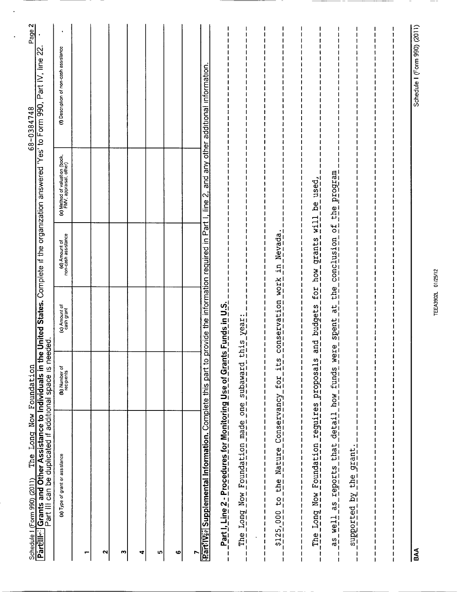| The Long Now Foundation                                                                                                                                                                                                        |                                                                                |                             |                                                        |                                                          | Page 2<br>68-0384748                   |
|--------------------------------------------------------------------------------------------------------------------------------------------------------------------------------------------------------------------------------|--------------------------------------------------------------------------------|-----------------------------|--------------------------------------------------------|----------------------------------------------------------|----------------------------------------|
| Grants and Other Assistance to Individuals in th<br>Part III can be duplicated if additional space is ne<br>Schedule I (Form 990) (2011)<br>Part∰lll∻ Grants and Ot                                                            |                                                                                | eded.                       | e United States. Complete if the organization answered |                                                          | 'Yes' to Form 990, Part IV, line 22    |
| (a) Type of grant or assistance                                                                                                                                                                                                | (b) Number of<br>recipients                                                    | (c) Amount of<br>cash grant | (d) Amount of<br>non-cash assistance                   | (e) Method of valuation (book,<br>FMV, appraisal, other) | (f) Description of non-cash assistance |
|                                                                                                                                                                                                                                |                                                                                |                             |                                                        |                                                          |                                        |
| N                                                                                                                                                                                                                              |                                                                                |                             |                                                        |                                                          |                                        |
| m                                                                                                                                                                                                                              |                                                                                |                             |                                                        |                                                          |                                        |
| 4                                                                                                                                                                                                                              |                                                                                |                             |                                                        |                                                          |                                        |
| m                                                                                                                                                                                                                              |                                                                                |                             |                                                        |                                                          |                                        |
| ဖ                                                                                                                                                                                                                              |                                                                                |                             |                                                        |                                                          |                                        |
| r                                                                                                                                                                                                                              |                                                                                |                             |                                                        |                                                          |                                        |
| RartilWel Supplemental Information. Complete this part to                                                                                                                                                                      |                                                                                |                             | provide the information required in Part               | other<br>any<br>and<br>$\sim$<br>line                    | additional information                 |
| Part J. Line 2 - Procedures for Monitoring Use of Grani                                                                                                                                                                        |                                                                                | $ts$ Funds in U.S.          |                                                        |                                                          |                                        |
| The Long Now Foundation made one subaward                                                                                                                                                                                      |                                                                                | this year:                  |                                                        |                                                          |                                        |
| $\mathbf{I}$<br>$\mathbf{l}$<br>$\begin{array}{c} 1 \\ 1 \\ 1 \end{array}$<br>$\begin{array}{c} 1 \\ 1 \\ 1 \end{array}$<br>$\begin{array}{c} 1 \\ 1 \\ 1 \\ 1 \end{array}$<br>$\mathbf I$<br>$\mathbf{I}$<br>ł<br>ł<br>ł<br>I | $\frac{1}{1}$<br>$\frac{1}{1}$<br>$\frac{1}{1}$<br>$\mathbf{I}$<br>$\mathbf I$ |                             |                                                        |                                                          |                                        |
| \$125,000 to the Nature Conservancy for its                                                                                                                                                                                    |                                                                                | conservation                | Nevada<br>$\vec{a}$<br>$rac{WOEK}{1}$                  |                                                          |                                        |
|                                                                                                                                                                                                                                |                                                                                |                             |                                                        |                                                          |                                        |
| The Long Now Foundation reguires proposals                                                                                                                                                                                     |                                                                                |                             | and budgets for how grants will be used,               |                                                          |                                        |
| as well as reports that detail how funds were spent at the conclusion of the program                                                                                                                                           |                                                                                |                             |                                                        |                                                          |                                        |
| supported by the grant                                                                                                                                                                                                         |                                                                                |                             |                                                        |                                                          |                                        |
|                                                                                                                                                                                                                                |                                                                                |                             |                                                        |                                                          |                                        |
|                                                                                                                                                                                                                                |                                                                                |                             |                                                        |                                                          |                                        |
|                                                                                                                                                                                                                                |                                                                                |                             |                                                        |                                                          |                                        |
| BAA                                                                                                                                                                                                                            |                                                                                |                             |                                                        |                                                          | Schedule I (Form 990) (2011)           |

 $\ddot{\phantom{0}}$ 

**TEEA3902L 01/25/12**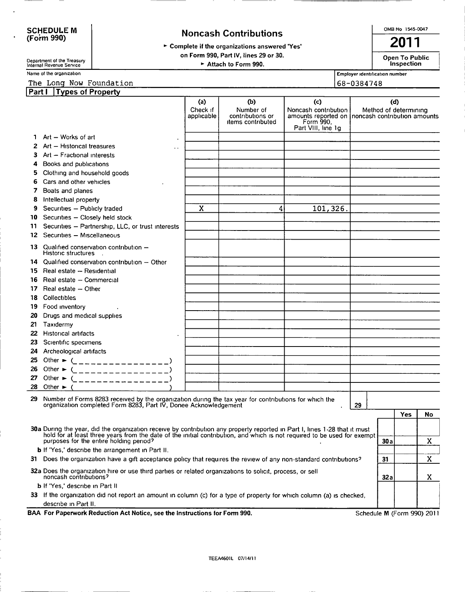#### **Noncash Contributions**

OMB No 1545-0047 2011

> Complete if the organizations answered 'Yes'

on Form 990, Part IV, lines 29 or 30.

Department of the Treasury Internal Revenue Service Internal Revenue Service Internal Revenue Service

Open To Public Inspection Employer identification number

68-0384748

Name of the organization

#### The Long Now Foundation

| Part I | Types of Property                                                                                                                                                                                                                                                                                 |                               |                                                           |                                                                                                                     |    |      |                       |    |
|--------|---------------------------------------------------------------------------------------------------------------------------------------------------------------------------------------------------------------------------------------------------------------------------------------------------|-------------------------------|-----------------------------------------------------------|---------------------------------------------------------------------------------------------------------------------|----|------|-----------------------|----|
|        |                                                                                                                                                                                                                                                                                                   | (a)<br>Check if<br>applicable | (b)<br>Number of<br>contributions or<br>items contributed | (c)<br>Noncash contribution<br>amounts reported on Inoncash contribution amounts<br>Form 990.<br>Part VIII, line 1g |    | (d)  | Method of determining |    |
| 1.     | Art - Works of art                                                                                                                                                                                                                                                                                |                               |                                                           |                                                                                                                     |    |      |                       |    |
| 2      | Art - Historical treasures<br>$\ddot{\phantom{0}}$                                                                                                                                                                                                                                                |                               |                                                           |                                                                                                                     |    |      |                       |    |
| 3      | Art - Fractional interests                                                                                                                                                                                                                                                                        |                               |                                                           |                                                                                                                     |    |      |                       |    |
| 4      | Books and publications                                                                                                                                                                                                                                                                            |                               |                                                           |                                                                                                                     |    |      |                       |    |
| 5      | Clothing and household goods                                                                                                                                                                                                                                                                      |                               |                                                           |                                                                                                                     |    |      |                       |    |
| 6      | Cars and other vehicles                                                                                                                                                                                                                                                                           |                               |                                                           |                                                                                                                     |    |      |                       |    |
| 7      | Boats and planes                                                                                                                                                                                                                                                                                  |                               |                                                           |                                                                                                                     |    |      |                       |    |
| 8      | Intellectual property                                                                                                                                                                                                                                                                             |                               |                                                           |                                                                                                                     |    |      |                       |    |
| 9      | Securities - Publicly traded                                                                                                                                                                                                                                                                      | X                             | 4                                                         | 101,326.                                                                                                            |    |      |                       |    |
| 10     | Securities - Closely held stock                                                                                                                                                                                                                                                                   |                               |                                                           |                                                                                                                     |    |      |                       |    |
| 11     | Securities - Partnership, LLC, or trust interests                                                                                                                                                                                                                                                 |                               |                                                           |                                                                                                                     |    |      |                       |    |
| 12     | Securities - Miscellaneous                                                                                                                                                                                                                                                                        |                               |                                                           |                                                                                                                     |    |      |                       |    |
| 13.    | Qualified conservation contribution -<br>Historic structures                                                                                                                                                                                                                                      |                               |                                                           |                                                                                                                     |    |      |                       |    |
| 14     | Qualified conservation contribution - Other                                                                                                                                                                                                                                                       |                               |                                                           |                                                                                                                     |    |      |                       |    |
| 15.    | Real estate - Residential                                                                                                                                                                                                                                                                         |                               |                                                           |                                                                                                                     |    |      |                       |    |
| 16     | Real estate - Commercial                                                                                                                                                                                                                                                                          |                               |                                                           |                                                                                                                     |    |      |                       |    |
| 17     | Real estate - Other                                                                                                                                                                                                                                                                               |                               |                                                           |                                                                                                                     |    |      |                       |    |
| 18     | Collectibles                                                                                                                                                                                                                                                                                      |                               |                                                           |                                                                                                                     |    |      |                       |    |
| 19     | Food inventory                                                                                                                                                                                                                                                                                    |                               |                                                           |                                                                                                                     |    |      |                       |    |
| 20     | Drugs and medical supplies                                                                                                                                                                                                                                                                        |                               |                                                           |                                                                                                                     |    |      |                       |    |
| 21     | Taxidermy                                                                                                                                                                                                                                                                                         |                               |                                                           |                                                                                                                     |    |      |                       |    |
| 22     | <b>Historical artifacts</b>                                                                                                                                                                                                                                                                       |                               |                                                           |                                                                                                                     |    |      |                       |    |
| 23     | Scientific specimens                                                                                                                                                                                                                                                                              |                               |                                                           |                                                                                                                     |    |      |                       |    |
| 24     | Archeological artifacts                                                                                                                                                                                                                                                                           |                               |                                                           |                                                                                                                     |    |      |                       |    |
| 25     | Other $\blacktriangleright$ (<br>_______________)                                                                                                                                                                                                                                                 |                               |                                                           |                                                                                                                     |    |      |                       |    |
| 26     | Other $\blacktriangleright$<br>______________                                                                                                                                                                                                                                                     |                               |                                                           |                                                                                                                     |    |      |                       |    |
| 27     | Other $\blacktriangleright$<br>_ _ _ _ _ _ _ _ _ _ _ _                                                                                                                                                                                                                                            |                               |                                                           |                                                                                                                     |    |      |                       |    |
| 28     | Other $\blacktriangleright$                                                                                                                                                                                                                                                                       |                               |                                                           |                                                                                                                     |    |      |                       |    |
|        | 29 Number of Forms 8283 received by the organization during the tax year for contributions for which the organization completed Form 8283, Part IV, Donee Acknowledgement                                                                                                                         |                               |                                                           |                                                                                                                     | 29 |      |                       |    |
|        |                                                                                                                                                                                                                                                                                                   |                               |                                                           |                                                                                                                     |    |      | Yes                   | No |
|        |                                                                                                                                                                                                                                                                                                   |                               |                                                           |                                                                                                                     |    |      |                       |    |
|        | 30a During the year, did the organization receive by contribution any property reported in Part I, lines 1-28 that it must<br>hold for at least three years from the date of the initial contribution, and which is not required to be used for exempt<br>purposes for the entire holding period? |                               |                                                           |                                                                                                                     |    | 30 a |                       | X  |
|        | <b>b</b> if 'Yes,' describe the arrangement in Part II.                                                                                                                                                                                                                                           |                               |                                                           |                                                                                                                     |    |      |                       |    |
|        | 31 Does the organization have a gift acceptance policy that requires the review of any non-standard contributions?                                                                                                                                                                                |                               |                                                           |                                                                                                                     |    | 31   |                       | X  |
|        | 32a Does the organization hire or use third parties or related organizations to solicit, process, or sell<br>noncash contributions?                                                                                                                                                               |                               |                                                           |                                                                                                                     |    |      |                       | X  |
|        | b If 'Yes,' describe in Part II                                                                                                                                                                                                                                                                   |                               |                                                           |                                                                                                                     |    | 32 a |                       |    |
|        | 33 If the organization did not report an amount in column (c) for a type of property for which column (a) is checked,                                                                                                                                                                             |                               |                                                           |                                                                                                                     |    |      |                       |    |
|        | describe in Part II.                                                                                                                                                                                                                                                                              |                               |                                                           |                                                                                                                     |    |      |                       |    |

BAA For Paperwork Reduction Act Notice, see the Instructions for Form 990.

Schedule M (Form 990) 2011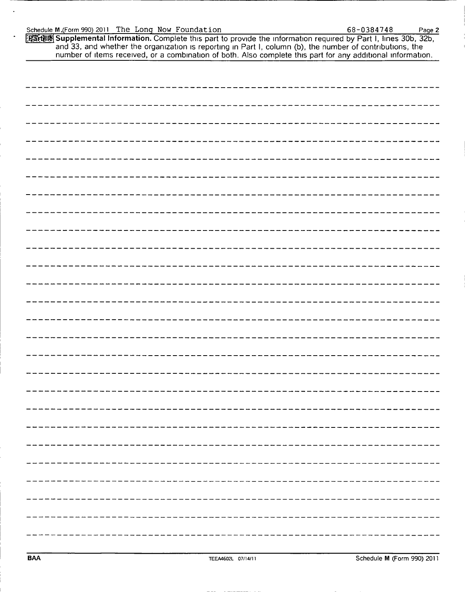# Schedule M.(Form 990) 2011<br>Schedule M.(Form 990) 2011<br>Partills Supplemental Info Schedule M.(Form 990) <sup>2011</sup> The Long Now Foundation 68-0384748 PageZ

| Schedule M.(Form 990) 2011 The Long Now Foundation                                                                                                                                                                                |                    | 68-0384748<br>Page 2                                                                                        |
|-----------------------------------------------------------------------------------------------------------------------------------------------------------------------------------------------------------------------------------|--------------------|-------------------------------------------------------------------------------------------------------------|
| [Part] 8 Supplemental Information. Complete this part to provide the information required by Part I, lines 30b, 32b,<br>and 33, and whether the organization is reporting in Part I, column (b), the number of contributions, the |                    | number of items received, or a combination of both. Also complete this part for any additional information. |
|                                                                                                                                                                                                                                   |                    |                                                                                                             |
|                                                                                                                                                                                                                                   |                    |                                                                                                             |
|                                                                                                                                                                                                                                   |                    |                                                                                                             |
|                                                                                                                                                                                                                                   |                    |                                                                                                             |
|                                                                                                                                                                                                                                   |                    |                                                                                                             |
|                                                                                                                                                                                                                                   |                    |                                                                                                             |
|                                                                                                                                                                                                                                   |                    |                                                                                                             |
|                                                                                                                                                                                                                                   |                    |                                                                                                             |
|                                                                                                                                                                                                                                   |                    |                                                                                                             |
|                                                                                                                                                                                                                                   |                    |                                                                                                             |
|                                                                                                                                                                                                                                   |                    |                                                                                                             |
|                                                                                                                                                                                                                                   |                    |                                                                                                             |
|                                                                                                                                                                                                                                   |                    |                                                                                                             |
|                                                                                                                                                                                                                                   |                    |                                                                                                             |
|                                                                                                                                                                                                                                   |                    |                                                                                                             |
|                                                                                                                                                                                                                                   |                    |                                                                                                             |
|                                                                                                                                                                                                                                   |                    |                                                                                                             |
|                                                                                                                                                                                                                                   |                    |                                                                                                             |
|                                                                                                                                                                                                                                   |                    |                                                                                                             |
|                                                                                                                                                                                                                                   |                    |                                                                                                             |
|                                                                                                                                                                                                                                   |                    |                                                                                                             |
| <b>BAA</b>                                                                                                                                                                                                                        | TEEA4602L 07/14/11 | Schedule M (Form 990) 2011                                                                                  |
|                                                                                                                                                                                                                                   |                    |                                                                                                             |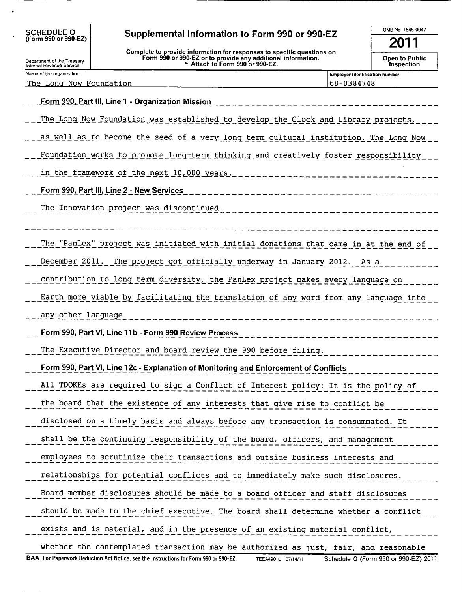| Supplemental Information to Form 990 or 990-EZ |  |  |  |  |
|------------------------------------------------|--|--|--|--|
|------------------------------------------------|--|--|--|--|

Complete to provide information for responses to specific questions on<br>Form 990 or 990-EZ or to provide any additional information.<br>Attach to Form 990 or 990-EZ.

 $2011$  $\overline{a}$  Dubliz

OMB No 1545-0047

| <b>Open to Public</b> |  |  |
|-----------------------|--|--|
| Inspection            |  |  |

| Department of the Treasury<br>Internal Revenue Service |
|--------------------------------------------------------|
| Name of the organization                               |

The Long Now Foundation

SCHEDULE O<br>(Form 990 or 990-EZ)

 $\overline{a}$ 

Employer identification number 68-0384748

| <u> Form 990, Part III, Line 1 - Organization Mission</u><br>____________                                                                          |
|----------------------------------------------------------------------------------------------------------------------------------------------------|
| The Long Now Foundation was established to develop the Clock and Library projects,                                                                 |
| as well as to become the seed of a very long term cultural institution. The Long Now                                                               |
| Foundation works to promote long-term thinking and creatively foster responsibility                                                                |
| in the framework of the next 10,000 years.<br>_____________________                                                                                |
| Form 990, Part III, Line 2 - New Services<br>______________________________                                                                        |
| The Innovation project was discontinued.<br>--------------------------                                                                             |
|                                                                                                                                                    |
| The "PanLex" project was initiated with initial donations that came in at the end of                                                               |
| December 2011. The project got officially underway in January 2012. As a                                                                           |
| contribution to long-term diversity, the PanLex project makes every language on                                                                    |
| Earth more viable by facilitating the translation of any word from any language into                                                               |
| any other language.                                                                                                                                |
| Form 990, Part VI, Line 11b - Form 990 Review Process<br>-----------------------                                                                   |
| The Executive Director and board review the 990 before filing.                                                                                     |
| Form 990, Part VI, Line 12c - Explanation of Monitoring and Enforcement of Conflicts                                                               |
| All TDOKEs are required to sign a Conflict of Interest policy: It is the policy of                                                                 |
| the board that the existence of any interests that give rise to conflict be                                                                        |
| disclosed on a timely basis and always before any transaction is consummated. It                                                                   |
| shall be the continuing responsibility of the board, officers, and management                                                                      |
| employees to scrutinize their transactions and outside business interests and                                                                      |
| relationships for potential conflicts and to immediately make such disclosures.                                                                    |
| Board member disclosures should be made to a board officer and staff disclosures                                                                   |
| should be made to the chief executive. The board shall determine whether a conflict                                                                |
| exists and is material, and in the presence of an existing material conflict,                                                                      |
| whether the contemplated transaction may be authorized as just, fair, and reasonable                                                               |
| BAA For Paperwork Reduction Act Notice, see the Instructions for Form 990 or 990-EZ.<br>Schedule O (Form 990 or 990-EZ) 2011<br>TEEA4901L 07/14/11 |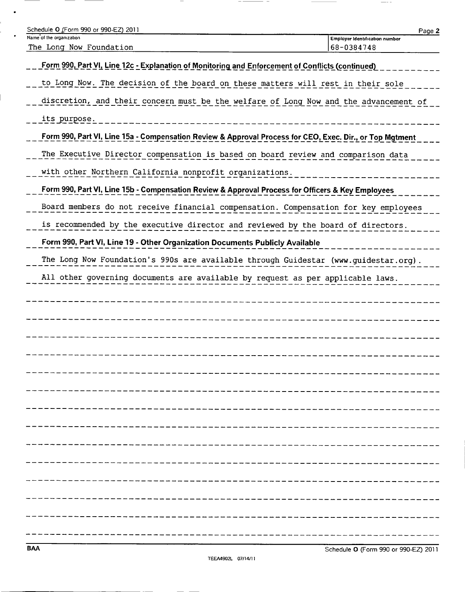| Schedule O (Form 990 or 990-EZ) 2011                                                                     |                                                     | Page 2 |
|----------------------------------------------------------------------------------------------------------|-----------------------------------------------------|--------|
| Name of the organization<br>The Long Now Foundation                                                      | <b>Employer Identification number</b><br>68-0384748 |        |
| Form 990, Part VI, Line 12c - Explanation of Monitoring and Enforcement of Conflicts (continued)         |                                                     |        |
| to Long Now. The decision of the board on these matters will rest in their sole                          |                                                     |        |
| discretion, and their concern must be the welfare of Long Now and the advancement of                     |                                                     |        |
| its purpose.                                                                                             |                                                     |        |
| Form 990, Part VI, Line 15a - Compensation Review & Approval Process for CEO, Exec. Dir., or Top Mgtment |                                                     |        |
| The Executive Director compensation is based on board review and comparison data                         |                                                     |        |
| with other Northern California nonprofit organizations.                                                  |                                                     |        |
| Form 990, Part VI, Line 15b - Compensation Review & Approval Process for Officers & Key Employees        |                                                     |        |
| Board members do not receive financial compensation. Compensation for key employees                      |                                                     |        |
| is recommended by the executive director and reviewed by the board of directors.                         |                                                     |        |
| Form 990, Part VI, Line 19 - Other Organization Documents Publicly Available                             |                                                     |        |
| The Long Now Foundation's 990s are available through Guidestar (www.guidestar.org).                      |                                                     |        |
| All other governing documents are available by request as per applicable laws.                           |                                                     |        |
|                                                                                                          |                                                     |        |
|                                                                                                          |                                                     |        |
|                                                                                                          |                                                     |        |
|                                                                                                          |                                                     |        |
|                                                                                                          |                                                     |        |
|                                                                                                          |                                                     |        |
|                                                                                                          |                                                     |        |
|                                                                                                          |                                                     |        |
|                                                                                                          |                                                     |        |
|                                                                                                          |                                                     |        |
|                                                                                                          |                                                     |        |
|                                                                                                          |                                                     |        |
|                                                                                                          |                                                     |        |
|                                                                                                          |                                                     |        |
|                                                                                                          |                                                     |        |

 $\frac{1}{2} \left( \frac{1}{2} \right) \frac{1}{2} \left( \frac{1}{2} \right) \frac{1}{2} \left( \frac{1}{2} \right) \frac{1}{2} \left( \frac{1}{2} \right) \frac{1}{2} \left( \frac{1}{2} \right) \frac{1}{2} \left( \frac{1}{2} \right) \frac{1}{2} \left( \frac{1}{2} \right) \frac{1}{2} \left( \frac{1}{2} \right) \frac{1}{2} \left( \frac{1}{2} \right) \frac{1}{2} \left( \frac{1}{2} \right) \frac{1}{2} \left( \frac{1}{2} \right)$ 

 $\overbrace{\hspace{25mm}}^{}$ 

 $\bullet$ 

 $\frac{1}{2} \left( \frac{1}{2} \right) \left( \frac{1}{2} \right) \left( \frac{1}{2} \right) \left( \frac{1}{2} \right) \left( \frac{1}{2} \right) \left( \frac{1}{2} \right) \left( \frac{1}{2} \right) \left( \frac{1}{2} \right) \left( \frac{1}{2} \right) \left( \frac{1}{2} \right) \left( \frac{1}{2} \right) \left( \frac{1}{2} \right) \left( \frac{1}{2} \right) \left( \frac{1}{2} \right) \left( \frac{1}{2} \right) \left( \frac{1}{2} \right) \left( \frac$ 

 $\overline{\phantom{a}}$ 

 $- -$ 

- -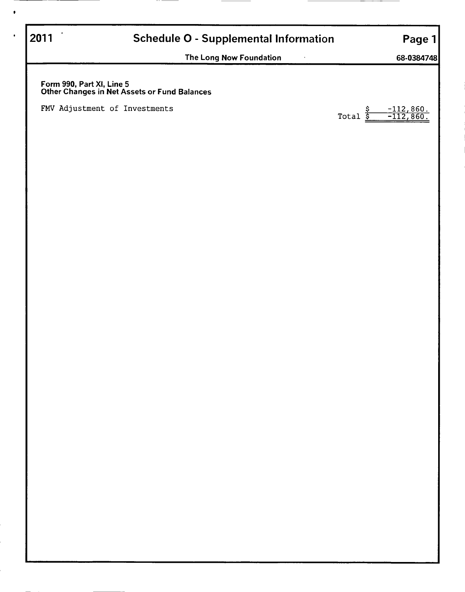# 2011 **Schedule O - Supplemental Information** Page 1

The Long Now Foundation and the Congress of the Congress of the Congress of the Congress of the Congress of the Congress of the Congress of the Congress of the Congress of the Congress of the Congress of the Congress of th

Form 990, Part XI, Line 5 Other Changes in Net Assets or Fund Balances

FMV Adjustment of Investments  $\frac{S}{S}$ 

 $-112,860.$ <br> $-112,860.$ 

 $\bullet$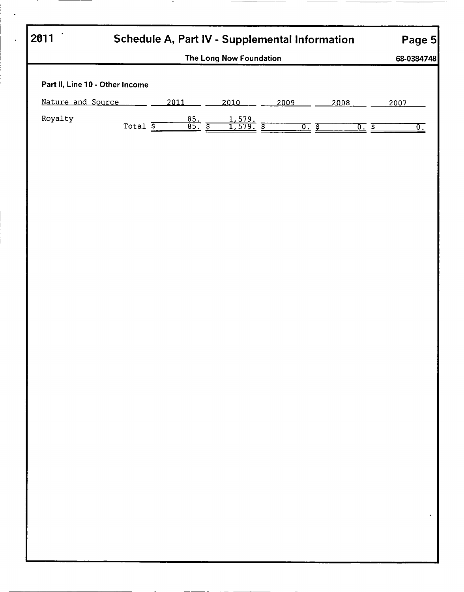| 2011                            | Schedule A, Part IV - Supplemental Information |                               |                                     |             |              |                 |  |
|---------------------------------|------------------------------------------------|-------------------------------|-------------------------------------|-------------|--------------|-----------------|--|
|                                 |                                                |                               | The Long Now Foundation             |             |              | 68-0384748      |  |
| Part II, Line 10 - Other Income |                                                |                               |                                     |             |              |                 |  |
| Nature and Source               |                                                | 2011                          | 2010                                | 2009        | 2008         | 2007            |  |
| Royalty                         |                                                |                               |                                     |             |              |                 |  |
|                                 | Total $\overline{\underline{s}}$               | $\frac{85}{85}$ $\frac{8}{5}$ | $\frac{1,579}{1,579}$ $\frac{5}{1}$ | <u>০. হ</u> | <u>o. s </u> | $\overline{0.}$ |  |
|                                 |                                                |                               |                                     |             |              |                 |  |
|                                 |                                                |                               |                                     |             |              |                 |  |
|                                 |                                                |                               |                                     |             |              |                 |  |
|                                 |                                                |                               |                                     |             |              |                 |  |
|                                 |                                                |                               |                                     |             |              |                 |  |
|                                 |                                                |                               |                                     |             |              |                 |  |
|                                 |                                                |                               |                                     |             |              |                 |  |
|                                 |                                                |                               |                                     |             |              |                 |  |
|                                 |                                                |                               |                                     |             |              |                 |  |
|                                 |                                                |                               |                                     |             |              |                 |  |
|                                 |                                                |                               |                                     |             |              |                 |  |
|                                 |                                                |                               |                                     |             |              |                 |  |
|                                 |                                                |                               |                                     |             |              |                 |  |
|                                 |                                                |                               |                                     |             |              |                 |  |
|                                 |                                                |                               |                                     |             |              |                 |  |
|                                 |                                                |                               |                                     |             |              |                 |  |
|                                 |                                                |                               |                                     |             |              |                 |  |
|                                 |                                                |                               |                                     |             |              |                 |  |
|                                 |                                                |                               |                                     |             |              |                 |  |
|                                 |                                                |                               |                                     |             |              |                 |  |
|                                 |                                                |                               |                                     |             |              |                 |  |
|                                 |                                                |                               |                                     |             |              |                 |  |
|                                 |                                                |                               |                                     |             |              |                 |  |
|                                 |                                                |                               |                                     |             |              |                 |  |
|                                 |                                                |                               |                                     |             |              |                 |  |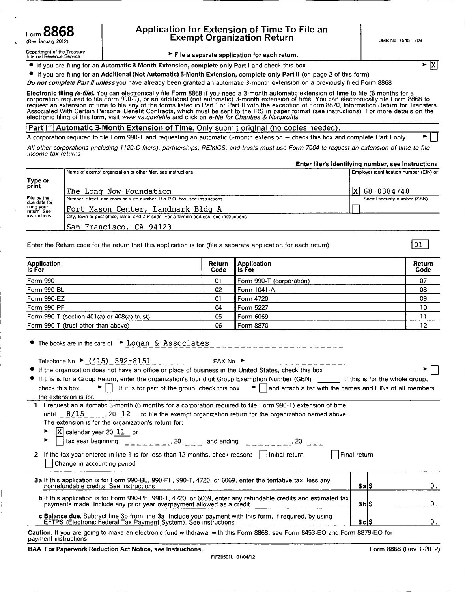#### Application for Extension of Time To File an Form  $\overline{O}$   $\overline{O}$   $\overline{O}$   $\overline{O}$   $\overline{O}$   $\overline{O}$   $\overline{O}$   $\overline{O}$   $\overline{O}$   $\overline{O}$   $\overline{O}$   $\overline{O}$   $\overline{O}$   $\overline{O}$   $\overline{O}$   $\overline{O}$   $\overline{O}$   $\overline{O}$   $\overline{O}$   $\overline{O}$   $\overline{O}$   $\overline{O}$   $\overline{O}$   $\overline{O}$

Department of the Treasury **Internal Revenue Service 3 File a separate application for each return.** 

 $\bullet$  If you are filing for an Automatic 3-Month Extension, complete only Part I and check this box  $\triangleright$ 

0 If you are filing for an Additional (Not Automatic) 3—Month Extension, complete only Part II (on page 2 of this form)

Do not complete Part II unless you have already been granted an automatic 3-month extension on a previously filed Form 8868

Electronic filing (e-file). You can electronically file Form 8868 if you need a 3-month automatic extension of time to file (6 months for a corporation required to file Form 990-T), or an additional (not automatic) 3-month extension of time You can electronically file Form 8868 to request an extension of time to file any of the forms listed in Part 1 or Part II with the exception of Form 8870, Information Return for Transfers Associated With Certain Personal Benefit Contracts, which must be sent to the IRS in paper format (see instructions). For more details on the<br>electronic filing of this form, visit *www irs.gov/efile* and click on *e-file f* 

#### **Part I''** Automatic 3-Month Extension of Time. Only submit original (no copies needed).

A corporation required to file Form 990-T and requesting an automatic 6-month extension – check this box and complete Part I only

All other corporations (including 1120-C filers), partnerships, REMICS, and trusts must use Form 7004 to request an extension of time to file Income tax returns

Enter filer's identifying number, see instructions

|                             | Name of exempt organization or other filer, see instructions                            | Employer identification number (EIN) or |
|-----------------------------|-----------------------------------------------------------------------------------------|-----------------------------------------|
| Type or<br>print            |                                                                                         |                                         |
|                             | The Long Now Foundation                                                                 | $ X $ 68-0384748                        |
| File by the<br>due date for | Number, street, and room or suite number If a P O box, see instructions                 | Social security number (SSN)            |
| filing your<br>return See   | Fort Mason Center, Landmark Bldg A                                                      |                                         |
| instructions                | City, town or post office, state, and ZIP code. For a foreign address, see instructions |                                         |
|                             | San Francisco, CA 94123                                                                 |                                         |

Enter the Return code for the return that this application Is for (file a separate application for each return)

| Application<br><b>Is For</b>                | Return<br>Code | <b>Application</b><br>l is For | Return<br>Code |
|---------------------------------------------|----------------|--------------------------------|----------------|
| Form 990                                    | 01             | Form 990-T (corporation)       | 07             |
| Form 990-BL                                 | 02             | Form 1041-A                    | 08             |
| Form 990-EZ                                 | 01             | Form 4720                      | 09             |
| Form 990-PF                                 | 04             | Form 5227                      | 10             |
| Form 990-T (section 401(a) or 408(a) trust) | 05             | Form 6069                      |                |
| Form 990-T (trust other than above)         | 06             | Form 8870                      | 12             |

| $\bullet$ The books are in the care of $\bullet$ Logan & Associates                                                                                                                                                                                                                                                                                                                                                                                                                                                                      |       |    |
|------------------------------------------------------------------------------------------------------------------------------------------------------------------------------------------------------------------------------------------------------------------------------------------------------------------------------------------------------------------------------------------------------------------------------------------------------------------------------------------------------------------------------------------|-------|----|
| Telephone No $\triangleright$ (415) 592-8151<br>If the organization does not have an office or place of business in the United States, check this box<br>If this is for a Group Return, enter the organization's four digit Group Exemption Number (GEN) _____ If this is for the whole group,<br>$\blacktriangleright \lceil \cdot \rceil$ If it is for part of the group, check this box $\blacktriangleright \lceil \cdot \rceil$ and attach a list with the names and EINs of all members<br>check this box<br>the extension is for. |       |    |
| 1 I request an automatic 3-month (6 months for a corporation required to file Form 990-T) extension of time                                                                                                                                                                                                                                                                                                                                                                                                                              |       |    |
| until $8/15$ , 20 12, to file the exempt organization return for the organization named above.                                                                                                                                                                                                                                                                                                                                                                                                                                           |       |    |
| The extension is for the organization's return for:                                                                                                                                                                                                                                                                                                                                                                                                                                                                                      |       |    |
|                                                                                                                                                                                                                                                                                                                                                                                                                                                                                                                                          |       |    |
| $\boxed{\text{X}}$ calendar year 20 $\boxed{11}$ or<br>tax year beginning $\boxed{11}$ = $\boxed{20}$ = $\boxed{30}$ = $\boxed{30}$ = $\boxed{30}$ = $\boxed{40}$ = $\boxed{20}$ = $\boxed{40}$ = $\boxed{40}$                                                                                                                                                                                                                                                                                                                           |       |    |
| 2 If the tax year entered in line 1 is for less than 12 months, check reason:     Initial return<br>Final return<br>Change in accounting period                                                                                                                                                                                                                                                                                                                                                                                          |       |    |
| 3a If this application is for Form 990-BL, 990-PF, 990-T, 4720, or 6069, enter the tentative tax, less any<br>nonrefundable credits See instructions                                                                                                                                                                                                                                                                                                                                                                                     | 3a∣\$ | 0. |
| <b>b</b> If this application is for Form 990-PF, 990-T, 4720, or 6069, enter any refundable credits and estimated tax<br>payments made Include any prior year overpayment allowed as a credit                                                                                                                                                                                                                                                                                                                                            | 3Ы\$  | 0. |
| c Balance due. Subtract line 3b from line 3a Include your payment with this form, if required, by using<br>EFTPS (Electronic Federal Tax Payment System). See instructions                                                                                                                                                                                                                                                                                                                                                               | 3cl\$ | 0. |
| Caution. If you are going to make an electronic fund withdrawal with this Form 8868, see Form 8453-FO and Form 8879-FO for                                                                                                                                                                                                                                                                                                                                                                                                               |       |    |

Caution. If you are gomg to make an electronic fund Withdrawal With this Form 8868, see Form 8453-EO and Form 8879-EO for payment instructions

BAA For Paperwork Reduction Act Notice, see Instructions. The example of the state of the SSS (Rev 1-2012)

|X

01